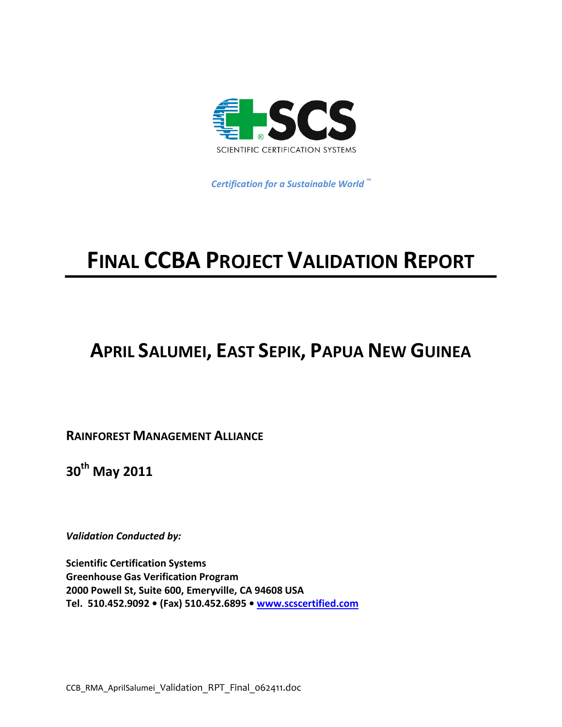

 *Certification for a Sustainable World ™*

# **FINAL CCBA PROJECT VALIDATION REPORT**

# **APRIL SALUMEI, EAST SEPIK, PAPUA NEW GUINEA**

**RAINFOREST MANAGEMENT ALLIANCE**

**30th May 2011**

*Validation Conducted by:*

**Scientific Certification Systems Greenhouse Gas Verification Program 2000 Powell St, Suite 600, Emeryville, CA 94608 USA Tel. 510.452.9092 • (Fax) 510.452.6895 • [www.scscertified.com](http://www.scscertified.com/)**

CCB\_RMA\_AprilSalumei\_Validation\_RPT\_Final\_062411.doc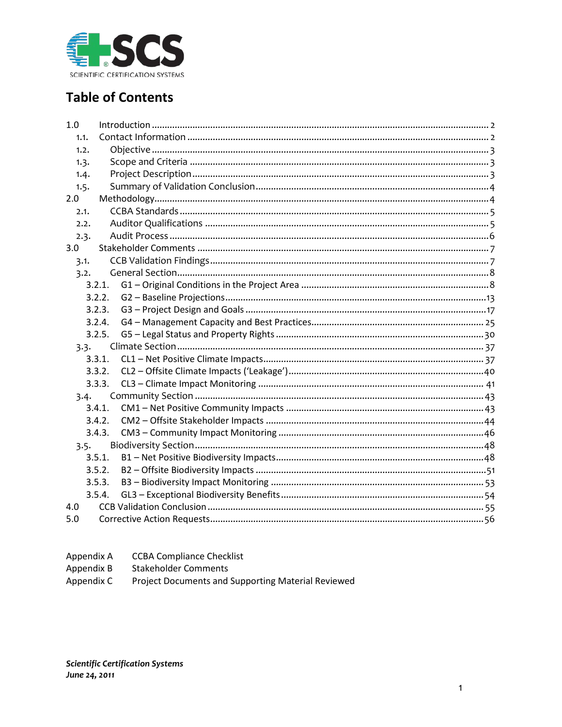

# **Table of Contents**

| 1.0  |        |  |
|------|--------|--|
| 1.1. |        |  |
| 1.2. |        |  |
| 1.3. |        |  |
| 1.4. |        |  |
| 1.5. |        |  |
| 2.0  |        |  |
| 2.1. |        |  |
| 2.2. |        |  |
| 2.3. |        |  |
| 3.0  |        |  |
| 3.1. |        |  |
| 3.2. |        |  |
|      | 3.2.1. |  |
|      | 3.2.2. |  |
|      | 3.2.3. |  |
|      | 3.2.4. |  |
|      | 3.2.5. |  |
|      | 3.3.   |  |
|      | 3.3.1. |  |
|      | 3.3.2. |  |
|      | 3.3.3. |  |
|      | 3.4.   |  |
|      | 3.4.1. |  |
|      | 3.4.2. |  |
|      | 3.4.3. |  |
|      | 3.5.   |  |
|      | 3.5.1. |  |
|      | 3.5.2. |  |
|      | 3.5.3. |  |
|      | 3.5.4. |  |
| 4.0  |        |  |
| 5.0  |        |  |

- Appendix A **CCBA Compliance Checklist**
- Appendix B **Stakeholder Comments**
- Project Documents and Supporting Material Reviewed Appendix C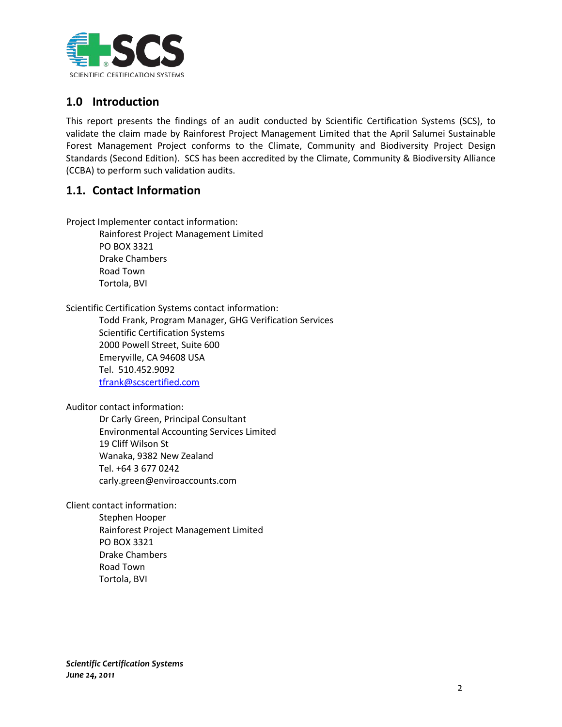

# <span id="page-2-0"></span>**1.0 Introduction**

This report presents the findings of an audit conducted by Scientific Certification Systems (SCS), to validate the claim made by Rainforest Project Management Limited that the April Salumei Sustainable Forest Management Project conforms to the Climate, Community and Biodiversity Project Design Standards (Second Edition). SCS has been accredited by the Climate, Community & Biodiversity Alliance (CCBA) to perform such validation audits.

# <span id="page-2-1"></span>**1.1. Contact Information**

Project Implementer contact information:

Rainforest Project Management Limited PO BOX 3321 Drake Chambers Road Town Tortola, BVI

Scientific Certification Systems contact information:

Todd Frank, Program Manager, GHG Verification Services Scientific Certification Systems 2000 Powell Street, Suite 600 Emeryville, CA 94608 USA Tel. 510.452.9092 [tfrank@scscertified.com](mailto:tfrank@scscertified.com)

Auditor contact information:

Dr Carly Green, Principal Consultant Environmental Accounting Services Limited 19 Cliff Wilson St Wanaka, 9382 New Zealand Tel. +64 3 677 0242 carly.green@enviroaccounts.com

Client contact information:

Stephen Hooper Rainforest Project Management Limited PO BOX 3321 Drake Chambers Road Town Tortola, BVI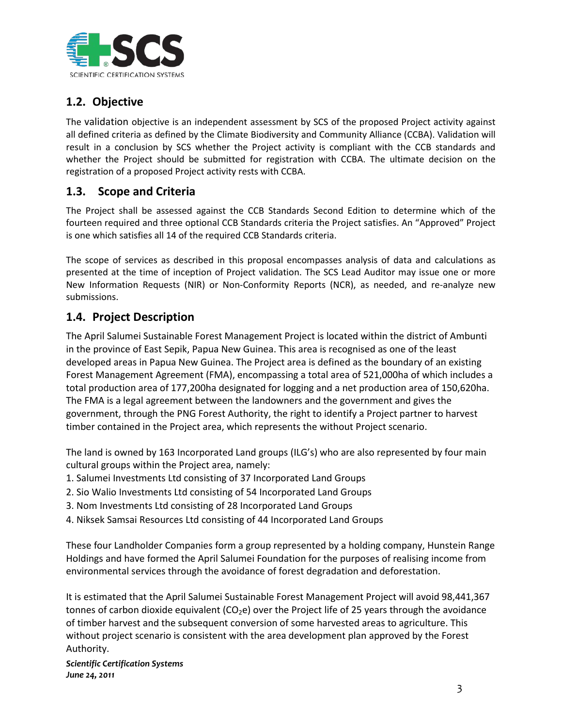

# <span id="page-3-0"></span>**1.2. Objective**

The validation objective is an independent assessment by SCS of the proposed Project activity against all defined criteria as defined by the Climate Biodiversity and Community Alliance (CCBA). Validation will result in a conclusion by SCS whether the Project activity is compliant with the CCB standards and whether the Project should be submitted for registration with CCBA. The ultimate decision on the registration of a proposed Project activity rests with CCBA.

# <span id="page-3-1"></span>**1.3. Scope and Criteria**

The Project shall be assessed against the CCB Standards Second Edition to determine which of the fourteen required and three optional CCB Standards criteria the Project satisfies. An "Approved" Project is one which satisfies all 14 of the required CCB Standards criteria.

The scope of services as described in this proposal encompasses analysis of data and calculations as presented at the time of inception of Project validation. The SCS Lead Auditor may issue one or more New Information Requests (NIR) or Non-Conformity Reports (NCR), as needed, and re-analyze new submissions.

# <span id="page-3-2"></span>**1.4. Project Description**

The April Salumei Sustainable Forest Management Project is located within the district of Ambunti in the province of East Sepik, Papua New Guinea. This area is recognised as one of the least developed areas in Papua New Guinea. The Project area is defined as the boundary of an existing Forest Management Agreement (FMA), encompassing a total area of 521,000ha of which includes a total production area of 177,200ha designated for logging and a net production area of 150,620ha. The FMA is a legal agreement between the landowners and the government and gives the government, through the PNG Forest Authority, the right to identify a Project partner to harvest timber contained in the Project area, which represents the without Project scenario.

The land is owned by 163 Incorporated Land groups (ILG's) who are also represented by four main cultural groups within the Project area, namely:

- 1. Salumei Investments Ltd consisting of 37 Incorporated Land Groups
- 2. Sio Walio Investments Ltd consisting of 54 Incorporated Land Groups
- 3. Nom Investments Ltd consisting of 28 Incorporated Land Groups
- 4. Niksek Samsai Resources Ltd consisting of 44 Incorporated Land Groups

These four Landholder Companies form a group represented by a holding company, Hunstein Range Holdings and have formed the April Salumei Foundation for the purposes of realising income from environmental services through the avoidance of forest degradation and deforestation.

It is estimated that the April Salumei Sustainable Forest Management Project will avoid 98,441,367 tonnes of carbon dioxide equivalent ( $CO<sub>2</sub>e$ ) over the Project life of 25 years through the avoidance of timber harvest and the subsequent conversion of some harvested areas to agriculture. This without project scenario is consistent with the area development plan approved by the Forest Authority.

*Scientific Certification Systems June 24, 2011*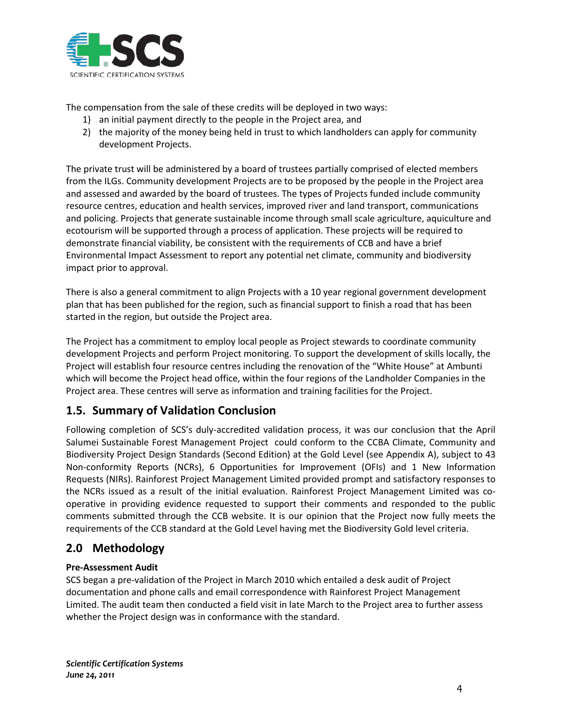

The compensation from the sale of these credits will be deployed in two ways:

- 1) an initial payment directly to the people in the Project area, and
- 2) the majority of the money being held in trust to which landholders can apply for community development Projects.

The private trust will be administered by a board of trustees partially comprised of elected members from the ILGs. Community development Projects are to be proposed by the people in the Project area and assessed and awarded by the board of trustees. The types of Projects funded include community resource centres, education and health services, improved river and land transport, communications and policing. Projects that generate sustainable income through small scale agriculture, aquiculture and ecotourism will be supported through a process of application. These projects will be required to demonstrate financial viability, be consistent with the requirements of CCB and have a brief Environmental Impact Assessment to report any potential net climate, community and biodiversity impact prior to approval.

There is also a general commitment to align Projects with a 10 year regional government development plan that has been published for the region, such as financial support to finish a road that has been started in the region, but outside the Project area.

The Project has a commitment to employ local people as Project stewards to coordinate community development Projects and perform Project monitoring. To support the development of skills locally, the Project will establish four resource centres including the renovation of the "White House" at Ambunti which will become the Project head office, within the four regions of the Landholder Companies in the Project area. These centres will serve as information and training facilities for the Project.

# <span id="page-4-0"></span>**1.5. Summary of Validation Conclusion**

Following completion of SCS's duly-accredited validation process, it was our conclusion that the April Salumei Sustainable Forest Management Project could conform to the CCBA Climate, Community and Biodiversity Project Design Standards (Second Edition) at the Gold Level (see Appendix A), subject to 43 Non-conformity Reports (NCRs), 6 Opportunities for Improvement (OFIs) and 1 New Information Requests (NIRs). Rainforest Project Management Limited provided prompt and satisfactory responses to the NCRs issued as a result of the initial evaluation. Rainforest Project Management Limited was cooperative in providing evidence requested to support their comments and responded to the public comments submitted through the CCB website. It is our opinion that the Project now fully meets the requirements of the CCB standard at the Gold Level having met the Biodiversity Gold level criteria.

# <span id="page-4-1"></span>**2.0 Methodology**

# **Pre-Assessment Audit**

SCS began a pre-validation of the Project in March 2010 which entailed a desk audit of Project documentation and phone calls and email correspondence with Rainforest Project Management Limited. The audit team then conducted a field visit in late March to the Project area to further assess whether the Project design was in conformance with the standard.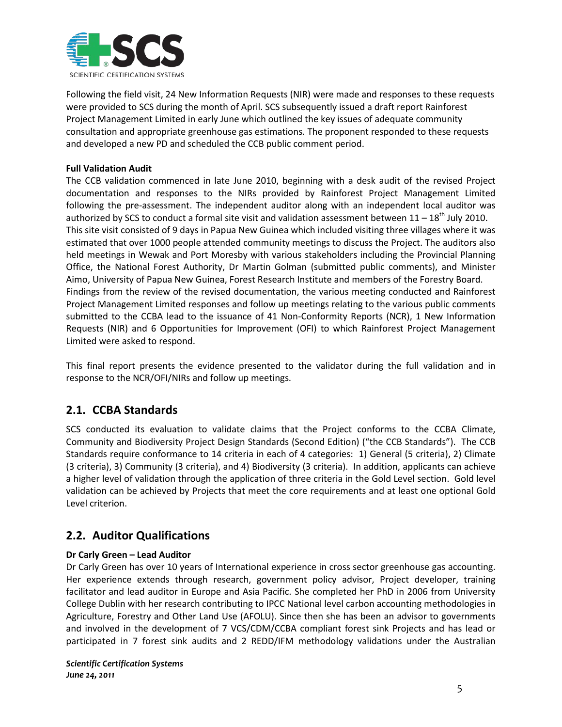

Following the field visit, 24 New Information Requests (NIR) were made and responses to these requests were provided to SCS during the month of April. SCS subsequently issued a draft report Rainforest Project Management Limited in early June which outlined the key issues of adequate community consultation and appropriate greenhouse gas estimations. The proponent responded to these requests and developed a new PD and scheduled the CCB public comment period.

# **Full Validation Audit**

The CCB validation commenced in late June 2010, beginning with a desk audit of the revised Project documentation and responses to the NIRs provided by Rainforest Project Management Limited following the pre-assessment. The independent auditor along with an independent local auditor was authorized by SCS to conduct a formal site visit and validation assessment between  $11 - 18^{th}$  July 2010. This site visit consisted of 9 days in Papua New Guinea which included visiting three villages where it was estimated that over 1000 people attended community meetings to discuss the Project. The auditors also held meetings in Wewak and Port Moresby with various stakeholders including the Provincial Planning Office, the National Forest Authority, Dr Martin Golman (submitted public comments), and Minister Aimo, University of Papua New Guinea, Forest Research Institute and members of the Forestry Board. Findings from the review of the revised documentation, the various meeting conducted and Rainforest Project Management Limited responses and follow up meetings relating to the various public comments submitted to the CCBA lead to the issuance of 41 Non-Conformity Reports (NCR), 1 New Information Requests (NIR) and 6 Opportunities for Improvement (OFI) to which Rainforest Project Management Limited were asked to respond.

This final report presents the evidence presented to the validator during the full validation and in response to the NCR/OFI/NIRs and follow up meetings.

# <span id="page-5-0"></span>**2.1. CCBA Standards**

SCS conducted its evaluation to validate claims that the Project conforms to the CCBA Climate, Community and Biodiversity Project Design Standards (Second Edition) ("the CCB Standards"). The CCB Standards require conformance to 14 criteria in each of 4 categories: 1) General (5 criteria), 2) Climate (3 criteria), 3) Community (3 criteria), and 4) Biodiversity (3 criteria). In addition, applicants can achieve a higher level of validation through the application of three criteria in the Gold Level section. Gold level validation can be achieved by Projects that meet the core requirements and at least one optional Gold Level criterion.

# <span id="page-5-1"></span>**2.2. Auditor Qualifications**

# **Dr Carly Green – Lead Auditor**

Dr Carly Green has over 10 years of International experience in cross sector greenhouse gas accounting. Her experience extends through research, government policy advisor, Project developer, training facilitator and lead auditor in Europe and Asia Pacific. She completed her PhD in 2006 from University College Dublin with her research contributing to IPCC National level carbon accounting methodologies in Agriculture, Forestry and Other Land Use (AFOLU). Since then she has been an advisor to governments and involved in the development of 7 VCS/CDM/CCBA compliant forest sink Projects and has lead or participated in 7 forest sink audits and 2 REDD/IFM methodology validations under the Australian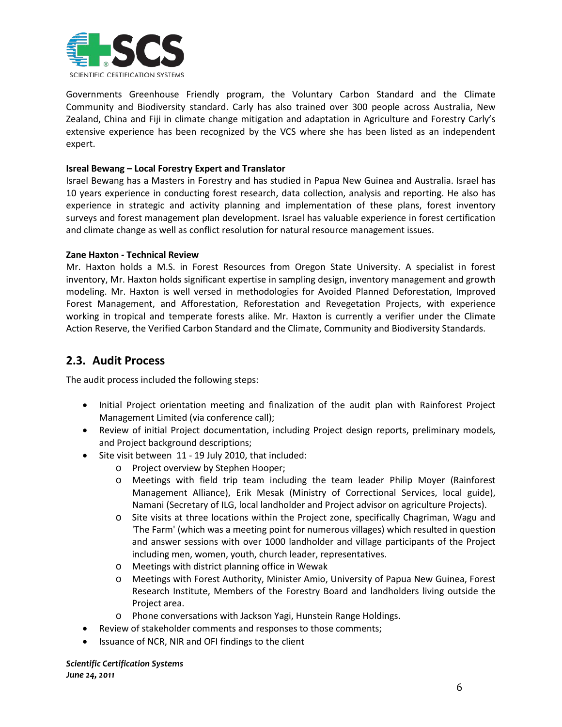

Governments Greenhouse Friendly program, the Voluntary Carbon Standard and the Climate Community and Biodiversity standard. Carly has also trained over 300 people across Australia, New Zealand, China and Fiji in climate change mitigation and adaptation in Agriculture and Forestry Carly's extensive experience has been recognized by the VCS where she has been listed as an independent expert.

# **Isreal Bewang – Local Forestry Expert and Translator**

Israel Bewang has a Masters in Forestry and has studied in Papua New Guinea and Australia. Israel has 10 years experience in conducting forest research, data collection, analysis and reporting. He also has experience in strategic and activity planning and implementation of these plans, forest inventory surveys and forest management plan development. Israel has valuable experience in forest certification and climate change as well as conflict resolution for natural resource management issues.

# **Zane Haxton - Technical Review**

Mr. Haxton holds a M.S. in Forest Resources from Oregon State University. A specialist in forest inventory, Mr. Haxton holds significant expertise in sampling design, inventory management and growth modeling. Mr. Haxton is well versed in methodologies for Avoided Planned Deforestation, Improved Forest Management, and Afforestation, Reforestation and Revegetation Projects, with experience working in tropical and temperate forests alike. Mr. Haxton is currently a verifier under the Climate Action Reserve, the Verified Carbon Standard and the Climate, Community and Biodiversity Standards.

# <span id="page-6-0"></span>**2.3. Audit Process**

The audit process included the following steps:

- Initial Project orientation meeting and finalization of the audit plan with Rainforest Project Management Limited (via conference call);
- Review of initial Project documentation, including Project design reports, preliminary models, and Project background descriptions;
- Site visit between 11 19 July 2010, that included:
	- o Project overview by Stephen Hooper;
	- o Meetings with field trip team including the team leader Philip Moyer (Rainforest Management Alliance), Erik Mesak (Ministry of Correctional Services, local guide), Namani (Secretary of ILG, local landholder and Project advisor on agriculture Projects).
	- o Site visits at three locations within the Project zone, specifically Chagriman, Wagu and 'The Farm' (which was a meeting point for numerous villages) which resulted in question and answer sessions with over 1000 landholder and village participants of the Project including men, women, youth, church leader, representatives.
	- o Meetings with district planning office in Wewak
	- o Meetings with Forest Authority, Minister Amio, University of Papua New Guinea, Forest Research Institute, Members of the Forestry Board and landholders living outside the Project area.
	- o Phone conversations with Jackson Yagi, Hunstein Range Holdings.
- Review of stakeholder comments and responses to those comments;
- Issuance of NCR, NIR and OFI findings to the client

*Scientific Certification Systems*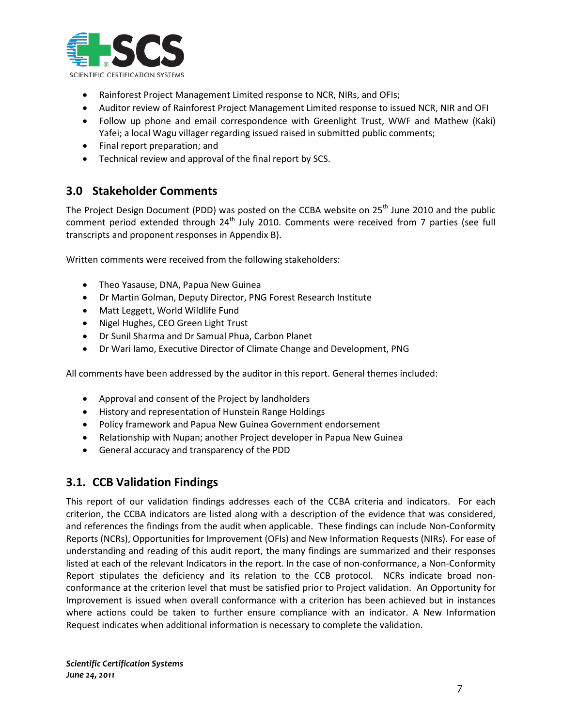

- Rainforest Project Management Limited response to NCR, NIRs, and OFIs;
- Auditor review of Rainforest Project Management Limited response to issued NCR, NIR and OFI
- Follow up phone and email correspondence with Greenlight Trust, WWF and Mathew (Kaki) Yafei; a local Wagu villager regarding issued raised in submitted public comments;
- Final report preparation; and
- Technical review and approval of the final report by SCS.

# <span id="page-7-0"></span>**3.0 Stakeholder Comments**

The Project Design Document (PDD) was posted on the CCBA website on 25<sup>th</sup> June 2010 and the public comment period extended through 24<sup>th</sup> July 2010. Comments were received from 7 parties (see full transcripts and proponent responses in Appendix B).

Written comments were received from the following stakeholders:

- Theo Yasause, DNA, Papua New Guinea
- Dr Martin Golman, Deputy Director, PNG Forest Research Institute
- Matt Leggett, World Wildlife Fund
- Nigel Hughes, CEO Green Light Trust
- Dr Sunil Sharma and Dr Samual Phua, Carbon Planet
- Dr Wari Iamo, Executive Director of Climate Change and Development, PNG

All comments have been addressed by the auditor in this report. General themes included:

- Approval and consent of the Project by landholders
- History and representation of Hunstein Range Holdings
- Policy framework and Papua New Guinea Government endorsement
- Relationship with Nupan; another Project developer in Papua New Guinea
- General accuracy and transparency of the PDD

# <span id="page-7-1"></span>**3.1. CCB Validation Findings**

This report of our validation findings addresses each of the CCBA criteria and indicators. For each criterion, the CCBA indicators are listed along with a description of the evidence that was considered, and references the findings from the audit when applicable. These findings can include Non-Conformity Reports (NCRs), Opportunities for Improvement (OFIs) and New Information Requests (NIRs). For ease of understanding and reading of this audit report, the many findings are summarized and their responses listed at each of the relevant Indicators in the report. In the case of non-conformance, a Non-Conformity Report stipulates the deficiency and its relation to the CCB protocol. NCRs indicate broad nonconformance at the criterion level that must be satisfied prior to Project validation. An Opportunity for Improvement is issued when overall conformance with a criterion has been achieved but in instances where actions could be taken to further ensure compliance with an indicator. A New Information Request indicates when additional information is necessary to complete the validation.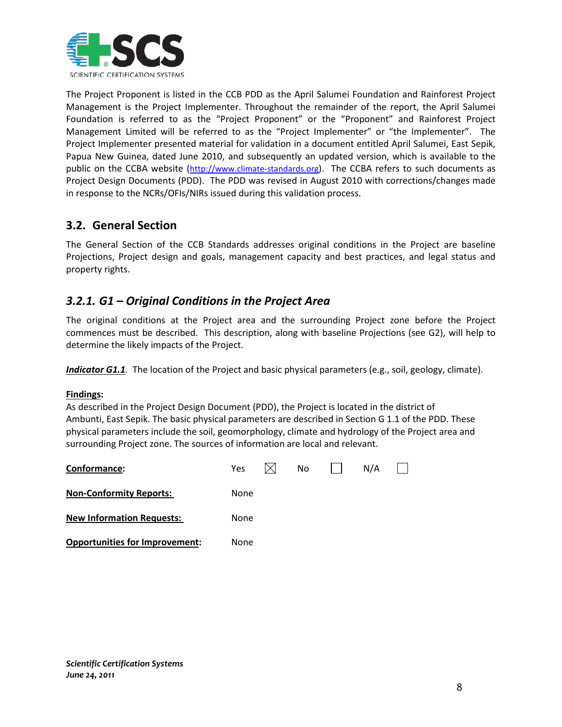

The Project Proponent is listed in the CCB PDD as the April Salumei Foundation and Rainforest Project Management is the Project Implementer. Throughout the remainder of the report, the April Salumei Foundation is referred to as the "Project Proponent" or the "Proponent" and Rainforest Project Management Limited will be referred to as the "Project Implementer" or "the Implementer". The Project Implementer presented material for validation in a document entitled April Salumei, East Sepik, Papua New Guinea, dated June 2010, and subsequently an updated version, which is available to the public on the CCBA website [\(http://www.climate-standards.org\)](http://www.climate-standards.org/). The CCBA refers to such documents as Project Design Documents (PDD). The PDD was revised in August 2010 with corrections/changes made in response to the NCRs/OFIs/NIRs issued during this validation process.

# <span id="page-8-0"></span>**3.2. General Section**

The General Section of the CCB Standards addresses original conditions in the Project are baseline Projections, Project design and goals, management capacity and best practices, and legal status and property rights.

# <span id="page-8-1"></span>*3.2.1. G1 – Original Conditions in the Project Area*

The original conditions at the Project area and the surrounding Project zone before the Project commences must be described. This description, along with baseline Projections (see G2), will help to determine the likely impacts of the Project.

*Indicator G1.1.* The location of the Project and basic physical parameters (e.g., soil, geology, climate).

# **Findings :**

As described in the Project Design Document (PDD), the Project is located in the district of Ambunti, East Sepik. The basic physical parameters are described in Section G 1.1 of the PDD. These physical parameters include the soil, geomorphology, climate and hydrology of the Project area and surrounding Project zone. The sources of information are local and relevant.

| Conformance:                          | Yes  | No. | N/A |  |
|---------------------------------------|------|-----|-----|--|
| <b>Non-Conformity Reports:</b>        | None |     |     |  |
| <b>New Information Requests:</b>      | None |     |     |  |
| <b>Opportunities for Improvement:</b> | None |     |     |  |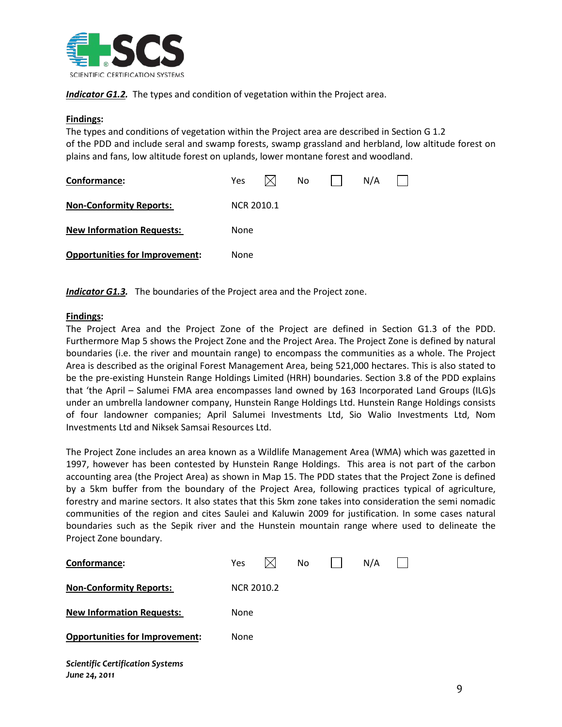

**Indicator G1.2.** The types and condition of vegetation within the Project area.

# **Findings :**

The types and conditions of vegetation within the Project area are described in Section G 1.2 of the PDD and include seral and swamp forests, swamp grassland and herbland, low altitude forest on plains and fans, low altitude forest on uplands, lower montane forest and woodland.

| Conformance:                          | Yes.       |  | No |  | N/A |  |
|---------------------------------------|------------|--|----|--|-----|--|
| <b>Non-Conformity Reports:</b>        | NCR 2010.1 |  |    |  |     |  |
| <b>New Information Requests:</b>      | None       |  |    |  |     |  |
| <b>Opportunities for Improvement:</b> | None       |  |    |  |     |  |

*Indicator G1.3.* The boundaries of the Project area and the Project zone.

# **Findings :**

The Project Area and the Project Zone of the Project are defined in Section G1.3 of the PDD. Furthermore Map 5 shows the Project Zone and the Project Area. The Project Zone is defined by natural boundaries (i.e. the river and mountain range) to encompass the communities as a whole. The Project Area is described as the original Forest Management Area, being 521,000 hectares. This is also stated to be the pre-existing Hunstein Range Holdings Limited (HRH) boundaries. Section 3.8 of the PDD explains that 'the April – Salumei FMA area encompasses land owned by 163 Incorporated Land Groups (ILG)s under an umbrella landowner company, Hunstein Range Holdings Ltd. Hunstein Range Holdings consists of four landowner companies; April Salumei Investments Ltd, Sio Walio Investments Ltd, Nom Investments Ltd and Niksek Samsai Resources Ltd.

The Project Zone includes an area known as a Wildlife Management Area (WMA) which was gazetted in 1997, however has been contested by Hunstein Range Holdings. This area is not part of the carbon accounting area (the Project Area) as shown in Map 15. The PDD states that the Project Zone is defined by a 5km buffer from the boundary of the Project Area, following practices typical of agriculture, forestry and marine sectors. It also states that this 5km zone takes into consideration the semi nomadic communities of the region and cites Saulei and Kaluwin 2009 for justification. In some cases natural boundaries such as the Sepik river and the Hunstein mountain range where used to delineate the Project Zone boundary.

| Conformance:                                             | <b>Yes</b>        | No. | N/A |  |
|----------------------------------------------------------|-------------------|-----|-----|--|
| <b>Non-Conformity Reports:</b>                           | <b>NCR 2010.2</b> |     |     |  |
| <b>New Information Requests:</b>                         | None              |     |     |  |
| <b>Opportunities for Improvement:</b>                    | None              |     |     |  |
| <b>Scientific Certification Systems</b><br>June 24, 2011 |                   |     |     |  |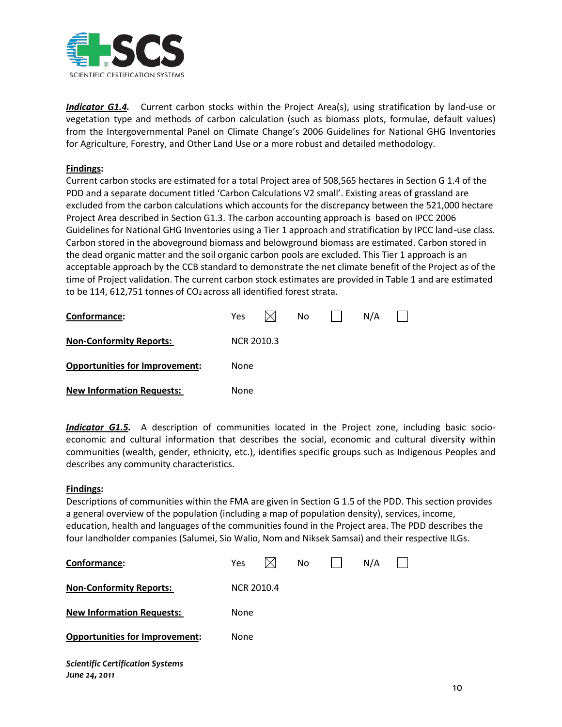

*Indicator G1.4.* Current carbon stocks within the Project Area(s), using stratification by land-use or vegetation type and methods of carbon calculation (such as biomass plots, formulae, default values) from the Intergovernmental Panel on Climate Change's 2006 Guidelines for National GHG Inventories for Agriculture, Forestry, and Other Land Use or a more robust and detailed methodology.

# **Findings :**

Current carbon stocks are estimated for a total Project area of 508,565 hectares in Section G 1.4 of the PDD and a separate document titled 'Carbon Calculations V2 small'. Existing areas of grassland are excluded from the carbon calculations which accounts for the discrepancy between the 521,000 hectare Project Area described in Section G1.3. The carbon accounting approach is based on IPCC 2006 Guidelines for National GHG Inventories using a Tier 1 approach and stratification by IPCC land-use class. Carbon stored in the aboveground biomass and belowground biomass are estimated. Carbon stored in the dead organic matter and the soil organic carbon pools are excluded. This Tier 1 approach is an acceptable approach by the CCB standard to demonstrate the net climate benefit of the Project as of the time of Project validation. The current carbon stock estimates are provided in Table 1 and are estimated to be 114, 612,751 tonnes of CO2 across all identified forest strata.

| Conformance:                          | <b>Yes</b>        |  | No. |  | N/A |  |
|---------------------------------------|-------------------|--|-----|--|-----|--|
| <b>Non-Conformity Reports:</b>        | <b>NCR 2010.3</b> |  |     |  |     |  |
| <b>Opportunities for Improvement:</b> | None              |  |     |  |     |  |
| <b>New Information Requests:</b>      | None              |  |     |  |     |  |

*Indicator G1.5.* A description of communities located in the Project zone, including basic socioeconomic and cultural information that describes the social, economic and cultural diversity within communities (wealth, gender, ethnicity, etc.), identifies specific groups such as Indigenous Peoples and describes any community characteristics.

# **Findings :**

Descriptions of communities within the FMA are given in Section G 1.5 of the PDD. This section provides a general overview of the population (including a map of population density), services, income, education, health and languages of the communities found in the Project area. The PDD describes the four landholder companies (Salumei, Sio Walio, Nom and Niksek Samsai) and their respective ILGs.

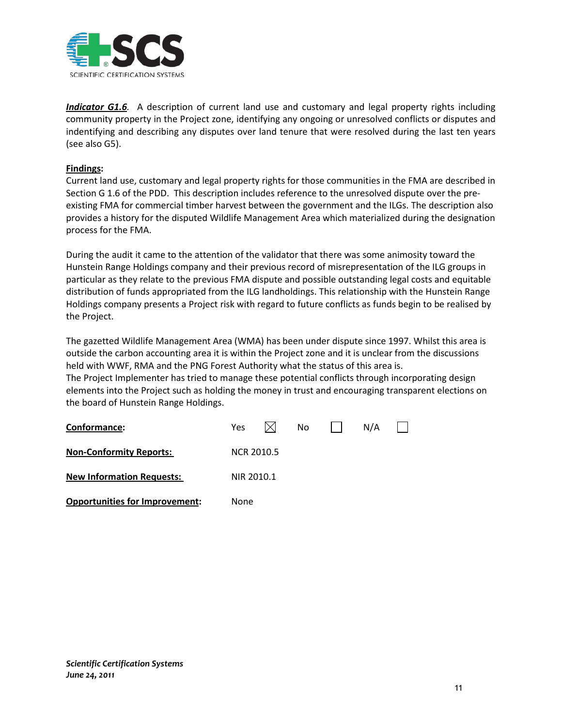

*Indicator G1.6.* A description of current land use and customary and legal property rights including community property in the Project zone, identifying any ongoing or unresolved conflicts or disputes and indentifying and describing any disputes over land tenure that were resolved during the last ten years (see also G5).

# **Findings :**

Current land use, customary and legal property rights for those communities in the FMA are described in Section G 1.6 of the PDD. This description includes reference to the unresolved dispute over the preexisting FMA for commercial timber harvest between the government and the ILGs. The description also provides a history for the disputed Wildlife Management Area which materialized during the designation process for the FMA.

During the audit it came to the attention of the validator that there was some animosity toward the Hunstein Range Holdings company and their previous record of misrepresentation of the ILG groups in particular as they relate to the previous FMA dispute and possible outstanding legal costs and equitable distribution of funds appropriated from the ILG landholdings. This relationship with the Hunstein Range Holdings company presents a Project risk with regard to future conflicts as funds begin to be realised by the Project.

The gazetted Wildlife Management Area (WMA) has been under dispute since 1997. Whilst this area is outside the carbon accounting area it is within the Project zone and it is unclear from the discussions held with WWF, RMA and the PNG Forest Authority what the status of this area is. The Project Implementer has tried to manage these potential conflicts through incorporating design elements into the Project such as holding the money in trust and encouraging transparent elections on the board of Hunstein Range Holdings.

| Conformance:                          | Yes        |            | No |  | N/A |  |  |  |
|---------------------------------------|------------|------------|----|--|-----|--|--|--|
| <b>Non-Conformity Reports:</b>        |            | NCR 2010.5 |    |  |     |  |  |  |
| <b>New Information Requests:</b>      | NIR 2010.1 |            |    |  |     |  |  |  |
| <b>Opportunities for Improvement:</b> | None       |            |    |  |     |  |  |  |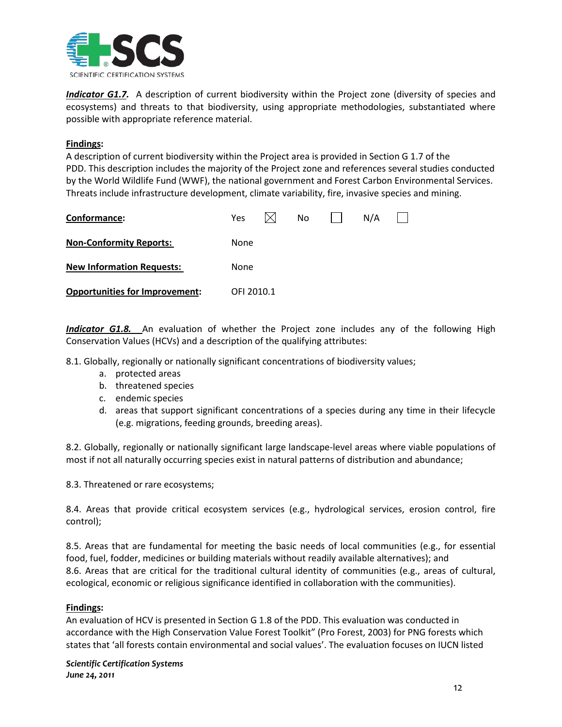

*Indicator G1.7.* A description of current biodiversity within the Project zone (diversity of species and ecosystems) and threats to that biodiversity, using appropriate methodologies, substantiated where possible with appropriate reference material.

# **Findings :**

A description of current biodiversity within the Project area is provided in Section G 1.7 of the PDD. This description includes the majority of the Project zone and references several studies conducted by the World Wildlife Fund (WWF), the national government and Forest Carbon Environmental Services. Threats include infrastructure development, climate variability, fire, invasive species and mining.

| Conformance:                          | Yes        | No. | N/A |  |
|---------------------------------------|------------|-----|-----|--|
| <b>Non-Conformity Reports:</b>        | None       |     |     |  |
| <b>New Information Requests:</b>      | None       |     |     |  |
| <b>Opportunities for Improvement:</b> | OFI 2010.1 |     |     |  |

*Indicator G1.8.* An evaluation of whether the Project zone includes any of the following High Conservation Values (HCVs) and a description of the qualifying attributes:

8.1. Globally, regionally or nationally significant concentrations of biodiversity values;

- a. protected areas
- b. threatened species
- c. endemic species
- d. areas that support significant concentrations of a species during any time in their lifecycle (e.g. migrations, feeding grounds, breeding areas).

8.2. Globally, regionally or nationally significant large landscape-level areas where viable populations of most if not all naturally occurring species exist in natural patterns of distribution and abundance;

8.3. Threatened or rare ecosystems;

8.4. Areas that provide critical ecosystem services (e.g., hydrological services, erosion control, fire control);

8.5. Areas that are fundamental for meeting the basic needs of local communities (e.g., for essential food, fuel, fodder, medicines or building materials without readily available alternatives); and 8.6. Areas that are critical for the traditional cultural identity of communities (e.g., areas of cultural, ecological, economic or religious significance identified in collaboration with the communities).

# **Findings :**

An evaluation of HCV is presented in Section G 1.8 of the PDD. This evaluation was conducted in accordance with the High Conservation Value Forest Toolkit" (Pro Forest, 2003) for PNG forests which states that 'all forests contain environmental and social values'. The evaluation focuses on IUCN listed

*Scientific Certification Systems June 24, 2011*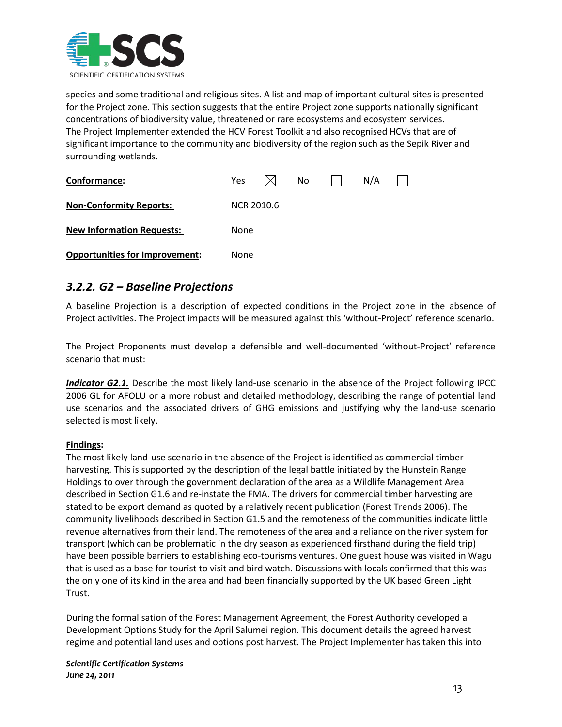

species and some traditional and religious sites. A list and map of important cultural sites is presented for the Project zone. This section suggests that the entire Project zone supports nationally significant concentrations of biodiversity value, threatened or rare ecosystems and ecosystem services. The Project Implementer extended the HCV Forest Toolkit and also recognised HCVs that are of significant importance to the community and biodiversity of the region such as the Sepik River and surrounding wetlands.

| Conformance:                          | Yes        | No. |  | N/A |  |
|---------------------------------------|------------|-----|--|-----|--|
| <b>Non-Conformity Reports:</b>        | NCR 2010.6 |     |  |     |  |
| <b>New Information Requests:</b>      | None       |     |  |     |  |
| <b>Opportunities for Improvement:</b> | None       |     |  |     |  |

# <span id="page-13-0"></span>*3.2.2. G2 – Baseline Projections*

A baseline Projection is a description of expected conditions in the Project zone in the absence of Project activities. The Project impacts will be measured against this 'without-Project' reference scenario.

The Project Proponents must develop a defensible and well-documented 'without-Project' reference scenario that must:

*Indicator G2.1.* Describe the most likely land-use scenario in the absence of the Project following IPCC 2006 GL for AFOLU or a more robust and detailed methodology, describing the range of potential land use scenarios and the associated drivers of GHG emissions and justifying why the land-use scenario selected is most likely.

# **Findings :**

The most likely land-use scenario in the absence of the Project is identified as commercial timber harvesting. This is supported by the description of the legal battle initiated by the Hunstein Range Holdings to over through the government declaration of the area as a Wildlife Management Area described in Section G1.6 and re-instate the FMA. The drivers for commercial timber harvesting are stated to be export demand as quoted by a relatively recent publication (Forest Trends 2006). The community livelihoods described in Section G1.5 and the remoteness of the communities indicate little revenue alternatives from their land. The remoteness of the area and a reliance on the river system for transport (which can be problematic in the dry season as experienced firsthand during the field trip) have been possible barriers to establishing eco-tourisms ventures. One guest house was visited in Wagu that is used as a base for tourist to visit and bird watch. Discussions with locals confirmed that this was the only one of its kind in the area and had been financially supported by the UK based Green Light Trust.

During the formalisation of the Forest Management Agreement, the Forest Authority developed a Development Options Study for the April Salumei region. This document details the agreed harvest regime and potential land uses and options post harvest. The Project Implementer has taken this into

*Scientific Certification Systems June 24, 2011*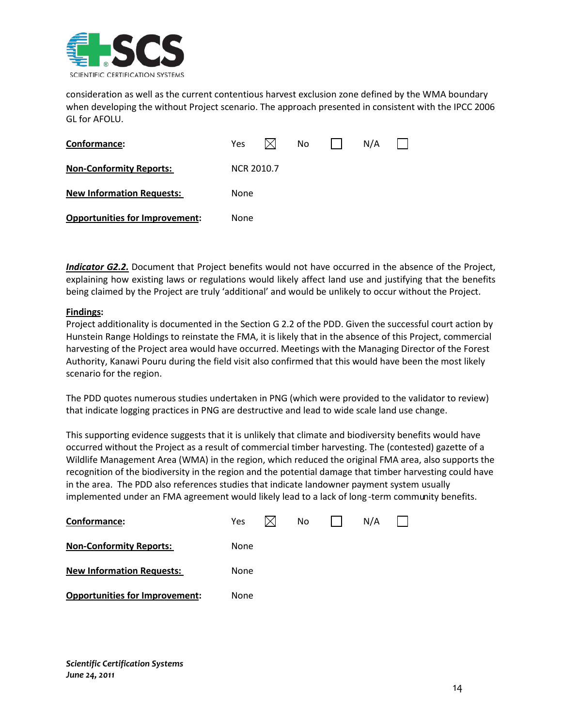

consideration as well as the current contentious harvest exclusion zone defined by the WMA boundary when developing the without Project scenario. The approach presented in consistent with the IPCC 2006 GL for AFOLU.

| Conformance:                          | Yes               |  | No |  | N/A |  |
|---------------------------------------|-------------------|--|----|--|-----|--|
| <b>Non-Conformity Reports:</b>        | <b>NCR 2010.7</b> |  |    |  |     |  |
| <b>New Information Requests:</b>      | None              |  |    |  |     |  |
| <b>Opportunities for Improvement:</b> | None              |  |    |  |     |  |

*Indicator G2.2.* Document that Project benefits would not have occurred in the absence of the Project, explaining how existing laws or regulations would likely affect land use and justifying that the benefits being claimed by the Project are truly 'additional' and would be unlikely to occur without the Project.

# **Findings :**

Project additionality is documented in the Section G 2.2 of the PDD. Given the successful court action by Hunstein Range Holdings to reinstate the FMA, it is likely that in the absence of this Project, commercial harvesting of the Project area would have occurred. Meetings with the Managing Director of the Forest Authority, Kanawi Pouru during the field visit also confirmed that this would have been the most likely scenario for the region.

The PDD quotes numerous studies undertaken in PNG (which were provided to the validator to review) that indicate logging practices in PNG are destructive and lead to wide scale land use change.

This supporting evidence suggests that it is unlikely that climate and biodiversity benefits would have occurred without the Project as a result of commercial timber harvesting. The (contested) gazette of a Wildlife Management Area (WMA) in the region, which reduced the original FMA area, also supports the recognition of the biodiversity in the region and the potential damage that timber harvesting could have in the area. The PDD also references studies that indicate landowner payment system usually implemented under an FMA agreement would likely lead to a lack of long -term community benefits.

| Conformance:                          | <b>Yes</b> | No. | N/A |  |
|---------------------------------------|------------|-----|-----|--|
| <b>Non-Conformity Reports:</b>        | None       |     |     |  |
| <b>New Information Requests:</b>      | None       |     |     |  |
| <b>Opportunities for Improvement:</b> | None       |     |     |  |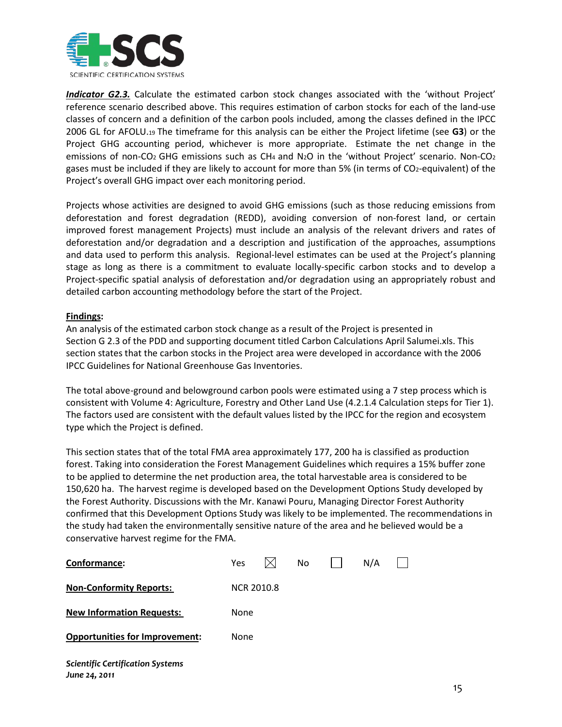

*Indicator G2.3.* Calculate the estimated carbon stock changes associated with the 'without Project' reference scenario described above. This requires estimation of carbon stocks for each of the land-use classes of concern and a definition of the carbon pools included, among the classes defined in the IPCC 2006 GL for AFOLU.19 The timeframe for this analysis can be either the Project lifetime (see **G3**) or the Project GHG accounting period, whichever is more appropriate. Estimate the net change in the emissions of non-CO<sub>2</sub> GHG emissions such as CH<sub>4</sub> and N<sub>2</sub>O in the 'without Project' scenario. Non-CO<sub>2</sub> gases must be included if they are likely to account for more than 5% (in terms of CO2-equivalent) of the Project's overall GHG impact over each monitoring period.

Projects whose activities are designed to avoid GHG emissions (such as those reducing emissions from deforestation and forest degradation (REDD), avoiding conversion of non-forest land, or certain improved forest management Projects) must include an analysis of the relevant drivers and rates of deforestation and/or degradation and a description and justification of the approaches, assumptions and data used to perform this analysis. Regional-level estimates can be used at the Project's planning stage as long as there is a commitment to evaluate locally-specific carbon stocks and to develop a Project-specific spatial analysis of deforestation and/or degradation using an appropriately robust and detailed carbon accounting methodology before the start of the Project.

# **Findings :**

An analysis of the estimated carbon stock change as a result of the Project is presented in Section G 2.3 of the PDD and supporting document titled Carbon Calculations April Salumei.xls. This section states that the carbon stocks in the Project area were developed in accordance with the 2006 IPCC Guidelines for National Greenhouse Gas Inventories.

The total above-ground and belowground carbon pools were estimated using a 7 step process which is consistent with Volume 4: Agriculture, Forestry and Other Land Use (4.2.1.4 Calculation steps for Tier 1). The factors used are consistent with the default values listed by the IPCC for the region and ecosystem type which the Project is defined.

This section states that of the total FMA area approximately 177, 200 ha is classified as production forest. Taking into consideration the Forest Management Guidelines which requires a 15% buffer zone to be applied to determine the net production area, the total harvestable area is considered to be 150,620 ha. The harvest regime is developed based on the Development Options Study developed by the Forest Authority. Discussions with the Mr. Kanawi Pouru, Managing Director Forest Authority confirmed that this Development Options Study was likely to be implemented. The recommendations in the study had taken the environmentally sensitive nature of the area and he believed would be a conservative harvest regime for the FMA.

| Conformance:                                             | Yes               | No | N/A |  |
|----------------------------------------------------------|-------------------|----|-----|--|
| <b>Non-Conformity Reports:</b>                           | <b>NCR 2010.8</b> |    |     |  |
| <b>New Information Requests:</b>                         | None              |    |     |  |
| <b>Opportunities for Improvement:</b>                    | None              |    |     |  |
| <b>Scientific Certification Systems</b><br>June 24, 2011 |                   |    |     |  |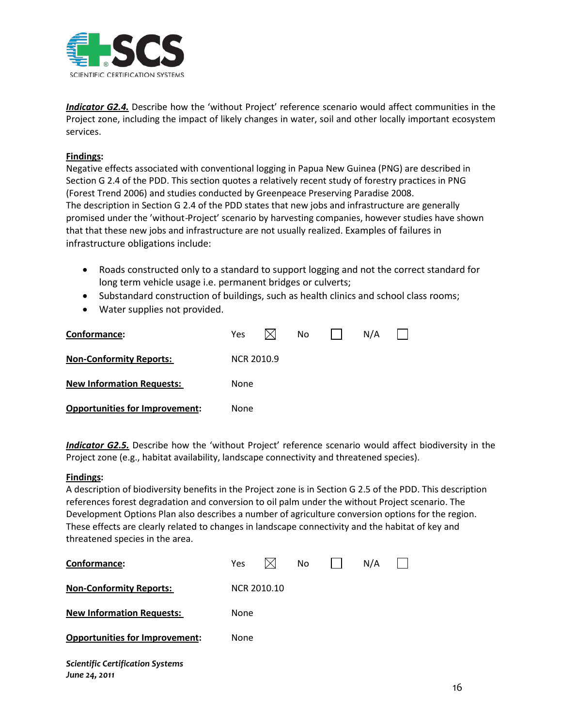

*Indicator G2.4.* Describe how the 'without Project' reference scenario would affect communities in the Project zone, including the impact of likely changes in water, soil and other locally important ecosystem services.

# **Findings :**

Negative effects associated with conventional logging in Papua New Guinea (PNG) are described in Section G 2.4 of the PDD. This section quotes a relatively recent study of forestry practices in PNG (Forest Trend 2006) and studies conducted by Greenpeace Preserving Paradise 2008. The description in Section G 2.4 of the PDD states that new jobs and infrastructure are generally promised under the 'without-Project' scenario by harvesting companies, however studies have shown that that these new jobs and infrastructure are not usually realized. Examples of failures in infrastructure obligations include:

- Roads constructed only to a standard to support logging and not the correct standard for long term vehicle usage i.e. permanent bridges or culverts;
- Substandard construction of buildings, such as health clinics and school class rooms;
- Water supplies not provided.

| Conformance:                          | Yes  |                   | No |  | N/A |  |  |  |
|---------------------------------------|------|-------------------|----|--|-----|--|--|--|
| <b>Non-Conformity Reports:</b>        |      | <b>NCR 2010.9</b> |    |  |     |  |  |  |
| <b>New Information Requests:</b>      | None |                   |    |  |     |  |  |  |
| <b>Opportunities for Improvement:</b> | None |                   |    |  |     |  |  |  |

*Indicator G2.5.* Describe how the 'without Project' reference scenario would affect biodiversity in the Project zone (e.g., habitat availability, landscape connectivity and threatened species).

#### **Findings :**

A description of biodiversity benefits in the Project zone is in Section G 2.5 of the PDD. This description references forest degradation and conversion to oil palm under the without Project scenario. The Development Options Plan also describes a number of agriculture conversion options for the region. These effects are clearly related to changes in landscape connectivity and the habitat of key and threatened species in the area.

| Conformance:                                             | Yes         |  | No. |  | N/A |  |  |  |  |  |
|----------------------------------------------------------|-------------|--|-----|--|-----|--|--|--|--|--|
| <b>Non-Conformity Reports:</b>                           | NCR 2010.10 |  |     |  |     |  |  |  |  |  |
| <b>New Information Requests:</b>                         | None        |  |     |  |     |  |  |  |  |  |
| <b>Opportunities for Improvement:</b>                    | None        |  |     |  |     |  |  |  |  |  |
| <b>Scientific Certification Systems</b><br>June 24, 2011 |             |  |     |  |     |  |  |  |  |  |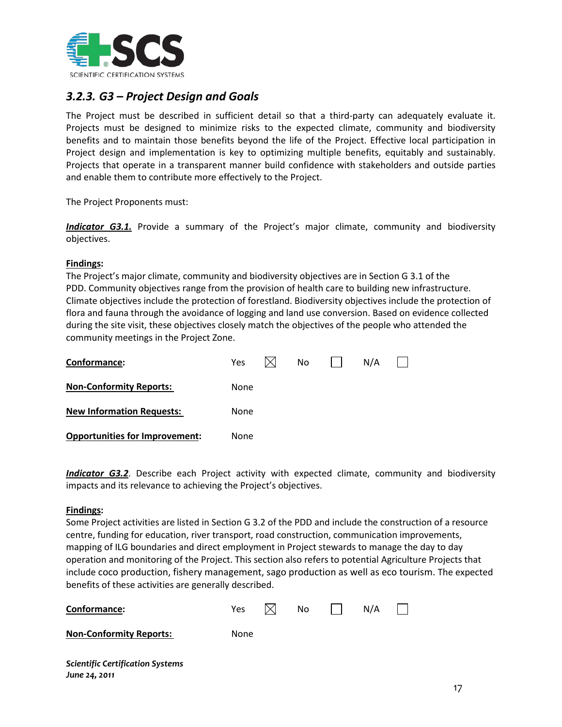

# <span id="page-17-0"></span>*3.2.3. G3 – Project Design and Goals*

The Project must be described in sufficient detail so that a third-party can adequately evaluate it. Projects must be designed to minimize risks to the expected climate, community and biodiversity benefits and to maintain those benefits beyond the life of the Project. Effective local participation in Project design and implementation is key to optimizing multiple benefits, equitably and sustainably. Projects that operate in a transparent manner build confidence with stakeholders and outside parties and enable them to contribute more effectively to the Project.

The Project Proponents must:

**Indicator G3.1.** Provide a summary of the Project's major climate, community and biodiversity objectives.

#### **Findings :**

The Project's major climate, community and biodiversity objectives are in Section G 3.1 of the PDD. Community objectives range from the provision of health care to building new infrastructure. Climate objectives include the protection of forestland. Biodiversity objectives include the protection of flora and fauna through the avoidance of logging and land use conversion. Based on evidence collected during the site visit, these objectives closely match the objectives of the people who attended the community meetings in the Project Zone.

| Conformance:                          | Yes.        |  | No |  | N/A |  |  |  |  |
|---------------------------------------|-------------|--|----|--|-----|--|--|--|--|
| <b>Non-Conformity Reports:</b>        | None        |  |    |  |     |  |  |  |  |
| <b>New Information Requests:</b>      | <b>None</b> |  |    |  |     |  |  |  |  |
| <b>Opportunities for Improvement:</b> | None        |  |    |  |     |  |  |  |  |

*Indicator G3.2*. Describe each Project activity with expected climate, community and biodiversity impacts and its relevance to achieving the Project's objectives.

# **Findings :**

*June 24, 2011*

Some Project activities are listed in Section G 3.2 of the PDD and include the construction of a resource centre, funding for education, river transport, road construction, communication improvements, mapping of ILG boundaries and direct employment in Project stewards to manage the day to day operation and monitoring of the Project. This section also refers to potential Agriculture Projects that include coco production, fishery management, sago production as well as eco tourism. The expected benefits of these activities are generally described.

| Conformance:                            | Yes  | No l | N/A |  |
|-----------------------------------------|------|------|-----|--|
| <b>Non-Conformity Reports:</b>          | None |      |     |  |
| <b>Scientific Certification Systems</b> |      |      |     |  |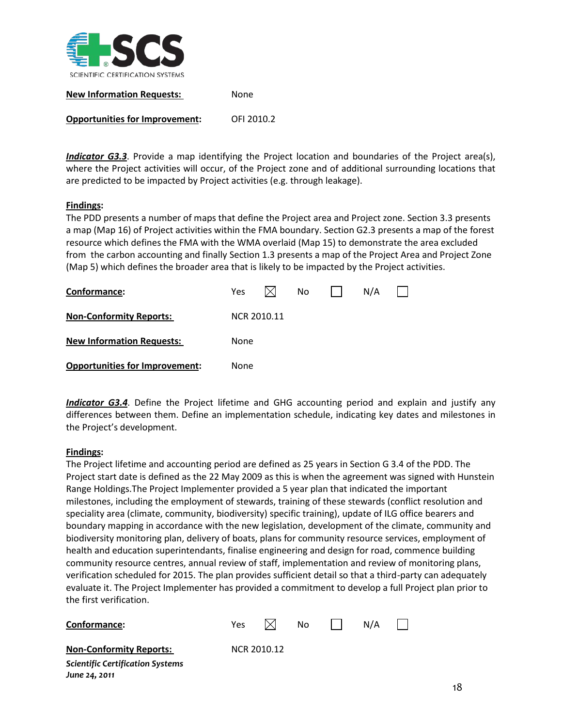

| <b>New Information Requests:</b> | None |
|----------------------------------|------|
|                                  |      |

**Opportunities for Improvement:** OFI 2010.2

*Indicator G3.3*. Provide a map identifying the Project location and boundaries of the Project area(s), where the Project activities will occur, of the Project zone and of additional surrounding locations that are predicted to be impacted by Project activities (e.g. through leakage).

# **Findings :**

The PDD presents a number of maps that define the Project area and Project zone. Section 3.3 presents a map (Map 16) of Project activities within the FMA boundary. Section G2.3 presents a map of the forest resource which defines the FMA with the WMA overlaid (Map 15) to demonstrate the area excluded from the carbon accounting and finally Section 1.3 presents a map of the Project Area and Project Zone (Map 5) which defines the broader area that is likely to be impacted by the Project activities.

| Conformance:                          | <b>Yes</b>  |  | No |  | N/A |  |  |  |  |
|---------------------------------------|-------------|--|----|--|-----|--|--|--|--|
| <b>Non-Conformity Reports:</b>        | NCR 2010.11 |  |    |  |     |  |  |  |  |
| <b>New Information Requests:</b>      | None        |  |    |  |     |  |  |  |  |
| <b>Opportunities for Improvement:</b> | None        |  |    |  |     |  |  |  |  |

*Indicator G3.4*. Define the Project lifetime and GHG accounting period and explain and justify any differences between them. Define an implementation schedule, indicating key dates and milestones in the Project's development.

# **Findings :**

The Project lifetime and accounting period are defined as 25 years in Section G 3.4 of the PDD. The Project start date is defined as the 22 May 2009 as this is when the agreement was signed with Hunstein Range Holdings.The Project Implementer provided a 5 year plan that indicated the important milestones, including the employment of stewards, training of these stewards (conflict resolution and speciality area (climate, community, biodiversity) specific training), update of ILG office bearers and boundary mapping in accordance with the new legislation, development of the climate, community and biodiversity monitoring plan, delivery of boats, plans for community resource services, employment of health and education superintendants, finalise engineering and design for road, commence building community resource centres, annual review of staff, implementation and review of monitoring plans, verification scheduled for 2015. The plan provides sufficient detail so that a third-party can adequately evaluate it. The Project Implementer has provided a commitment to develop a full Project plan prior to the first verification.

| Conformance:                            | Yes |             | No. | N/A |  |
|-----------------------------------------|-----|-------------|-----|-----|--|
| <b>Non-Conformity Reports:</b>          |     | NCR 2010.12 |     |     |  |
| <b>Scientific Certification Systems</b> |     |             |     |     |  |
| June 24, 2011                           |     |             |     |     |  |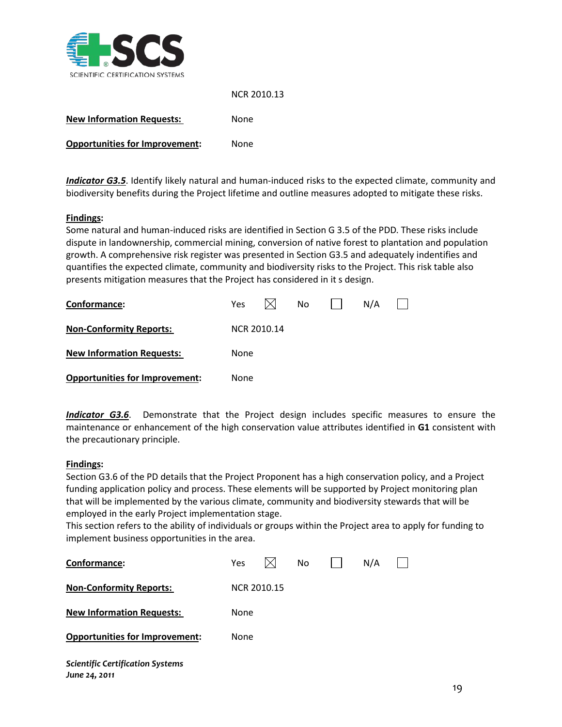

#### NCR 2010.13

| <b>New Information Requests:</b>      | None |
|---------------------------------------|------|
| <b>Opportunities for Improvement:</b> | None |

*Indicator G3.5*. Identify likely natural and human-induced risks to the expected climate, community and biodiversity benefits during the Project lifetime and outline measures adopted to mitigate these risks.

# **Findings :**

Some natural and human-induced risks are identified in Section G 3.5 of the PDD. These risks include dispute in landownership, commercial mining, conversion of native forest to plantation and population growth. A comprehensive risk register was presented in Section G3.5 and adequately indentifies and quantifies the expected climate, community and biodiversity risks to the Project. This risk table also presents mitigation measures that the Project has considered in it s design.

| Conformance:                          | Yes.        |  | No |  | N/A |  |  |  |  |
|---------------------------------------|-------------|--|----|--|-----|--|--|--|--|
| <b>Non-Conformity Reports:</b>        | NCR 2010.14 |  |    |  |     |  |  |  |  |
| <b>New Information Requests:</b>      | None        |  |    |  |     |  |  |  |  |
| <b>Opportunities for Improvement:</b> | None        |  |    |  |     |  |  |  |  |

*Indicator G3.6*. Demonstrate that the Project design includes specific measures to ensure the maintenance or enhancement of the high conservation value attributes identified in **G1** consistent with the precautionary principle.

# **Findings :**

Section G3.6 of the PD details that the Project Proponent has a high conservation policy, and a Project funding application policy and process. These elements will be supported by Project monitoring plan that will be implemented by the various climate, community and biodiversity stewards that will be employed in the early Project implementation stage.

This section refers to the ability of individuals or groups within the Project area to apply for funding to implement business opportunities in the area.

| Conformance:                                             | Yes         |  | No |  | N/A |  |  |  |  |
|----------------------------------------------------------|-------------|--|----|--|-----|--|--|--|--|
| <b>Non-Conformity Reports:</b>                           | NCR 2010.15 |  |    |  |     |  |  |  |  |
| <b>New Information Requests:</b>                         | None        |  |    |  |     |  |  |  |  |
| <b>Opportunities for Improvement:</b>                    | None        |  |    |  |     |  |  |  |  |
| <b>Scientific Certification Systems</b><br>June 24, 2011 |             |  |    |  |     |  |  |  |  |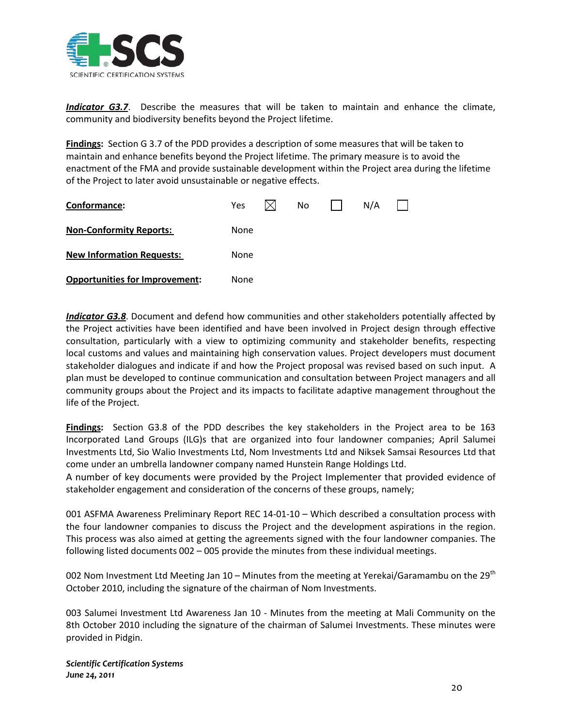

*Indicator G3.7*. Describe the measures that will be taken to maintain and enhance the climate, community and biodiversity benefits beyond the Project lifetime.

**Findings:** Section G 3.7 of the PDD provides a description of some measures that will be taken to maintain and enhance benefits beyond the Project lifetime. The primary measure is to avoid the enactment of the FMA and provide sustainable development within the Project area during the lifetime of the Project to later avoid unsustainable or negative effects.

| Conformance:                          | <b>Yes</b> |  | No |  | N/A |  |  |  |
|---------------------------------------|------------|--|----|--|-----|--|--|--|
| <b>Non-Conformity Reports:</b>        | None       |  |    |  |     |  |  |  |
| <b>New Information Requests:</b>      | None       |  |    |  |     |  |  |  |
| <b>Opportunities for Improvement:</b> | None       |  |    |  |     |  |  |  |

*Indicator G3.8*. Document and defend how communities and other stakeholders potentially affected by the Project activities have been identified and have been involved in Project design through effective consultation, particularly with a view to optimizing community and stakeholder benefits, respecting local customs and values and maintaining high conservation values. Project developers must document stakeholder dialogues and indicate if and how the Project proposal was revised based on such input. A plan must be developed to continue communication and consultation between Project managers and all community groups about the Project and its impacts to facilitate adaptive management throughout the life of the Project.

**Findings :** Section G3.8 of the PDD describes the key stakeholders in the Project area to be 163 Incorporated Land Groups (ILG)s that are organized into four landowner companies; April Salumei Investments Ltd, Sio Walio Investments Ltd, Nom Investments Ltd and Niksek Samsai Resources Ltd that come under an umbrella landowner company named Hunstein Range Holdings Ltd.

A number of key documents were provided by the Project Implementer that provided evidence of stakeholder engagement and consideration of the concerns of these groups, namely;

001 ASFMA Awareness Preliminary Report REC 14-01-10 – Which described a consultation process with the four landowner companies to discuss the Project and the development aspirations in the region. This process was also aimed at getting the agreements signed with the four landowner companies. The following listed documents 002 – 005 provide the minutes from these individual meetings.

002 Nom Investment Ltd Meeting Jan 10 – Minutes from the meeting at Yerekai/Garamambu on the 29<sup>th</sup> October 2010, including the signature of the chairman of Nom Investments.

003 Salumei Investment Ltd Awareness Jan 10 - Minutes from the meeting at Mali Community on the 8th October 2010 including the signature of the chairman of Salumei Investments. These minutes were provided in Pidgin.

*Scientific Certification Systems June 24, 2011*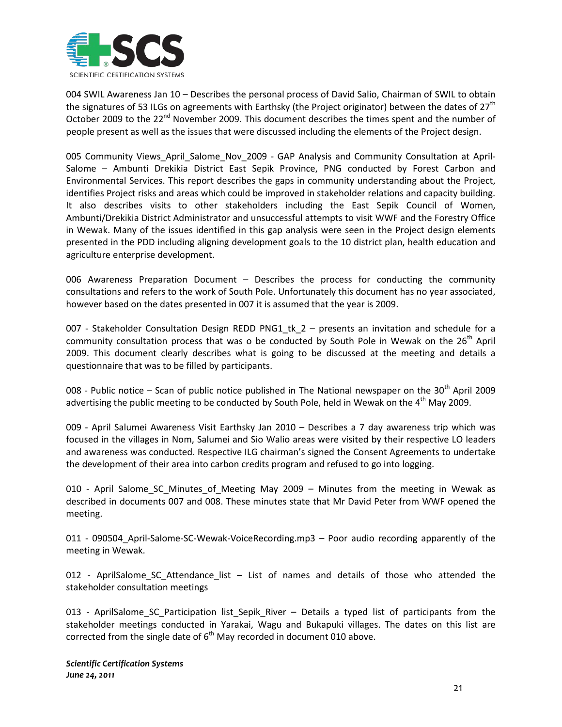

004 SWIL Awareness Jan 10 – Describes the personal process of David Salio, Chairman of SWIL to obtain the signatures of 53 ILGs on agreements with Earthsky (the Project originator) between the dates of  $27<sup>th</sup>$ October 2009 to the  $22<sup>nd</sup>$  November 2009. This document describes the times spent and the number of people present as well as the issues that were discussed including the elements of the Project design.

005 Community Views\_April\_Salome\_Nov\_2009 - GAP Analysis and Community Consultation at April-Salome – Ambunti Drekikia District East Sepik Province, PNG conducted by Forest Carbon and Environmental Services. This report describes the gaps in community understanding about the Project, identifies Project risks and areas which could be improved in stakeholder relations and capacity building. It also describes visits to other stakeholders including the East Sepik Council of Women, Ambunti/Drekikia District Administrator and unsuccessful attempts to visit WWF and the Forestry Office in Wewak. Many of the issues identified in this gap analysis were seen in the Project design elements presented in the PDD including aligning development goals to the 10 district plan, health education and agriculture enterprise development.

006 Awareness Preparation Document – Describes the process for conducting the community consultations and refers to the work of South Pole. Unfortunately this document has no year associated, however based on the dates presented in 007 it is assumed that the year is 2009.

007 - Stakeholder Consultation Design REDD PNG1\_tk\_2 – presents an invitation and schedule for a community consultation process that was o be conducted by South Pole in Wewak on the  $26<sup>th</sup>$  April 2009. This document clearly describes what is going to be discussed at the meeting and details a questionnaire that was to be filled by participants.

008 - Public notice – Scan of public notice published in The National newspaper on the  $30<sup>th</sup>$  April 2009 advertising the public meeting to be conducted by South Pole, held in Wewak on the 4<sup>th</sup> May 2009.

009 - April Salumei Awareness Visit Earthsky Jan 2010 – Describes a 7 day awareness trip which was focused in the villages in Nom, Salumei and Sio Walio areas were visited by their respective LO leaders and awareness was conducted. Respective ILG chairman's signed the Consent Agreements to undertake the development of their area into carbon credits program and refused to go into logging.

010 - April Salome\_SC\_Minutes\_of\_Meeting May 2009 – Minutes from the meeting in Wewak as described in documents 007 and 008. These minutes state that Mr David Peter from WWF opened the meeting.

011 - 090504\_April-Salome-SC-Wewak-VoiceRecording.mp3 – Poor audio recording apparently of the meeting in Wewak.

012 - AprilSalome SC Attendance list – List of names and details of those who attended the stakeholder consultation meetings

013 - AprilSalome\_SC\_Participation list\_Sepik\_River – Details a typed list of participants from the stakeholder meetings conducted in Yarakai, Wagu and Bukapuki villages. The dates on this list are corrected from the single date of  $6<sup>th</sup>$  May recorded in document 010 above.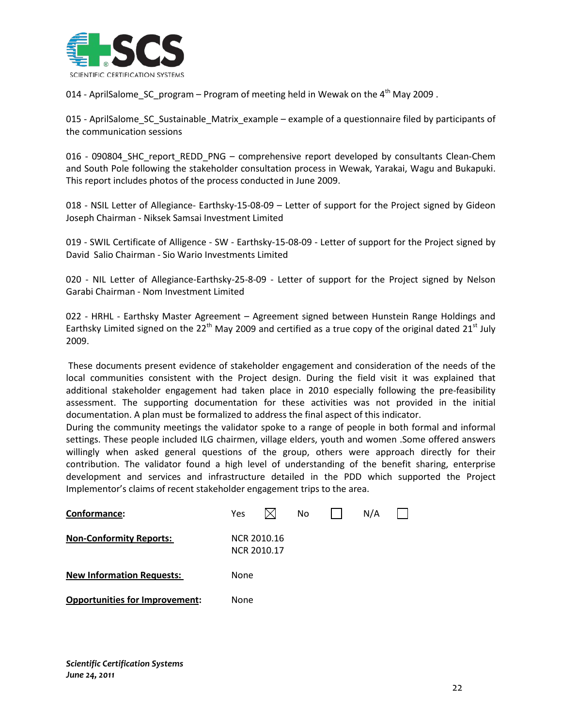

014 - AprilSalome\_SC\_program – Program of meeting held in Wewak on the  $4^{th}$  May 2009.

015 - AprilSalome\_SC\_Sustainable\_Matrix\_example – example of a questionnaire filed by participants of the communication sessions

016 - 090804\_SHC\_report\_REDD\_PNG – comprehensive report developed by consultants Clean-Chem and South Pole following the stakeholder consultation process in Wewak, Yarakai, Wagu and Bukapuki. This report includes photos of the process conducted in June 2009.

018 - NSIL Letter of Allegiance- Earthsky-15-08-09 – Letter of support for the Project signed by Gideon Joseph Chairman - Niksek Samsai Investment Limited

019 - SWIL Certificate of Alligence - SW - Earthsky-15-08-09 - Letter of support for the Project signed by David Salio Chairman - Sio Wario Investments Limited

020 - NIL Letter of Allegiance-Earthsky-25-8-09 - Letter of support for the Project signed by Nelson Garabi Chairman - Nom Investment Limited

022 - HRHL - Earthsky Master Agreement – Agreement signed between Hunstein Range Holdings and Earthsky Limited signed on the 22<sup>th</sup> May 2009 and certified as a true copy of the original dated 21<sup>st</sup> July 2009.

These documents present evidence of stakeholder engagement and consideration of the needs of the local communities consistent with the Project design. During the field visit it was explained that additional stakeholder engagement had taken place in 2010 especially following the pre-feasibility assessment. The supporting documentation for these activities was not provided in the initial documentation. A plan must be formalized to address the final aspect of this indicator.

During the community meetings the validator spoke to a range of people in both formal and informal settings. These people included ILG chairmen, village elders, youth and women .Some offered answers willingly when asked general questions of the group, others were approach directly for their contribution. The validator found a high level of understanding of the benefit sharing, enterprise development and services and infrastructure detailed in the PDD which supported the Project Implementor's claims of recent stakeholder engagement trips to the area.

| Conformance:                          | Yes  |                            | No. | N/A |  |
|---------------------------------------|------|----------------------------|-----|-----|--|
| <b>Non-Conformity Reports:</b>        |      | NCR 2010.16<br>NCR 2010.17 |     |     |  |
| <b>New Information Requests:</b>      | None |                            |     |     |  |
| <b>Opportunities for Improvement:</b> | None |                            |     |     |  |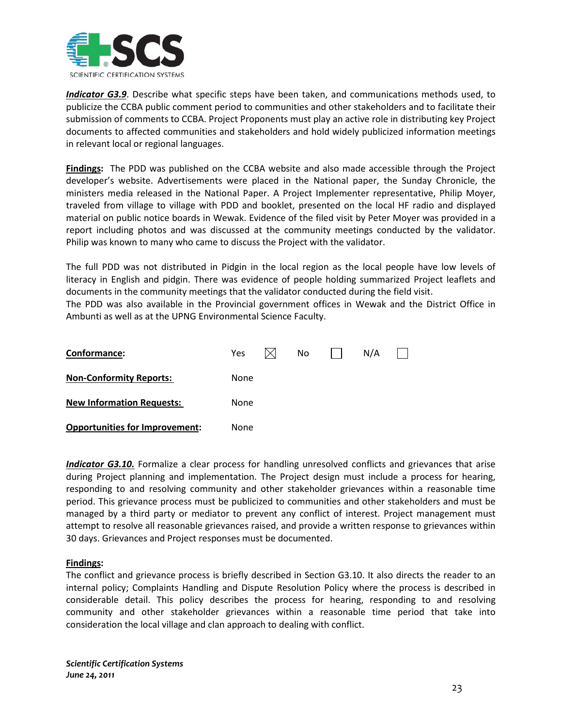

*Indicator G3.9*. Describe what specific steps have been taken, and communications methods used, to publicize the CCBA public comment period to communities and other stakeholders and to facilitate their submission of comments to CCBA. Project Proponents must play an active role in distributing key Project documents to affected communities and stakeholders and hold widely publicized information meetings in relevant local or regional languages.

**Findings:** The PDD was published on the CCBA website and also made accessible through the Project developer's website. Advertisements were placed in the National paper, the Sunday Chronicle, the ministers media released in the National Paper. A Project Implementer representative, Philip Moyer, traveled from village to village with PDD and booklet, presented on the local HF radio and displayed material on public notice boards in Wewak. Evidence of the filed visit by Peter Moyer was provided in a report including photos and was discussed at the community meetings conducted by the validator. Philip was known to many who came to discuss the Project with the validator.

The full PDD was not distributed in Pidgin in the local region as the local people have low levels of literacy in English and pidgin. There was evidence of people holding summarized Project leaflets and documents in the community meetings that the validator conducted during the field visit.

The PDD was also available in the Provincial government offices in Wewak and the District Office in Ambunti as well as at the UPNG Environmental Science Faculty.

| Conformance:                          | <b>Yes</b>  |  | No. |  | N/A |  |  |  |
|---------------------------------------|-------------|--|-----|--|-----|--|--|--|
| <b>Non-Conformity Reports:</b>        | None        |  |     |  |     |  |  |  |
| <b>New Information Requests:</b>      | <b>None</b> |  |     |  |     |  |  |  |
| <b>Opportunities for Improvement:</b> | None        |  |     |  |     |  |  |  |

**Indicator G3.10.** Formalize a clear process for handling unresolved conflicts and grievances that arise during Project planning and implementation. The Project design must include a process for hearing, responding to and resolving community and other stakeholder grievances within a reasonable time period. This grievance process must be publicized to communities and other stakeholders and must be managed by a third party or mediator to prevent any conflict of interest. Project management must attempt to resolve all reasonable grievances raised, and provide a written response to grievances within 30 days. Grievances and Project responses must be documented.

# **Findings :**

The conflict and grievance process is briefly described in Section G3.10. It also directs the reader to an internal policy; Complaints Handling and Dispute Resolution Policy where the process is described in considerable detail. This policy describes the process for hearing, responding to and resolving community and other stakeholder grievances within a reasonable time period that take into consideration the local village and clan approach to dealing with conflict.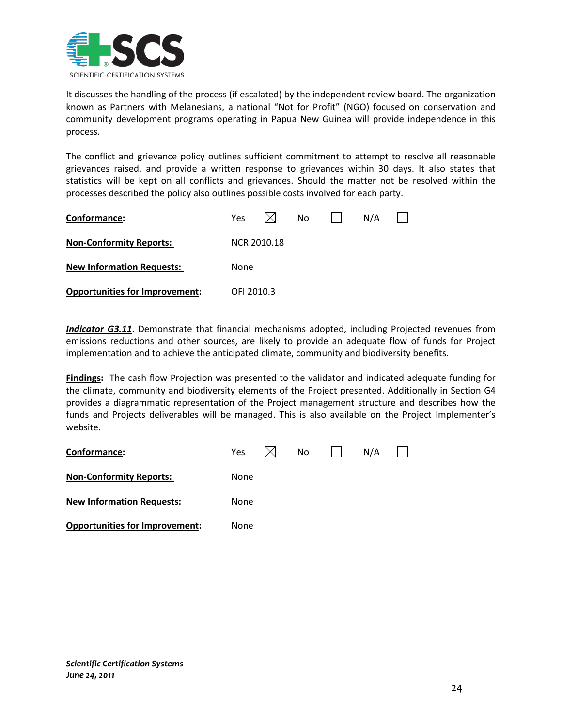

It discusses the handling of the process (if escalated) by the independent review board. The organization known as Partners with Melanesians, a national "Not for Profit" (NGO) focused on conservation and community development programs operating in Papua New Guinea will provide independence in this process.

The conflict and grievance policy outlines sufficient commitment to attempt to resolve all reasonable grievances raised, and provide a written response to grievances within 30 days. It also states that statistics will be kept on all conflicts and grievances. Should the matter not be resolved within the processes described the policy also outlines possible costs involved for each party.

| Conformance:                          | <b>Yes</b>  |  | No |  | N/A |  |  |  |  |
|---------------------------------------|-------------|--|----|--|-----|--|--|--|--|
| <b>Non-Conformity Reports:</b>        | NCR 2010.18 |  |    |  |     |  |  |  |  |
| <b>New Information Requests:</b>      | None        |  |    |  |     |  |  |  |  |
| <b>Opportunities for Improvement:</b> | OFI 2010.3  |  |    |  |     |  |  |  |  |

*Indicator G3.11*. Demonstrate that financial mechanisms adopted, including Projected revenues from emissions reductions and other sources, are likely to provide an adequate flow of funds for Project implementation and to achieve the anticipated climate, community and biodiversity benefits.

**Findings:** The cash flow Projection was presented to the validator and indicated adequate funding for the climate, community and biodiversity elements of the Project presented. Additionally in Section G4 provides a diagrammatic representation of the Project management structure and describes how the funds and Projects deliverables will be managed. This is also available on the Project Implementer's website.

<span id="page-24-0"></span>

| Conformance:                          | Yes  |  | No |  | N/A |  |  |  |  |
|---------------------------------------|------|--|----|--|-----|--|--|--|--|
| <b>Non-Conformity Reports:</b>        | None |  |    |  |     |  |  |  |  |
| <b>New Information Requests:</b>      | None |  |    |  |     |  |  |  |  |
| <b>Opportunities for Improvement:</b> | None |  |    |  |     |  |  |  |  |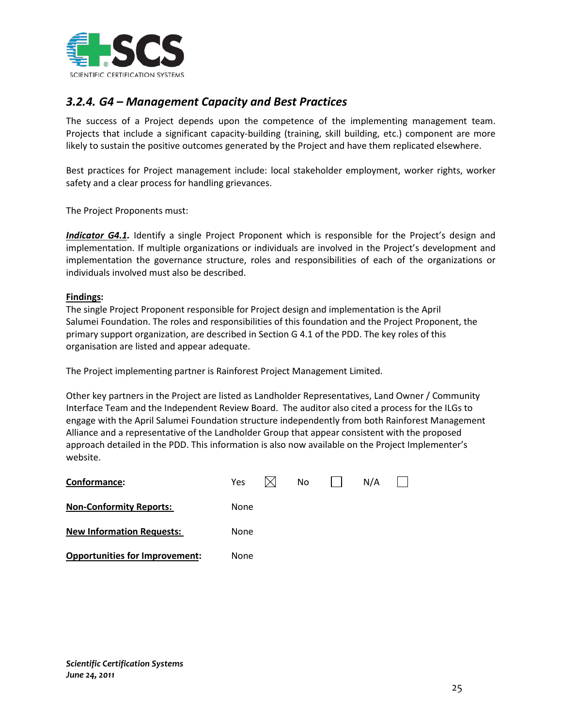

# *3.2.4. G4 – Management Capacity and Best Practices*

The success of a Project depends upon the competence of the implementing management team. Projects that include a significant capacity-building (training, skill building, etc.) component are more likely to sustain the positive outcomes generated by the Project and have them replicated elsewhere.

Best practices for Project management include: local stakeholder employment, worker rights, worker safety and a clear process for handling grievances.

The Project Proponents must:

*Indicator G4.1.* Identify a single Project Proponent which is responsible for the Project's design and implementation. If multiple organizations or individuals are involved in the Project's development and implementation the governance structure, roles and responsibilities of each of the organizations or individuals involved must also be described.

# **Findings :**

The single Project Proponent responsible for Project design and implementation is the April Salumei Foundation. The roles and responsibilities of this foundation and the Project Proponent, the primary support organization, are described in Section G 4.1 of the PDD. The key roles of this organisation are listed and appear adequate.

The Project implementing partner is Rainforest Project Management Limited.

Other key partners in the Project are listed as Landholder Representatives, Land Owner / Community Interface Team and the Independent Review Board. The auditor also cited a process for the ILGs to engage with the April Salumei Foundation structure independently from both Rainforest Management Alliance and a representative of the Landholder Group that appear consistent with the proposed approach detailed in the PDD. This information is also now available on the Project Implementer's website.

| Conformance:                          | <b>Yes</b> |  | No |  | N/A |  |  |  |
|---------------------------------------|------------|--|----|--|-----|--|--|--|
| <b>Non-Conformity Reports:</b>        | None       |  |    |  |     |  |  |  |
| <b>New Information Requests:</b>      | None       |  |    |  |     |  |  |  |
| <b>Opportunities for Improvement:</b> | None       |  |    |  |     |  |  |  |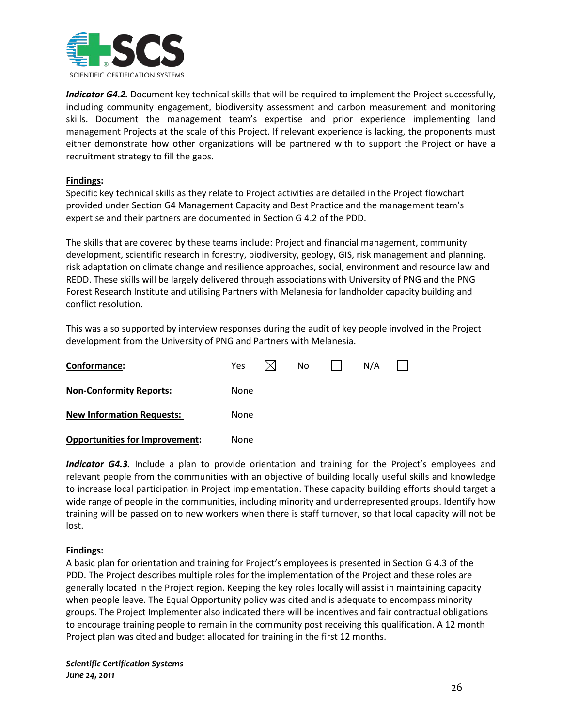

*Indicator G4.2.* Document key technical skills that will be required to implement the Project successfully, including community engagement, biodiversity assessment and carbon measurement and monitoring skills. Document the management team's expertise and prior experience implementing land management Projects at the scale of this Project. If relevant experience is lacking, the proponents must either demonstrate how other organizations will be partnered with to support the Project or have a recruitment strategy to fill the gaps.

# **Findings :**

Specific key technical skills as they relate to Project activities are detailed in the Project flowchart provided under Section G4 Management Capacity and Best Practice and the management team's expertise and their partners are documented in Section G 4.2 of the PDD.

The skills that are covered by these teams include: Project and financial management, community development, scientific research in forestry, biodiversity, geology, GIS, risk management and planning, risk adaptation on climate change and resilience approaches, social, environment and resource law and REDD. These skills will be largely delivered through associations with University of PNG and the PNG Forest Research Institute and utilising Partners with Melanesia for landholder capacity building and conflict resolution.

This was also supported by interview responses during the audit of key people involved in the Project development from the University of PNG and Partners with Melanesia.

| Conformance:                          | <b>Yes</b> |  | No. |  | N/A |  |  |  |
|---------------------------------------|------------|--|-----|--|-----|--|--|--|
| <b>Non-Conformity Reports:</b>        | None       |  |     |  |     |  |  |  |
| <b>New Information Requests:</b>      | None       |  |     |  |     |  |  |  |
| <b>Opportunities for Improvement:</b> | None       |  |     |  |     |  |  |  |

**Indicator G4.3.** Include a plan to provide orientation and training for the Project's employees and relevant people from the communities with an objective of building locally useful skills and knowledge to increase local participation in Project implementation. These capacity building efforts should target a wide range of people in the communities, including minority and underrepresented groups. Identify how training will be passed on to new workers when there is staff turnover, so that local capacity will not be lost.

# **Findings :**

A basic plan for orientation and training for Project's employees is presented in Section G 4.3 of the PDD. The Project describes multiple roles for the implementation of the Project and these roles are generally located in the Project region. Keeping the key roles locally will assist in maintaining capacity when people leave. The Equal Opportunity policy was cited and is adequate to encompass minority groups. The Project Implementer also indicated there will be incentives and fair contractual obligations to encourage training people to remain in the community post receiving this qualification. A 12 month Project plan was cited and budget allocated for training in the first 12 months.

*Scientific Certification Systems June 24, 2011*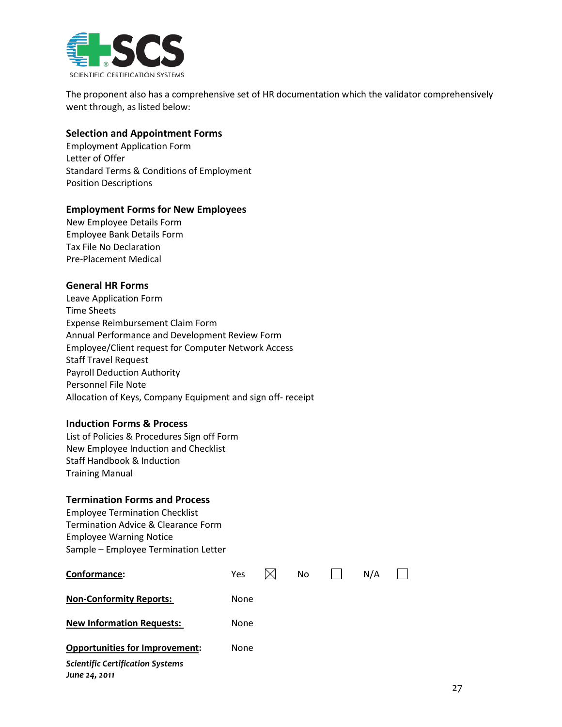

The proponent also has a comprehensive set of HR documentation which the validator comprehensively went through, as listed below:

# **Selection and Appointment Forms**

Employment Application Form Letter of Offer Standard Terms & Conditions of Employment Position Descriptions

# **Employment Forms for New Employees**

New Employee Details Form Employee Bank Details Form Tax File No Declaration Pre-Placement Medical

# **General HR Forms**

Leave Application Form Time Sheets Expense Reimbursement Claim Form Annual Performance and Development Review Form Employee/Client request for Computer Network Access Staff Travel Request Payroll Deduction Authority Personnel File Note Allocation of Keys, Company Equipment and sign off- receipt

# **Induction Forms & Process**

List of Policies & Procedures Sign off Form New Employee Induction and Checklist Staff Handbook & Induction Training Manual

# **Termination Forms and Process**

Employee Termination Checklist Termination Advice & Clearance Form Employee Warning Notice Sample – Employee Termination Letter

| Conformance:                                             | Yes  | No | N/A |  |
|----------------------------------------------------------|------|----|-----|--|
| <b>Non-Conformity Reports:</b>                           | None |    |     |  |
| <b>New Information Requests:</b>                         | None |    |     |  |
| <b>Opportunities for Improvement:</b>                    | None |    |     |  |
| <b>Scientific Certification Systems</b><br>June 24, 2011 |      |    |     |  |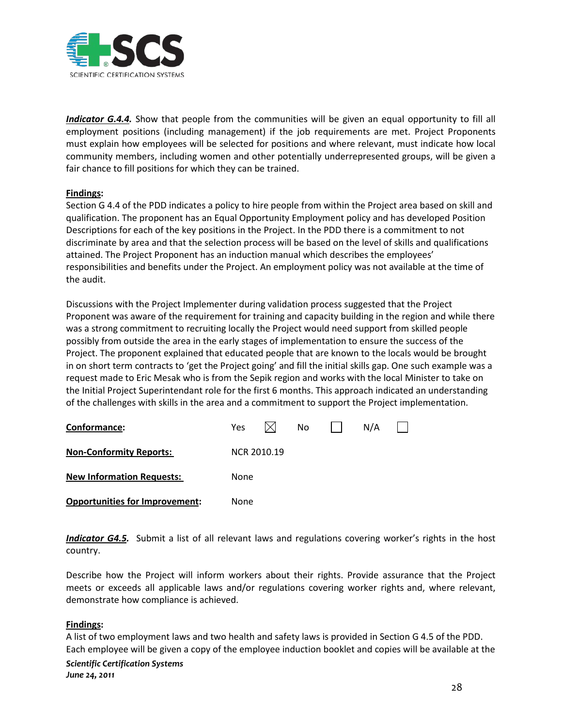

*Indicator G.4.4.* Show that people from the communities will be given an equal opportunity to fill all employment positions (including management) if the job requirements are met. Project Proponents must explain how employees will be selected for positions and where relevant, must indicate how local community members, including women and other potentially underrepresented groups, will be given a fair chance to fill positions for which they can be trained.

# **Findings :**

Section G 4.4 of the PDD indicates a policy to hire people from within the Project area based on skill and qualification. The proponent has an Equal Opportunity Employment policy and has developed Position Descriptions for each of the key positions in the Project. In the PDD there is a commitment to not discriminate by area and that the selection process will be based on the level of skills and qualifications attained. The Project Proponent has an induction manual which describes the employees' responsibilities and benefits under the Project. An employment policy was not available at the time of the audit.

Discussions with the Project Implementer during validation process suggested that the Project Proponent was aware of the requirement for training and capacity building in the region and while there was a strong commitment to recruiting locally the Project would need support from skilled people possibly from outside the area in the early stages of implementation to ensure the success of the Project. The proponent explained that educated people that are known to the locals would be brought in on short term contracts to 'get the Project going' and fill the initial skills gap. One such example was a request made to Eric Mesak who is from the Sepik region and works with the local Minister to take on the Initial Project Superintendant role for the first 6 months. This approach indicated an understanding of the challenges with skills in the area and a commitment to support the Project implementation.

| Conformance:                          | <b>Yes</b>  |  | No |  | N/A |  |  |  |  |
|---------------------------------------|-------------|--|----|--|-----|--|--|--|--|
| <b>Non-Conformity Reports:</b>        | NCR 2010.19 |  |    |  |     |  |  |  |  |
| <b>New Information Requests:</b>      | None        |  |    |  |     |  |  |  |  |
| <b>Opportunities for Improvement:</b> | None        |  |    |  |     |  |  |  |  |

*Indicator G4.5.* Submit a list of all relevant laws and regulations covering worker's rights in the host country.

Describe how the Project will inform workers about their rights. Provide assurance that the Project meets or exceeds all applicable laws and/or regulations covering worker rights and, where relevant, demonstrate how compliance is achieved.

# **Findings :**

*Scientific Certification Systems June 24, 2011* A list of two employment laws and two health and safety laws is provided in Section G 4.5 of the PDD. Each employee will be given a copy of the employee induction booklet and copies will be available at the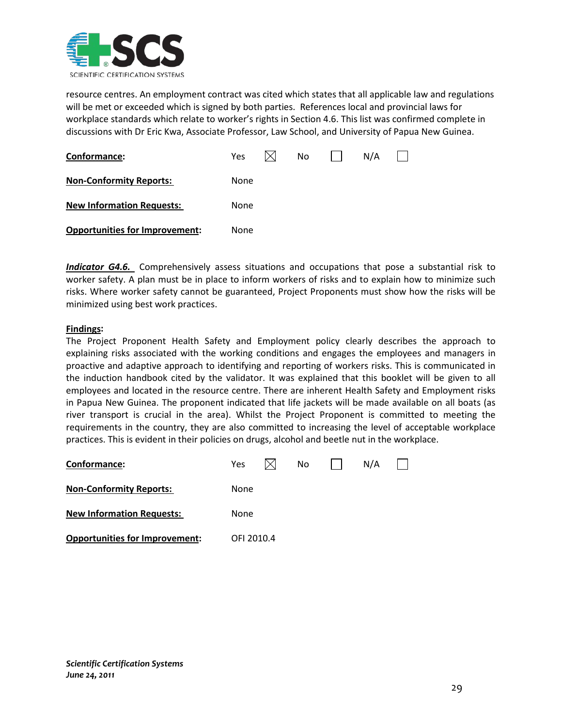

resource centres. An employment contract was cited which states that all applicable law and regulations will be met or exceeded which is signed by both parties. References local and provincial laws for workplace standards which relate to worker's rights in Section 4.6. This list was confirmed complete in discussions with Dr Eric Kwa, Associate Professor, Law School, and University of Papua New Guinea.

| Conformance:                          | Yes  | No | N/A |  |
|---------------------------------------|------|----|-----|--|
| <b>Non-Conformity Reports:</b>        | None |    |     |  |
| <b>New Information Requests:</b>      | None |    |     |  |
| <b>Opportunities for Improvement:</b> | None |    |     |  |

*Indicator G4.6.* Comprehensively assess situations and occupations that pose a substantial risk to worker safety. A plan must be in place to inform workers of risks and to explain how to minimize such risks. Where worker safety cannot be guaranteed, Project Proponents must show how the risks will be minimized using best work practices.

# **Findings :**

The Project Proponent Health Safety and Employment policy clearly describes the approach to explaining risks associated with the working conditions and engages the employees and managers in proactive and adaptive approach to identifying and reporting of workers risks. This is communicated in the induction handbook cited by the validator. It was explained that this booklet will be given to all employees and located in the resource centre. There are inherent Health Safety and Employment risks in Papua New Guinea. The proponent indicated that life jackets will be made available on all boats (as river transport is crucial in the area). Whilst the Project Proponent is committed to meeting the requirements in the country, they are also committed to increasing the level of acceptable workplace practices. This is evident in their policies on drugs, alcohol and beetle nut in the workplace.

| Conformance:                          | Yes        |  | No |  | N/A |  |  |  |  |  |
|---------------------------------------|------------|--|----|--|-----|--|--|--|--|--|
| <b>Non-Conformity Reports:</b>        | None       |  |    |  |     |  |  |  |  |  |
| <b>New Information Requests:</b>      | None       |  |    |  |     |  |  |  |  |  |
| <b>Opportunities for Improvement:</b> | OFI 2010.4 |  |    |  |     |  |  |  |  |  |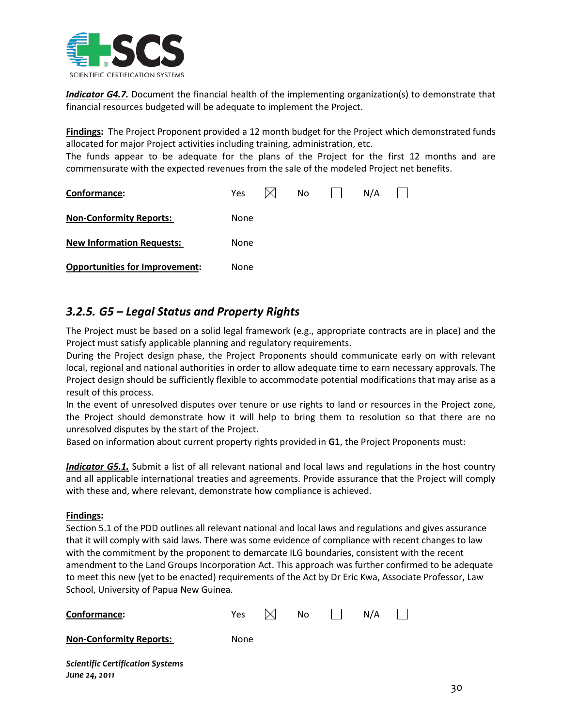

*Indicator G4.7.* Document the financial health of the implementing organization(s) to demonstrate that financial resources budgeted will be adequate to implement the Project.

**Findings :** The Project Proponent provided a 12 month budget for the Project which demonstrated funds allocated for major Project activities including training, administration, etc.

The funds appear to be adequate for the plans of the Project for the first 12 months and are commensurate with the expected revenues from the sale of the modeled Project net benefits.

| Conformance:                          | <b>Yes</b> |  | No. |  | N/A |  |  |  |  |
|---------------------------------------|------------|--|-----|--|-----|--|--|--|--|
| <b>Non-Conformity Reports:</b>        | None       |  |     |  |     |  |  |  |  |
| <b>New Information Requests:</b>      | None       |  |     |  |     |  |  |  |  |
| <b>Opportunities for Improvement:</b> | None       |  |     |  |     |  |  |  |  |

# <span id="page-30-0"></span>*3.2.5. G5 – Legal Status and Property Rights*

The Project must be based on a solid legal framework (e.g., appropriate contracts are in place) and the Project must satisfy applicable planning and regulatory requirements.

During the Project design phase, the Project Proponents should communicate early on with relevant local, regional and national authorities in order to allow adequate time to earn necessary approvals. The Project design should be sufficiently flexible to accommodate potential modifications that may arise as a result of this process.

In the event of unresolved disputes over tenure or use rights to land or resources in the Project zone, the Project should demonstrate how it will help to bring them to resolution so that there are no unresolved disputes by the start of the Project.

Based on information about current property rights provided in **G1**, the Project Proponents must:

*Indicator G5.1.* Submit a list of all relevant national and local laws and regulations in the host country and all applicable international treaties and agreements. Provide assurance that the Project will comply with these and, where relevant, demonstrate how compliance is achieved.

# **Findings :**

*June 24, 2011*

Section 5.1 of the PDD outlines all relevant national and local laws and regulations and gives assurance that it will comply with said laws. There was some evidence of compliance with recent changes to law with the commitment by the proponent to demarcate ILG boundaries, consistent with the recent amendment to the Land Groups Incorporation Act. This approach was further confirmed to be adequate to meet this new (yet to be enacted) requirements of the Act by Dr Eric Kwa, Associate Professor, Law School, University of Papua New Guinea.

| Conformance:                            | Yes  | No. | N/A | $\mathbf{I}$ |
|-----------------------------------------|------|-----|-----|--------------|
| <b>Non-Conformity Reports:</b>          | None |     |     |              |
| <b>Scientific Certification Systems</b> |      |     |     |              |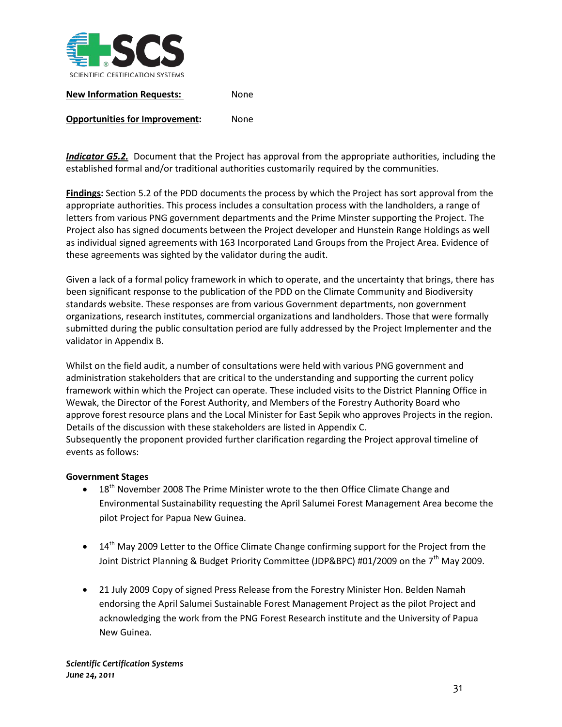

**New Information Requests:** None

# **Opportunities for Improvement:** None

*Indicator G5.2.* Document that the Project has approval from the appropriate authorities, including the established formal and/or traditional authorities customarily required by the communities.

**Findings:** Section 5.2 of the PDD documents the process by which the Project has sort approval from the appropriate authorities. This process includes a consultation process with the landholders, a range of letters from various PNG government departments and the Prime Minster supporting the Project. The Project also has signed documents between the Project developer and Hunstein Range Holdings as well as individual signed agreements with 163 Incorporated Land Groups from the Project Area. Evidence of these agreements was sighted by the validator during the audit.

Given a lack of a formal policy framework in which to operate, and the uncertainty that brings, there has been significant response to the publication of the PDD on the Climate Community and Biodiversity standards website. These responses are from various Government departments, non government organizations, research institutes, commercial organizations and landholders. Those that were formally submitted during the public consultation period are fully addressed by the Project Implementer and the validator in Appendix B.

Whilst on the field audit, a number of consultations were held with various PNG government and administration stakeholders that are critical to the understanding and supporting the current policy framework within which the Project can operate. These included visits to the District Planning Office in Wewak, the Director of the Forest Authority, and Members of the Forestry Authority Board who approve forest resource plans and the Local Minister for East Sepik who approves Projects in the region. Details of the discussion with these stakeholders are listed in Appendix C. Subsequently the proponent provided further clarification regarding the Project approval timeline of events as follows:

# **Government Stages**

- 18<sup>th</sup> November 2008 The Prime Minister wrote to the then Office Climate Change and Environmental Sustainability requesting the April Salumei Forest Management Area become the pilot Project for Papua New Guinea.
- $\bullet$  14<sup>th</sup> May 2009 Letter to the Office Climate Change confirming support for the Project from the Joint District Planning & Budget Priority Committee (JDP&BPC) #01/2009 on the 7<sup>th</sup> May 2009.
- 21 July 2009 Copy of signed Press Release from the Forestry Minister Hon. Belden Namah endorsing the April Salumei Sustainable Forest Management Project as the pilot Project and acknowledging the work from the PNG Forest Research institute and the University of Papua New Guinea.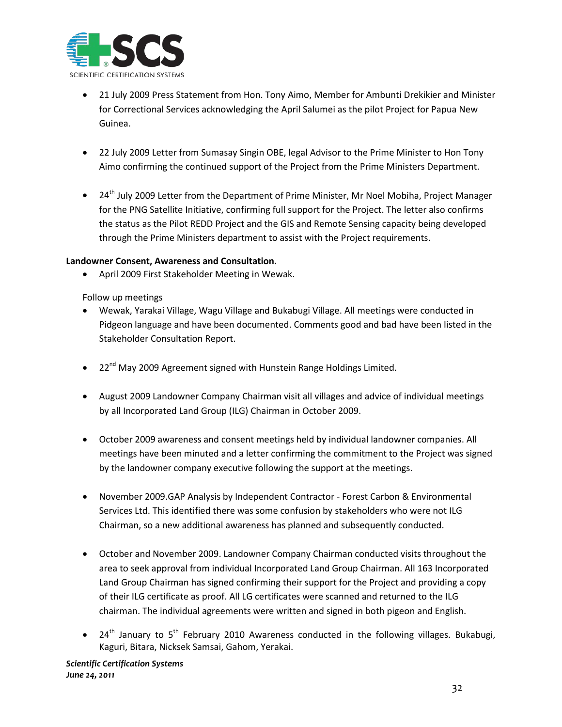

- 21 July 2009 Press Statement from Hon. Tony Aimo, Member for Ambunti Drekikier and Minister for Correctional Services acknowledging the April Salumei as the pilot Project for Papua New Guinea.
- 22 July 2009 Letter from Sumasay Singin OBE, legal Advisor to the Prime Minister to Hon Tony Aimo confirming the continued support of the Project from the Prime Ministers Department.
- 24<sup>th</sup> July 2009 Letter from the Department of Prime Minister, Mr Noel Mobiha, Project Manager for the PNG Satellite Initiative, confirming full support for the Project. The letter also confirms the status as the Pilot REDD Project and the GIS and Remote Sensing capacity being developed through the Prime Ministers department to assist with the Project requirements.

# **Landowner Consent, Awareness and Consultation.**

• April 2009 First Stakeholder Meeting in Wewak.

Follow up meetings

- Wewak, Yarakai Village, Wagu Village and Bukabugi Village. All meetings were conducted in Pidgeon language and have been documented. Comments good and bad have been listed in the Stakeholder Consultation Report.
- 22<sup>nd</sup> May 2009 Agreement signed with Hunstein Range Holdings Limited.
- August 2009 Landowner Company Chairman visit all villages and advice of individual meetings by all Incorporated Land Group (ILG) Chairman in October 2009.
- October 2009 awareness and consent meetings held by individual landowner companies. All meetings have been minuted and a letter confirming the commitment to the Project was signed by the landowner company executive following the support at the meetings.
- November 2009.GAP Analysis by Independent Contractor Forest Carbon & Environmental Services Ltd. This identified there was some confusion by stakeholders who were not ILG Chairman, so a new additional awareness has planned and subsequently conducted.
- October and November 2009. Landowner Company Chairman conducted visits throughout the area to seek approval from individual Incorporated Land Group Chairman. All 163 Incorporated Land Group Chairman has signed confirming their support for the Project and providing a copy of their ILG certificate as proof. All LG certificates were scanned and returned to the ILG chairman. The individual agreements were written and signed in both pigeon and English.
- 24<sup>th</sup> January to 5<sup>th</sup> February 2010 Awareness conducted in the following villages. Bukabugi, Kaguri, Bitara, Nicksek Samsai, Gahom, Yerakai.

*Scientific Certification Systems June 24, 2011*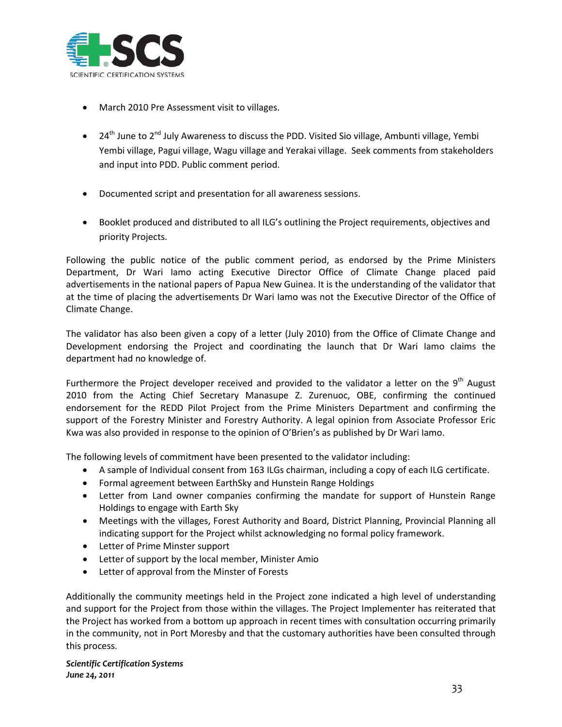

- March 2010 Pre Assessment visit to villages.
- 24<sup>th</sup> June to 2<sup>nd</sup> July Awareness to discuss the PDD. Visited Sio village, Ambunti village, Yembi Yembi village, Pagui village, Wagu village and Yerakai village. Seek comments from stakeholders and input into PDD. Public comment period.
- Documented script and presentation for all awareness sessions.
- Booklet produced and distributed to all ILG's outlining the Project requirements, objectives and priority Projects.

Following the public notice of the public comment period, as endorsed by the Prime Ministers Department, Dr Wari Iamo acting Executive Director Office of Climate Change placed paid advertisements in the national papers of Papua New Guinea. It is the understanding of the validator that at the time of placing the advertisements Dr Wari Iamo was not the Executive Director of the Office of Climate Change.

The validator has also been given a copy of a letter (July 2010) from the Office of Climate Change and Development endorsing the Project and coordinating the launch that Dr Wari Iamo claims the department had no knowledge of.

Furthermore the Project developer received and provided to the validator a letter on the  $9<sup>th</sup>$  August 2010 from the Acting Chief Secretary Manasupe Z. Zurenuoc, OBE, confirming the continued endorsement for the REDD Pilot Project from the Prime Ministers Department and confirming the support of the Forestry Minister and Forestry Authority. A legal opinion from Associate Professor Eric Kwa was also provided in response to the opinion of O'Brien's as published by Dr Wari Iamo.

The following levels of commitment have been presented to the validator including:

- A sample of Individual consent from 163 ILGs chairman, including a copy of each ILG certificate.
- Formal agreement between EarthSky and Hunstein Range Holdings
- Letter from Land owner companies confirming the mandate for support of Hunstein Range Holdings to engage with Earth Sky
- Meetings with the villages, Forest Authority and Board, District Planning, Provincial Planning all indicating support for the Project whilst acknowledging no formal policy framework.
- Letter of Prime Minster support
- Letter of support by the local member, Minister Amio
- Letter of approval from the Minster of Forests

Additionally the community meetings held in the Project zone indicated a high level of understanding and support for the Project from those within the villages. The Project Implementer has reiterated that the Project has worked from a bottom up approach in recent times with consultation occurring primarily in the community, not in Port Moresby and that the customary authorities have been consulted through this process.

*Scientific Certification Systems June 24, 2011*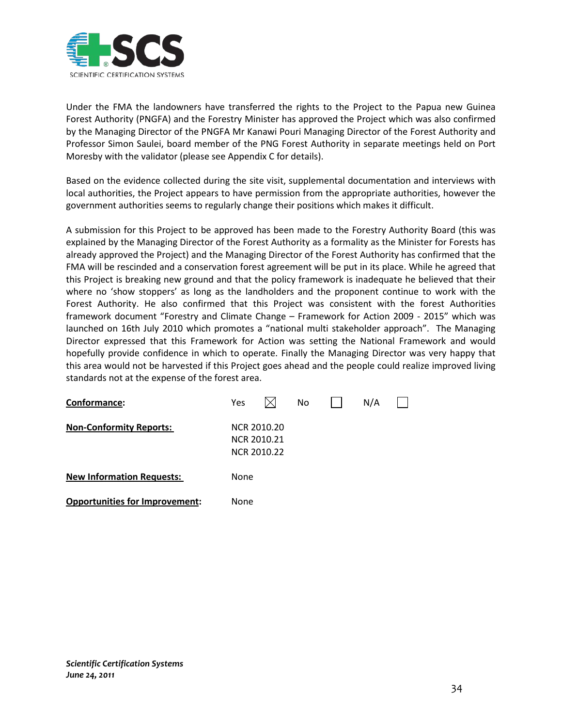

Under the FMA the landowners have transferred the rights to the Project to the Papua new Guinea Forest Authority (PNGFA) and the Forestry Minister has approved the Project which was also confirmed by the Managing Director of the PNGFA Mr Kanawi Pouri Managing Director of the Forest Authority and Professor Simon Saulei, board member of the PNG Forest Authority in separate meetings held on Port Moresby with the validator (please see Appendix C for details).

Based on the evidence collected during the site visit, supplemental documentation and interviews with local authorities, the Project appears to have permission from the appropriate authorities, however the government authorities seems to regularly change their positions which makes it difficult.

A submission for this Project to be approved has been made to the Forestry Authority Board (this was explained by the Managing Director of the Forest Authority as a formality as the Minister for Forests has already approved the Project) and the Managing Director of the Forest Authority has confirmed that the FMA will be rescinded and a conservation forest agreement will be put in its place. While he agreed that this Project is breaking new ground and that the policy framework is inadequate he believed that their where no 'show stoppers' as long as the landholders and the proponent continue to work with the Forest Authority. He also confirmed that this Project was consistent with the forest Authorities framework document "Forestry and Climate Change – Framework for Action 2009 - 2015" which was launched on 16th July 2010 which promotes a "national multi stakeholder approach". The Managing Director expressed that this Framework for Action was setting the National Framework and would hopefully provide confidence in which to operate. Finally the Managing Director was very happy that this area would not be harvested if this Project goes ahead and the people could realize improved living standards not at the expense of the forest area.

| Conformance:                          | Yes  |                                           | No | N/A |  |
|---------------------------------------|------|-------------------------------------------|----|-----|--|
| <b>Non-Conformity Reports:</b>        |      | NCR 2010.20<br>NCR 2010.21<br>NCR 2010.22 |    |     |  |
| <b>New Information Requests:</b>      | None |                                           |    |     |  |
| <b>Opportunities for Improvement:</b> | None |                                           |    |     |  |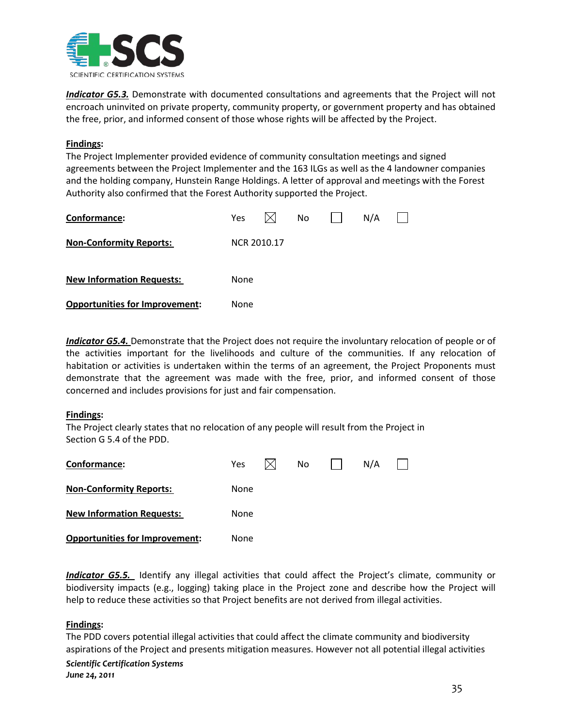

*Indicator G5.3.* Demonstrate with documented consultations and agreements that the Project will not encroach uninvited on private property, community property, or government property and has obtained the free, prior, and informed consent of those whose rights will be affected by the Project.

# **Findings :**

The Project Implementer provided evidence of community consultation meetings and signed agreements between the Project Implementer and the 163 ILGs as well as the 4 landowner companies and the holding company, Hunstein Range Holdings. A letter of approval and meetings with the Forest Authority also confirmed that the Forest Authority supported the Project.

| Conformance:                          | Yes         |  | No |  | N/A |  |  |  |  |
|---------------------------------------|-------------|--|----|--|-----|--|--|--|--|
| <b>Non-Conformity Reports:</b>        | NCR 2010.17 |  |    |  |     |  |  |  |  |
| <b>New Information Requests:</b>      | None        |  |    |  |     |  |  |  |  |
| <b>Opportunities for Improvement:</b> | None        |  |    |  |     |  |  |  |  |

*Indicator G5.4.* Demonstrate that the Project does not require the involuntary relocation of people or of the activities important for the livelihoods and culture of the communities. If any relocation of habitation or activities is undertaken within the terms of an agreement, the Project Proponents must demonstrate that the agreement was made with the free, prior, and informed consent of those concerned and includes provisions for just and fair compensation.

# **Findings :**

The Project clearly states that no relocation of any people will result from the Project in Section G 5.4 of the PDD.

| Conformance:                          | <b>Yes</b> |  | No. |  | N/A |  |
|---------------------------------------|------------|--|-----|--|-----|--|
| <b>Non-Conformity Reports:</b>        | None       |  |     |  |     |  |
| <b>New Information Requests:</b>      | None       |  |     |  |     |  |
| <b>Opportunities for Improvement:</b> | None       |  |     |  |     |  |

*Indicator G5.5.* Identify any illegal activities that could affect the Project's climate, community or biodiversity impacts (e.g., logging) taking place in the Project zone and describe how the Project will help to reduce these activities so that Project benefits are not derived from illegal activities.

# **Findings :**

*Scientific Certification Systems* The PDD covers potential illegal activities that could affect the climate community and biodiversity aspirations of the Project and presents mitigation measures. However not all potential illegal activities

*June 24, 2011*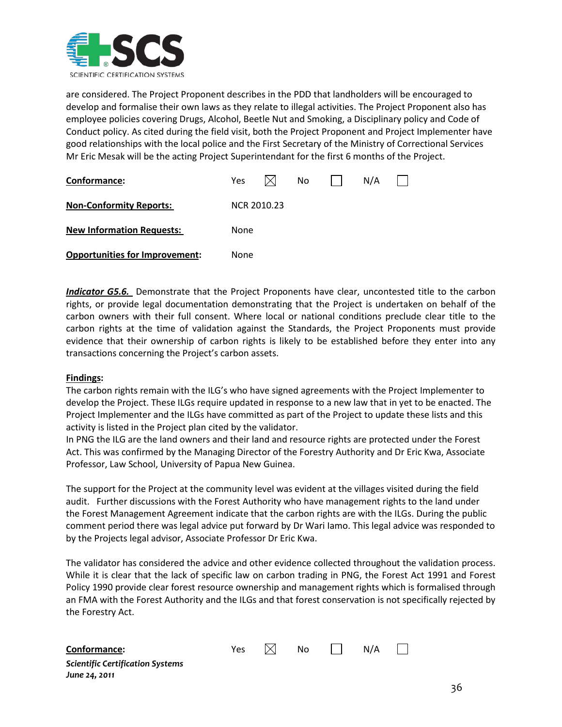

are considered. The Project Proponent describes in the PDD that landholders will be encouraged to develop and formalise their own laws as they relate to illegal activities. The Project Proponent also has employee policies covering Drugs, Alcohol, Beetle Nut and Smoking, a Disciplinary policy and Code of Conduct policy. As cited during the field visit, both the Project Proponent and Project Implementer have good relationships with the local police and the First Secretary of the Ministry of Correctional Services Mr Eric Mesak will be the acting Project Superintendant for the first 6 months of the Project.

| Conformance:                          | Yes         |  | No |  | N/A |  |  |
|---------------------------------------|-------------|--|----|--|-----|--|--|
| <b>Non-Conformity Reports:</b>        | NCR 2010.23 |  |    |  |     |  |  |
| <b>New Information Requests:</b>      | None        |  |    |  |     |  |  |
| <b>Opportunities for Improvement:</b> | None        |  |    |  |     |  |  |

*Indicator G5.6.* Demonstrate that the Project Proponents have clear, uncontested title to the carbon rights, or provide legal documentation demonstrating that the Project is undertaken on behalf of the carbon owners with their full consent. Where local or national conditions preclude clear title to the carbon rights at the time of validation against the Standards, the Project Proponents must provide evidence that their ownership of carbon rights is likely to be established before they enter into any transactions concerning the Project's carbon assets.

#### **Findings :**

*June 24, 2011*

The carbon rights remain with the ILG's who have signed agreements with the Project Implementer to develop the Project. These ILGs require updated in response to a new law that in yet to be enacted. The Project Implementer and the ILGs have committed as part of the Project to update these lists and this activity is listed in the Project plan cited by the validator.

In PNG the ILG are the land owners and their land and resource rights are protected under the Forest Act. This was confirmed by the Managing Director of the Forestry Authority and Dr Eric Kwa, Associate Professor, Law School, University of Papua New Guinea.

The support for the Project at the community level was evident at the villages visited during the field audit. Further discussions with the Forest Authority who have management rights to the land under the Forest Management Agreement indicate that the carbon rights are with the ILGs. During the public comment period there was legal advice put forward by Dr Wari Iamo. This legal advice was responded to by the Projects legal advisor, Associate Professor Dr Eric Kwa.

The validator has considered the advice and other evidence collected throughout the validation process. While it is clear that the lack of specific law on carbon trading in PNG, the Forest Act 1991 and Forest Policy 1990 provide clear forest resource ownership and management rights which is formalised through an FMA with the Forest Authority and the ILGs and that forest conservation is not specifically rejected by the Forestry Act.

| Conformance:                            | Yes | $\boxtimes$ No | $\Box$ N/A $\Box$ |  |
|-----------------------------------------|-----|----------------|-------------------|--|
| <b>Scientific Certification Systems</b> |     |                |                   |  |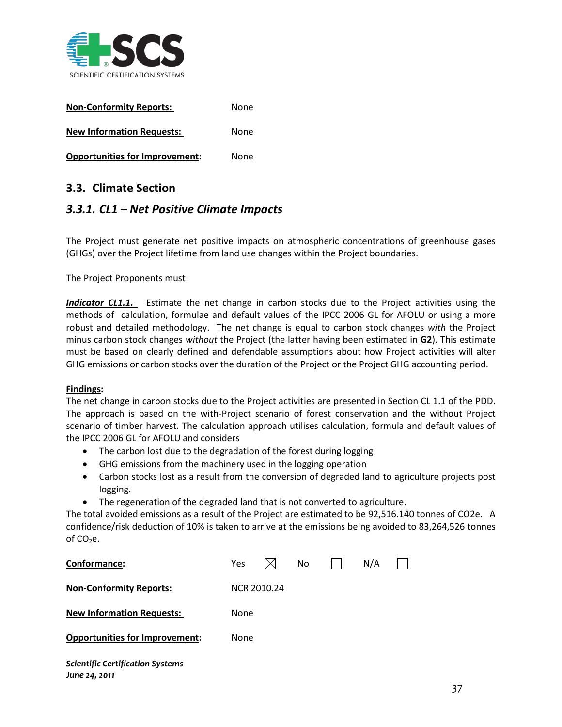

| <b>Non-Conformity Reports:</b>        | None |
|---------------------------------------|------|
| <b>New Information Requests:</b>      | None |
| <b>Opportunities for Improvement:</b> | None |

# **3.3. Climate Section**

# *3.3.1. CL1 – Net Positive Climate Impacts*

The Project must generate net positive impacts on atmospheric concentrations of greenhouse gases (GHGs) over the Project lifetime from land use changes within the Project boundaries.

The Project Proponents must:

**Indicator CL1.1.** Estimate the net change in carbon stocks due to the Project activities using the methods of calculation, formulae and default values of the IPCC 2006 GL for AFOLU or using a more robust and detailed methodology. The net change is equal to carbon stock changes *with* the Project minus carbon stock changes *without* the Project (the latter having been estimated in **G2**). This estimate must be based on clearly defined and defendable assumptions about how Project activities will alter GHG emissions or carbon stocks over the duration of the Project or the Project GHG accounting period.

#### **Findings :**

The net change in carbon stocks due to the Project activities are presented in Section CL 1.1 of the PDD. The approach is based on the with-Project scenario of forest conservation and the without Project scenario of timber harvest. The calculation approach utilises calculation, formula and default values of the IPCC 2006 GL for AFOLU and considers

- The carbon lost due to the degradation of the forest during logging
- GHG emissions from the machinery used in the logging operation
- Carbon stocks lost as a result from the conversion of degraded land to agriculture projects post logging.
- The regeneration of the degraded land that is not converted to agriculture.

The total avoided emissions as a result of the Project are estimated to be 92,516.140 tonnes of CO2e. A confidence/risk deduction of 10% is taken to arrive at the emissions being avoided to 83,264,526 tonnes of  $CO<sub>2</sub>e$ .

| Conformance:                                             | Yes  |             | No | N/A |  |
|----------------------------------------------------------|------|-------------|----|-----|--|
| <b>Non-Conformity Reports:</b>                           |      | NCR 2010.24 |    |     |  |
| <b>New Information Requests:</b>                         | None |             |    |     |  |
| <b>Opportunities for Improvement:</b>                    | None |             |    |     |  |
| <b>Scientific Certification Systems</b><br>June 24, 2011 |      |             |    |     |  |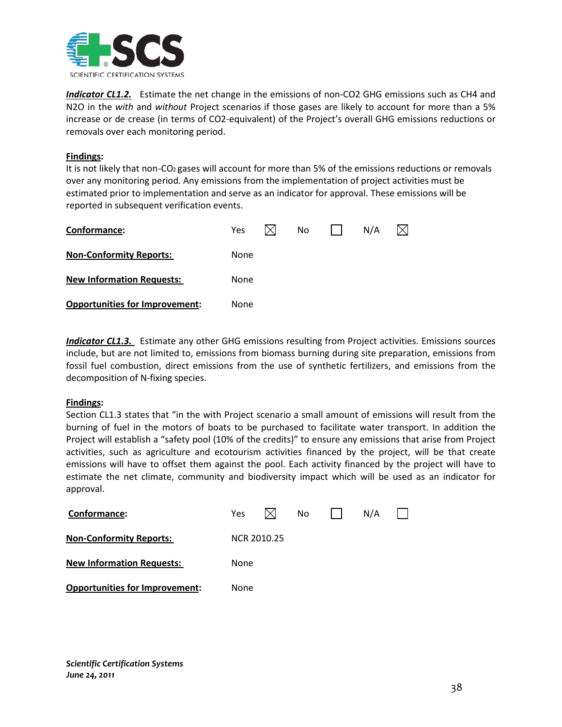

*Indicator CL1.2.* Estimate the net change in the emissions of non-CO2 GHG emissions such as CH4 and N2O in the *with* and *without* Project scenarios if those gases are likely to account for more than a 5% increase or de crease (in terms of CO2-equivalent) of the Project's overall GHG emissions reductions or removals over each monitoring period.

#### **Findings :**

It is not likely that non-CO<sub>2</sub> gases will account for more than 5% of the emissions reductions or removals over any monitoring period. Any emissions from the implementation of project activities must be estimated prior to implementation and serve as an indicator for approval. These emissions will be reported in subsequent verification events.

| Conformance:                          | <b>Yes</b> | No | N/A |  |
|---------------------------------------|------------|----|-----|--|
| <b>Non-Conformity Reports:</b>        | None       |    |     |  |
| <b>New Information Requests:</b>      | None       |    |     |  |
| <b>Opportunities for Improvement:</b> | None       |    |     |  |

*Indicator CL1.3.* Estimate any other GHG emissions resulting from Project activities. Emissions sources include, but are not limited to, emissions from biomass burning during site preparation, emissions from fossil fuel combustion, direct emissions from the use of synthetic fertilizers, and emissions from the decomposition of N-fixing species.

#### **Findings :**

Section CL1.3 states that "in the with Project scenario a small amount of emissions will result from the burning of fuel in the motors of boats to be purchased to facilitate water transport. In addition the Project will establish a "safety pool (10% of the credits)" to ensure any emissions that arise from Project activities, such as agriculture and ecotourism activities financed by the project, will be that create emissions will have to offset them against the pool. Each activity financed by the project will have to estimate the net climate, community and biodiversity impact which will be used as an indicator for approval.

| Conformance:                          | <b>Yes</b>         |  | No l |  | N/A |  |  |
|---------------------------------------|--------------------|--|------|--|-----|--|--|
| <b>Non-Conformity Reports:</b>        | <b>NCR 2010.25</b> |  |      |  |     |  |  |
| <b>New Information Requests:</b>      | None               |  |      |  |     |  |  |
| <b>Opportunities for Improvement:</b> | None               |  |      |  |     |  |  |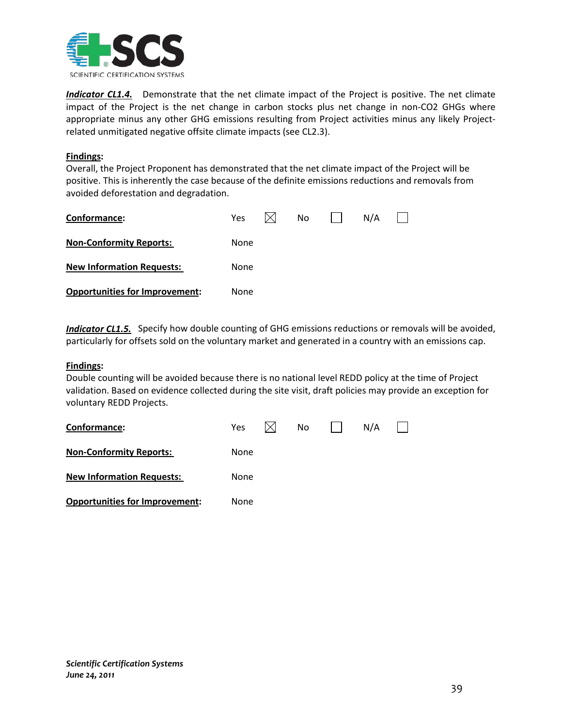

*Indicator CL1.4.* Demonstrate that the net climate impact of the Project is positive. The net climate impact of the Project is the net change in carbon stocks plus net change in non-CO2 GHGs where appropriate minus any other GHG emissions resulting from Project activities minus any likely Projectrelated unmitigated negative offsite climate impacts (see CL2.3).

#### **Findings :**

Overall, the Project Proponent has demonstrated that the net climate impact of the Project will be positive. This is inherently the case because of the definite emissions reductions and removals from avoided deforestation and degradation.

| Conformance:                          | <b>Yes</b> | No. | N/A |  |
|---------------------------------------|------------|-----|-----|--|
| <b>Non-Conformity Reports:</b>        | None       |     |     |  |
| <b>New Information Requests:</b>      | None       |     |     |  |
| <b>Opportunities for Improvement:</b> | None       |     |     |  |

*Indicator CL1.5.* Specify how double counting of GHG emissions reductions or removals will be avoided, particularly for offsets sold on the voluntary market and generated in a country with an emissions cap.

#### **Findings :**

Double counting will be avoided because there is no national level REDD policy at the time of Project validation. Based on evidence collected during the site visit, draft policies may provide an exception for voluntary REDD Projects.

| Conformance:                          | <b>Yes</b> | No | N/A |  |
|---------------------------------------|------------|----|-----|--|
| <b>Non-Conformity Reports:</b>        | None       |    |     |  |
| <b>New Information Requests:</b>      | None       |    |     |  |
| <b>Opportunities for Improvement:</b> | None       |    |     |  |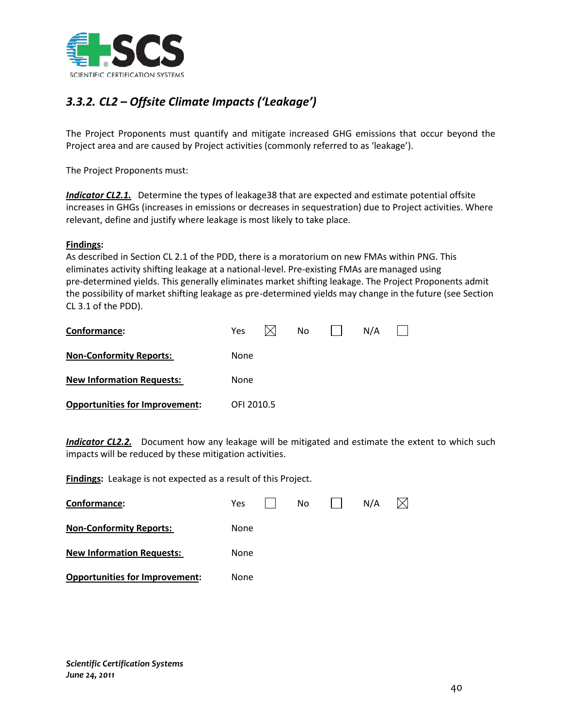

# *3.3.2. CL2 – Offsite Climate Impacts ('Leakage')*

The Project Proponents must quantify and mitigate increased GHG emissions that occur beyond the Project area and are caused by Project activities (commonly referred to as 'leakage').

The Project Proponents must:

**Indicator CL2.1.** Determine the types of leakage38 that are expected and estimate potential offsite increases in GHGs (increases in emissions or decreases in sequestration) due to Project activities. Where relevant, define and justify where leakage is most likely to take place.

#### **Findings :**

As described in Section CL 2.1 of the PDD, there is a moratorium on new FMAs within PNG. This eliminates activity shifting leakage at a national-level. Pre-existing FMAs aremanaged using pre-determined yields. This generally eliminates market shifting leakage. The Project Proponents admit the possibility of market shifting leakage as pre-determined yields may change in the future (see Section CL 3.1 of the PDD).

| Conformance:                          | <b>Yes</b> | No. | N/A |  |
|---------------------------------------|------------|-----|-----|--|
| <b>Non-Conformity Reports:</b>        | None       |     |     |  |
| <b>New Information Requests:</b>      | None       |     |     |  |
| <b>Opportunities for Improvement:</b> | OFI 2010.5 |     |     |  |

*Indicator CL2.2.* Document how any leakage will be mitigated and estimate the extent to which such impacts will be reduced by these mitigation activities.

**Findings:** Leakage is not expected as a result of this Project.

| Conformance:                          | Yes  | No. | N/A |  |
|---------------------------------------|------|-----|-----|--|
| <b>Non-Conformity Reports:</b>        | None |     |     |  |
| <b>New Information Requests:</b>      | None |     |     |  |
| <b>Opportunities for Improvement:</b> | None |     |     |  |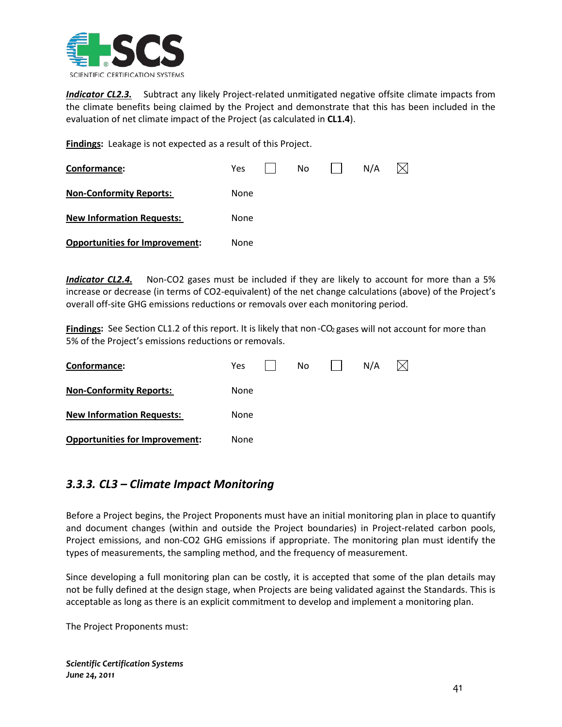

*Indicator CL2.3.* Subtract any likely Project-related unmitigated negative offsite climate impacts from the climate benefits being claimed by the Project and demonstrate that this has been included in the evaluation of net climate impact of the Project (as calculated in **CL1.4**).

**Findings:** Leakage is not expected as a result of this Project.

| Conformance:                          | <b>Yes</b> | No. | N/A |  |
|---------------------------------------|------------|-----|-----|--|
| <b>Non-Conformity Reports:</b>        | None       |     |     |  |
| <b>New Information Requests:</b>      | None       |     |     |  |
| <b>Opportunities for Improvement:</b> | None       |     |     |  |

*Indicator CL2.4.* Non-CO2 gases must be included if they are likely to account for more than a 5% increase or decrease (in terms of CO2-equivalent) of the net change calculations (above) of the Project's overall off-site GHG emissions reductions or removals over each monitoring period.

Findings: See Section CL1.2 of this report. It is likely that non-CO<sub>2</sub> gases will not account for more than 5% of the Project's emissions reductions or removals.

| Conformance:                          | Yes. | No | N/A |  |
|---------------------------------------|------|----|-----|--|
| <b>Non-Conformity Reports:</b>        | None |    |     |  |
| <b>New Information Requests:</b>      | None |    |     |  |
| <b>Opportunities for Improvement:</b> | None |    |     |  |

# *3.3.3. CL3 – Climate Impact Monitoring*

Before a Project begins, the Project Proponents must have an initial monitoring plan in place to quantify and document changes (within and outside the Project boundaries) in Project-related carbon pools, Project emissions, and non-CO2 GHG emissions if appropriate. The monitoring plan must identify the types of measurements, the sampling method, and the frequency of measurement.

Since developing a full monitoring plan can be costly, it is accepted that some of the plan details may not be fully defined at the design stage, when Projects are being validated against the Standards. This is acceptable as long as there is an explicit commitment to develop and implement a monitoring plan.

The Project Proponents must: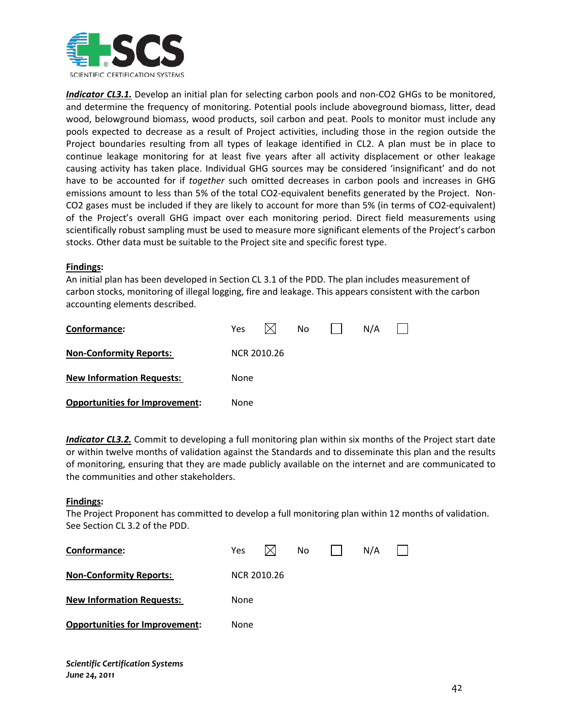

*Indicator CL3.1.* Develop an initial plan for selecting carbon pools and non-CO2 GHGs to be monitored, and determine the frequency of monitoring. Potential pools include aboveground biomass, litter, dead wood, belowground biomass, wood products, soil carbon and peat. Pools to monitor must include any pools expected to decrease as a result of Project activities, including those in the region outside the Project boundaries resulting from all types of leakage identified in CL2. A plan must be in place to continue leakage monitoring for at least five years after all activity displacement or other leakage causing activity has taken place. Individual GHG sources may be considered 'insignificant' and do not have to be accounted for if *together* such omitted decreases in carbon pools and increases in GHG emissions amount to less than 5% of the total CO2-equivalent benefits generated by the Project. Non-CO2 gases must be included if they are likely to account for more than 5% (in terms of CO2-equivalent) of the Project's overall GHG impact over each monitoring period. Direct field measurements using scientifically robust sampling must be used to measure more significant elements of the Project's carbon stocks. Other data must be suitable to the Project site and specific forest type.

#### **Findings :**

An initial plan has been developed in Section CL 3.1 of the PDD. The plan includes measurement of carbon stocks, monitoring of illegal logging, fire and leakage. This appears consistent with the carbon accounting elements described.

| Conformance:                          | <b>Yes</b>  |  | No. |  | N/A |  |  |  |  |
|---------------------------------------|-------------|--|-----|--|-----|--|--|--|--|
| <b>Non-Conformity Reports:</b>        | NCR 2010.26 |  |     |  |     |  |  |  |  |
| <b>New Information Requests:</b>      | None        |  |     |  |     |  |  |  |  |
| <b>Opportunities for Improvement:</b> | None        |  |     |  |     |  |  |  |  |

*Indicator CL3.2.* Commit to developing a full monitoring plan within six months of the Project start date or within twelve months of validation against the Standards and to disseminate this plan and the results of monitoring, ensuring that they are made publicly available on the internet and are communicated to the communities and other stakeholders.

#### **Findings :**

The Project Proponent has committed to develop a full monitoring plan within 12 months of validation. See Section CL 3.2 of the PDD.

| Conformance:                          | Yes         |  | No |  | N/A |  |  |  |  |  |
|---------------------------------------|-------------|--|----|--|-----|--|--|--|--|--|
| <b>Non-Conformity Reports:</b>        | NCR 2010.26 |  |    |  |     |  |  |  |  |  |
| <b>New Information Requests:</b>      | None        |  |    |  |     |  |  |  |  |  |
| <b>Opportunities for Improvement:</b> | None        |  |    |  |     |  |  |  |  |  |
|                                       |             |  |    |  |     |  |  |  |  |  |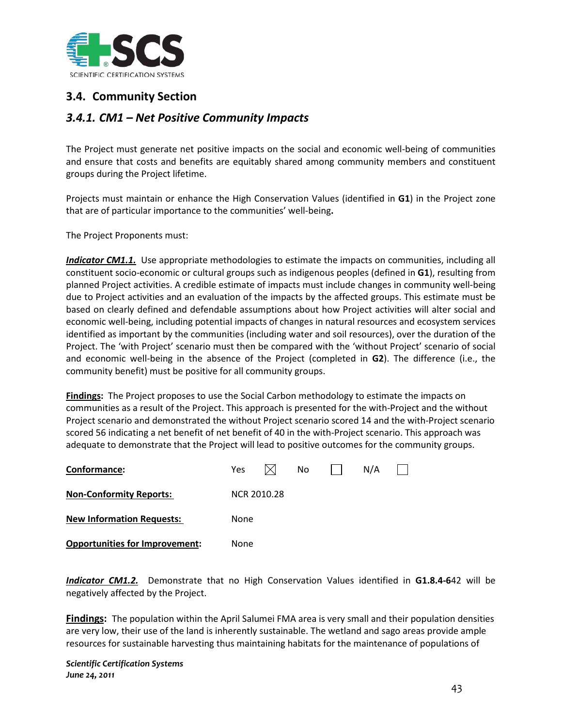

# **3.4. Community Section**

# *3.4.1. CM1 – Net Positive Community Impacts*

The Project must generate net positive impacts on the social and economic well-being of communities and ensure that costs and benefits are equitably shared among community members and constituent groups during the Project lifetime.

Projects must maintain or enhance the High Conservation Values (identified in **G1**) in the Project zone that are of particular importance to the communities' well-being**.**

The Project Proponents must:

*Indicator CM1.1.* Use appropriate methodologies to estimate the impacts on communities, including all constituent socio-economic or cultural groups such as indigenous peoples (defined in **G1**), resulting from planned Project activities. A credible estimate of impacts must include changes in community well-being due to Project activities and an evaluation of the impacts by the affected groups. This estimate must be based on clearly defined and defendable assumptions about how Project activities will alter social and economic well-being, including potential impacts of changes in natural resources and ecosystem services identified as important by the communities (including water and soil resources), over the duration of the Project. The 'with Project' scenario must then be compared with the 'without Project' scenario of social and economic well-being in the absence of the Project (completed in **G2**). The difference (i.e., the community benefit) must be positive for all community groups.

**Findings:** The Project proposes to use the Social Carbon methodology to estimate the impacts on communities as a result of the Project. This approach is presented for the with-Project and the without Project scenario and demonstrated the without Project scenario scored 14 and the with-Project scenario scored 56 indicating a net benefit of net benefit of 40 in the with-Project scenario. This approach was adequate to demonstrate that the Project will lead to positive outcomes for the community groups.

| Conformance:                          | Yes         |  | No |  | N/A |  |  |  |  |
|---------------------------------------|-------------|--|----|--|-----|--|--|--|--|
| <b>Non-Conformity Reports:</b>        | NCR 2010.28 |  |    |  |     |  |  |  |  |
| <b>New Information Requests:</b>      | None        |  |    |  |     |  |  |  |  |
| <b>Opportunities for Improvement:</b> | None        |  |    |  |     |  |  |  |  |

*Indicator CM1.2.* Demonstrate that no High Conservation Values identified in **G1.8.4-6**42 will be negatively affected by the Project.

**Findings:** The population within the April Salumei FMA area is very small and their population densities are very low, their use of the land is inherently sustainable. The wetland and sago areas provide ample resources for sustainable harvesting thus maintaining habitats for the maintenance of populations of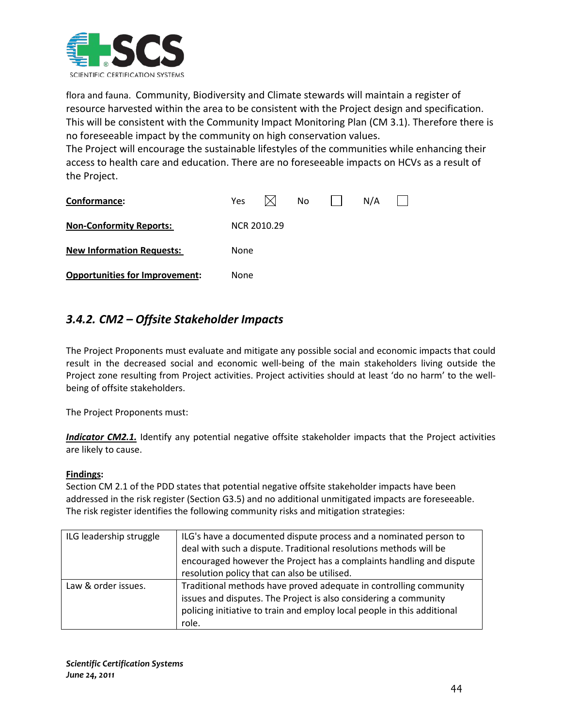

flora and fauna. Community, Biodiversity and Climate stewards will maintain a register of resource harvested within the area to be consistent with the Project design and specification. This will be consistent with the Community Impact Monitoring Plan (CM 3.1). Therefore there is no foreseeable impact by the community on high conservation values.

The Project will encourage the sustainable lifestyles of the communities while enhancing their access to health care and education. There are no foreseeable impacts on HCVs as a result of the Project.

| Conformance:                          | Yes         |  | No |  | N/A |  |  |  |  |
|---------------------------------------|-------------|--|----|--|-----|--|--|--|--|
| <b>Non-Conformity Reports:</b>        | NCR 2010.29 |  |    |  |     |  |  |  |  |
| <b>New Information Requests:</b>      | None        |  |    |  |     |  |  |  |  |
| <b>Opportunities for Improvement:</b> | None        |  |    |  |     |  |  |  |  |

# *3.4.2. CM2 – Offsite Stakeholder Impacts*

The Project Proponents must evaluate and mitigate any possible social and economic impacts that could result in the decreased social and economic well-being of the main stakeholders living outside the Project zone resulting from Project activities. Project activities should at least 'do no harm' to the wellbeing of offsite stakeholders.

The Project Proponents must:

*Indicator CM2.1.* Identify any potential negative offsite stakeholder impacts that the Project activities are likely to cause.

## **Findings :**

Section CM 2.1 of the PDD states that potential negative offsite stakeholder impacts have been addressed in the risk register (Section G3.5) and no additional unmitigated impacts are foreseeable. The risk register identifies the following community risks and mitigation strategies:

| ILG leadership struggle | ILG's have a documented dispute process and a nominated person to<br>deal with such a dispute. Traditional resolutions methods will be<br>encouraged however the Project has a complaints handling and dispute<br>resolution policy that can also be utilised. |
|-------------------------|----------------------------------------------------------------------------------------------------------------------------------------------------------------------------------------------------------------------------------------------------------------|
| Law & order issues.     | Traditional methods have proved adequate in controlling community<br>issues and disputes. The Project is also considering a community<br>policing initiative to train and employ local people in this additional<br>role.                                      |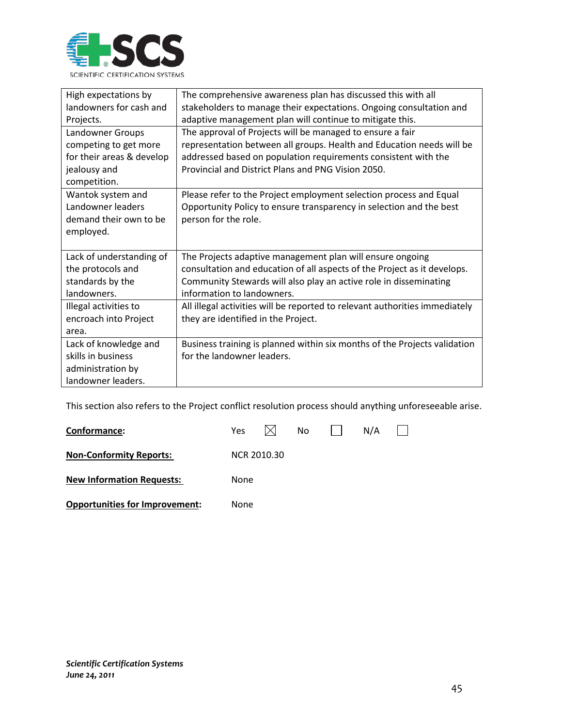

| High expectations by      | The comprehensive awareness plan has discussed this with all                |
|---------------------------|-----------------------------------------------------------------------------|
| landowners for cash and   | stakeholders to manage their expectations. Ongoing consultation and         |
| Projects.                 | adaptive management plan will continue to mitigate this.                    |
| Landowner Groups          | The approval of Projects will be managed to ensure a fair                   |
| competing to get more     | representation between all groups. Health and Education needs will be       |
| for their areas & develop | addressed based on population requirements consistent with the              |
| jealousy and              | Provincial and District Plans and PNG Vision 2050.                          |
| competition.              |                                                                             |
| Wantok system and         | Please refer to the Project employment selection process and Equal          |
| Landowner leaders         | Opportunity Policy to ensure transparency in selection and the best         |
| demand their own to be    | person for the role.                                                        |
| employed.                 |                                                                             |
|                           |                                                                             |
| Lack of understanding of  | The Projects adaptive management plan will ensure ongoing                   |
| the protocols and         | consultation and education of all aspects of the Project as it develops.    |
| standards by the          | Community Stewards will also play an active role in disseminating           |
| landowners.               | information to landowners.                                                  |
| Illegal activities to     | All illegal activities will be reported to relevant authorities immediately |
| encroach into Project     | they are identified in the Project.                                         |
| area.                     |                                                                             |
| Lack of knowledge and     | Business training is planned within six months of the Projects validation   |
| skills in business        | for the landowner leaders.                                                  |
| administration by         |                                                                             |
| landowner leaders.        |                                                                             |

This section also refers to the Project conflict resolution process should anything unforeseeable arise.

| Conformance:                          | Yes         |  | No |  | N/A |  |  |  |  |
|---------------------------------------|-------------|--|----|--|-----|--|--|--|--|
| <b>Non-Conformity Reports:</b>        | NCR 2010.30 |  |    |  |     |  |  |  |  |
| <b>New Information Requests:</b>      | None        |  |    |  |     |  |  |  |  |
| <b>Opportunities for Improvement:</b> | None        |  |    |  |     |  |  |  |  |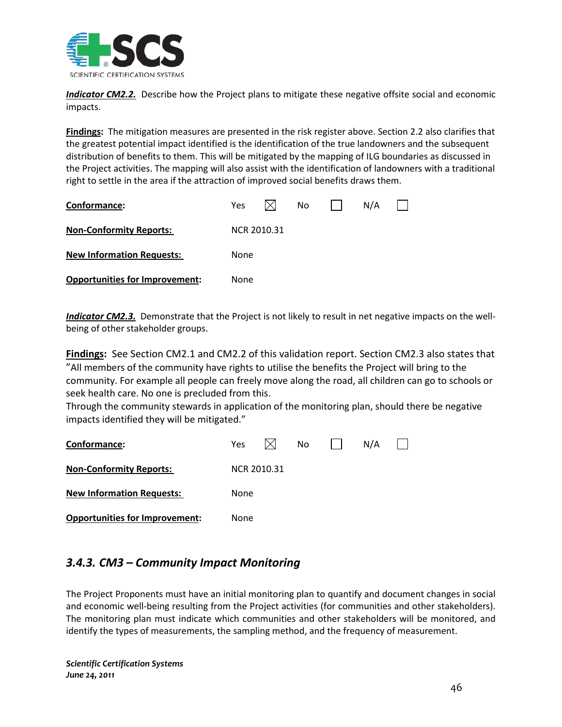

*Indicator CM2.2.* Describe how the Project plans to mitigate these negative offsite social and economic impacts.

**Findings:** The mitigation measures are presented in the risk register above. Section 2.2 also clarifies that the greatest potential impact identified is the identification of the true landowners and the subsequent distribution of benefits to them. This will be mitigated by the mapping of ILG boundaries as discussed in the Project activities. The mapping will also assist with the identification of landowners with a traditional right to settle in the area if the attraction of improved social benefits draws them.

| Conformance:                          | <b>Yes</b>  |  | No. |  | N/A |  |  |  |  |
|---------------------------------------|-------------|--|-----|--|-----|--|--|--|--|
| <b>Non-Conformity Reports:</b>        | NCR 2010.31 |  |     |  |     |  |  |  |  |
| <b>New Information Requests:</b>      | None        |  |     |  |     |  |  |  |  |
| <b>Opportunities for Improvement:</b> | None        |  |     |  |     |  |  |  |  |

*Indicator CM2.3.* Demonstrate that the Project is not likely to result in net negative impacts on the wellbeing of other stakeholder groups.

**Findings :** See Section CM2.1 and CM2.2 of this validation report. Section CM2.3 also states that "All members of the community have rights to utilise the benefits the Project will bring to the community. For example all people can freely move along the road, all children can go to schools or seek health care. No one is precluded from this.

Through the community stewards in application of the monitoring plan, should there be negative impacts identified they will be mitigated."

| Conformance:                          | Yes         |  | No. |  | N/A |  |  |  |  |
|---------------------------------------|-------------|--|-----|--|-----|--|--|--|--|
| <b>Non-Conformity Reports:</b>        | NCR 2010.31 |  |     |  |     |  |  |  |  |
| <b>New Information Requests:</b>      | None        |  |     |  |     |  |  |  |  |
| <b>Opportunities for Improvement:</b> | None        |  |     |  |     |  |  |  |  |

# *3.4.3. CM3 – Community Impact Monitoring*

The Project Proponents must have an initial monitoring plan to quantify and document changes in social and economic well-being resulting from the Project activities (for communities and other stakeholders). The monitoring plan must indicate which communities and other stakeholders will be monitored, and identify the types of measurements, the sampling method, and the frequency of measurement.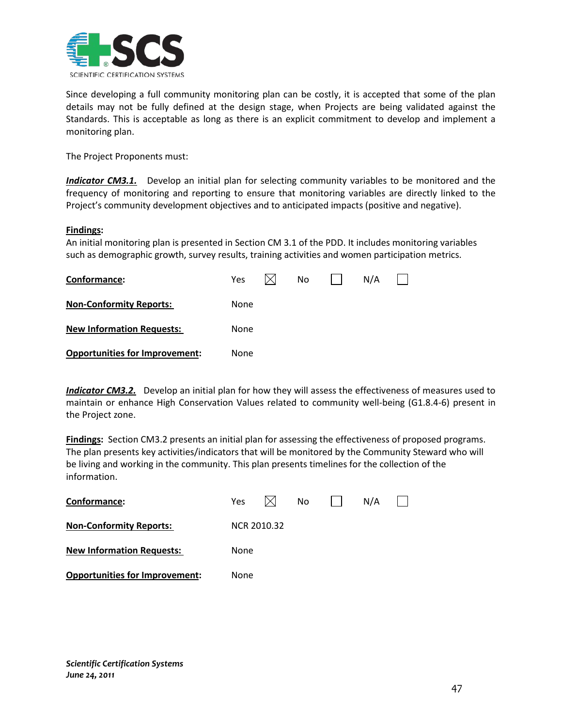

Since developing a full community monitoring plan can be costly, it is accepted that some of the plan details may not be fully defined at the design stage, when Projects are being validated against the Standards. This is acceptable as long as there is an explicit commitment to develop and implement a monitoring plan.

The Project Proponents must:

**Indicator CM3.1.** Develop an initial plan for selecting community variables to be monitored and the frequency of monitoring and reporting to ensure that monitoring variables are directly linked to the Project's community development objectives and to anticipated impacts (positive and negative).

#### **Findings :**

An initial monitoring plan is presented in Section CM 3.1 of the PDD. It includes monitoring variables such as demographic growth, survey results, training activities and women participation metrics.

| Conformance:                          | <b>Yes</b> |  | No |  | N/A |  |  |  |  |
|---------------------------------------|------------|--|----|--|-----|--|--|--|--|
| <b>Non-Conformity Reports:</b>        | None       |  |    |  |     |  |  |  |  |
| <b>New Information Requests:</b>      | None       |  |    |  |     |  |  |  |  |
| <b>Opportunities for Improvement:</b> | None       |  |    |  |     |  |  |  |  |

*Indicator CM3.2.* Develop an initial plan for how they will assess the effectiveness of measures used to maintain or enhance High Conservation Values related to community well-being (G1.8.4-6) present in the Project zone.

**Findings:** Section CM3.2 presents an initial plan for assessing the effectiveness of proposed programs. The plan presents key activities/indicators that will be monitored by the Community Steward who will be living and working in the community. This plan presents timelines for the collection of the information.

| Conformance:                          | Yes.        |  | No. |  | N/A |  |  |  |  |
|---------------------------------------|-------------|--|-----|--|-----|--|--|--|--|
| <b>Non-Conformity Reports:</b>        | NCR 2010.32 |  |     |  |     |  |  |  |  |
| <b>New Information Requests:</b>      | None        |  |     |  |     |  |  |  |  |
| <b>Opportunities for Improvement:</b> | None        |  |     |  |     |  |  |  |  |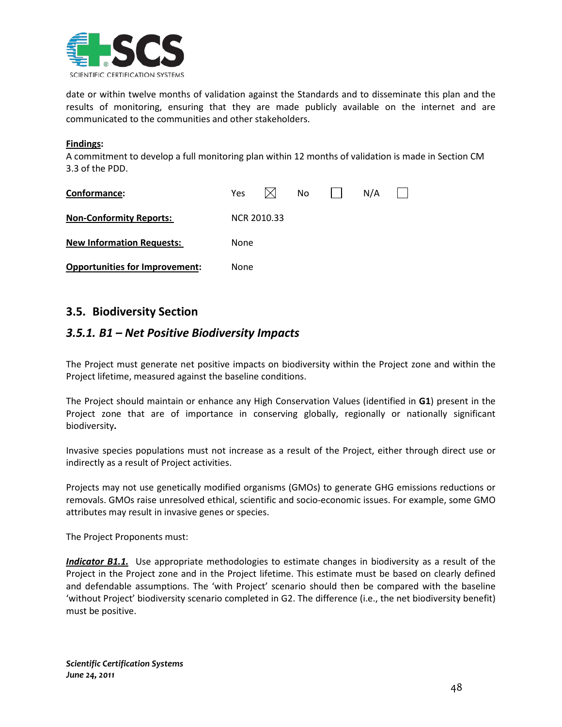

date or within twelve months of validation against the Standards and to disseminate this plan and the results of monitoring, ensuring that they are made publicly available on the internet and are communicated to the communities and other stakeholders.

#### **Findings :**

A commitment to develop a full monitoring plan within 12 months of validation is made in Section CM 3.3 of the PDD.

| Conformance:                          | Yes.        |  | No |  | N/A |  |  |  |  |
|---------------------------------------|-------------|--|----|--|-----|--|--|--|--|
| <b>Non-Conformity Reports:</b>        | NCR 2010.33 |  |    |  |     |  |  |  |  |
| <b>New Information Requests:</b>      | None        |  |    |  |     |  |  |  |  |
| <b>Opportunities for Improvement:</b> | None        |  |    |  |     |  |  |  |  |

# **3.5. Biodiversity Section**

# *3.5.1. B1 – Net Positive Biodiversity Impacts*

The Project must generate net positive impacts on biodiversity within the Project zone and within the Project lifetime, measured against the baseline conditions.

The Project should maintain or enhance any High Conservation Values (identified in **G1**) present in the Project zone that are of importance in conserving globally, regionally or nationally significant biodiversity**.**

Invasive species populations must not increase as a result of the Project, either through direct use or indirectly as a result of Project activities.

Projects may not use genetically modified organisms (GMOs) to generate GHG emissions reductions or removals. GMOs raise unresolved ethical, scientific and socio-economic issues. For example, some GMO attributes may result in invasive genes or species.

The Project Proponents must:

*Indicator B1.1.* Use appropriate methodologies to estimate changes in biodiversity as a result of the Project in the Project zone and in the Project lifetime. This estimate must be based on clearly defined and defendable assumptions. The 'with Project' scenario should then be compared with the baseline 'without Project' biodiversity scenario completed in G2. The difference (i.e., the net biodiversity benefit) must be positive.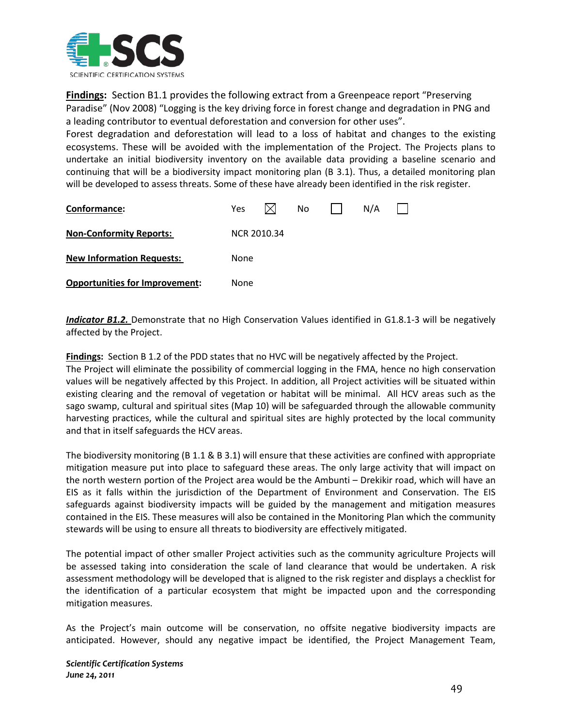

**Findings :** Section B1.1 provides the following extract from a Greenpeace report "Preserving Paradise" (Nov 2008) "Logging is the key driving force in forest change and degradation in PNG and a leading contributor to eventual deforestation and conversion for other uses".

Forest degradation and deforestation will lead to a loss of habitat and changes to the existing ecosystems. These will be avoided with the implementation of the Project. The Projects plans to undertake an initial biodiversity inventory on the available data providing a baseline scenario and continuing that will be a biodiversity impact monitoring plan (B 3.1). Thus, a detailed monitoring plan will be developed to assess threats. Some of these have already been identified in the risk register.

| Conformance:                          | Yes         |  | No |  | N/A |  |  |  |
|---------------------------------------|-------------|--|----|--|-----|--|--|--|
| <b>Non-Conformity Reports:</b>        | NCR 2010.34 |  |    |  |     |  |  |  |
| <b>New Information Requests:</b>      | None        |  |    |  |     |  |  |  |
| <b>Opportunities for Improvement:</b> | None        |  |    |  |     |  |  |  |

*Indicator B1.2.* Demonstrate that no High Conservation Values identified in G1.8.1-3 will be negatively affected by the Project.

**Findings :** Section B 1.2 of the PDD states that no HVC will be negatively affected by the Project. The Project will eliminate the possibility of commercial logging in the FMA, hence no high conservation values will be negatively affected by this Project. In addition, all Project activities will be situated within existing clearing and the removal of vegetation or habitat will be minimal. All HCV areas such as the sago swamp, cultural and spiritual sites (Map 10) will be safeguarded through the allowable community harvesting practices, while the cultural and spiritual sites are highly protected by the local community and that in itself safeguards the HCV areas.

The biodiversity monitoring (B 1.1 & B 3.1) will ensure that these activities are confined with appropriate mitigation measure put into place to safeguard these areas. The only large activity that will impact on the north western portion of the Project area would be the Ambunti – Drekikir road, which will have an EIS as it falls within the jurisdiction of the Department of Environment and Conservation. The EIS safeguards against biodiversity impacts will be guided by the management and mitigation measures contained in the EIS. These measures will also be contained in the Monitoring Plan which the community stewards will be using to ensure all threats to biodiversity are effectively mitigated.

The potential impact of other smaller Project activities such as the community agriculture Projects will be assessed taking into consideration the scale of land clearance that would be undertaken. A risk assessment methodology will be developed that is aligned to the risk register and displays a checklist for the identification of a particular ecosystem that might be impacted upon and the corresponding mitigation measures.

As the Project's main outcome will be conservation, no offsite negative biodiversity impacts are anticipated. However, should any negative impact be identified, the Project Management Team,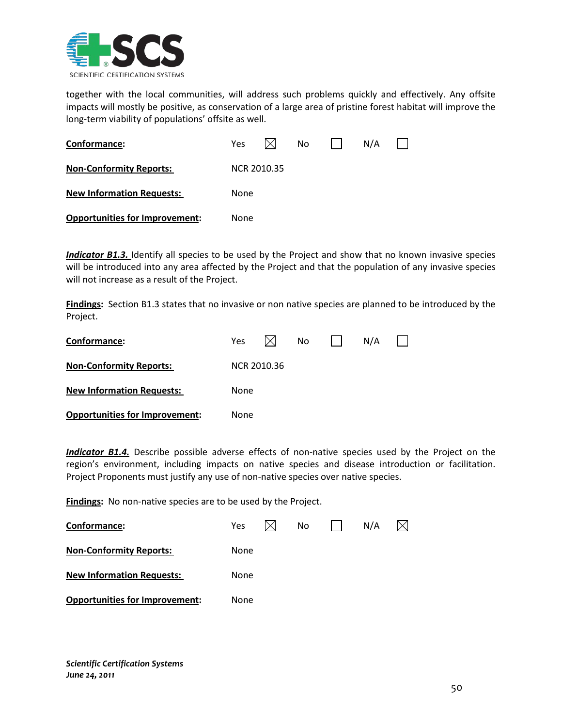

together with the local communities, will address such problems quickly and effectively. Any offsite impacts will mostly be positive, as conservation of a large area of pristine forest habitat will improve the long-term viability of populations' offsite as well.

| Conformance:                          | Yes.        |  | No |  | N/A |  |  |  |  |
|---------------------------------------|-------------|--|----|--|-----|--|--|--|--|
| <b>Non-Conformity Reports:</b>        | NCR 2010.35 |  |    |  |     |  |  |  |  |
| <b>New Information Requests:</b>      | None        |  |    |  |     |  |  |  |  |
| <b>Opportunities for Improvement:</b> | None        |  |    |  |     |  |  |  |  |

*Indicator B1.3.* Identify all species to be used by the Project and show that no known invasive species will be introduced into any area affected by the Project and that the population of any invasive species will not increase as a result of the Project.

**Findings:** Section B1.3 states that no invasive or non native species are planned to be introduced by the Project.

| Conformance:                          | Yes         |  | No |  | N/A |  |  |  |  |
|---------------------------------------|-------------|--|----|--|-----|--|--|--|--|
| <b>Non-Conformity Reports:</b>        | NCR 2010.36 |  |    |  |     |  |  |  |  |
| <b>New Information Requests:</b>      | None        |  |    |  |     |  |  |  |  |
| <b>Opportunities for Improvement:</b> | None        |  |    |  |     |  |  |  |  |

*Indicator B1.4.* Describe possible adverse effects of non-native species used by the Project on the region's environment, including impacts on native species and disease introduction or facilitation. Project Proponents must justify any use of non-native species over native species.

**Findings:** No non-native species are to be used by the Project.

| Conformance:                          | Yes  |  | No |  | N/A |  |  |  |
|---------------------------------------|------|--|----|--|-----|--|--|--|
| <b>Non-Conformity Reports:</b>        | None |  |    |  |     |  |  |  |
| <b>New Information Requests:</b>      | None |  |    |  |     |  |  |  |
| <b>Opportunities for Improvement:</b> | None |  |    |  |     |  |  |  |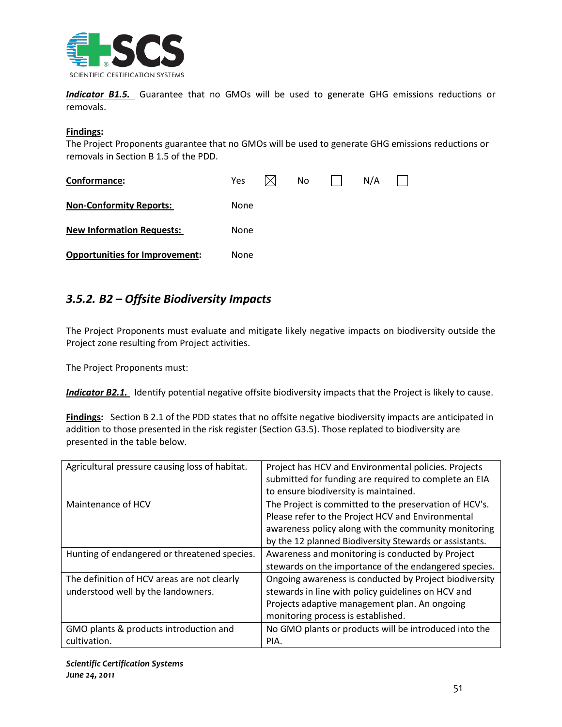

*Indicator B1.5.* Guarantee that no GMOs will be used to generate GHG emissions reductions or removals.

#### **Findings :**

The Project Proponents guarantee that no GMOs will be used to generate GHG emissions reductions or removals in Section B 1.5 of the PDD.

| Conformance:                          | <b>Yes</b> |  | No. |  | N/A |  |  |  |
|---------------------------------------|------------|--|-----|--|-----|--|--|--|
| <b>Non-Conformity Reports:</b>        | None       |  |     |  |     |  |  |  |
| <b>New Information Requests:</b>      | None       |  |     |  |     |  |  |  |
| <b>Opportunities for Improvement:</b> | None       |  |     |  |     |  |  |  |

# *3.5.2. B2 – Offsite Biodiversity Impacts*

The Project Proponents must evaluate and mitigate likely negative impacts on biodiversity outside the Project zone resulting from Project activities.

The Project Proponents must:

*Indicator B2.1.* Identify potential negative offsite biodiversity impacts that the Project is likely to cause.

**Findings:** Section B 2.1 of the PDD states that no offsite negative biodiversity impacts are anticipated in addition to those presented in the risk register (Section G3.5). Those replated to biodiversity are presented in the table below.

| Agricultural pressure causing loss of habitat.                                    | Project has HCV and Environmental policies. Projects<br>submitted for funding are required to complete an EIA<br>to ensure biodiversity is maintained.                                                                        |
|-----------------------------------------------------------------------------------|-------------------------------------------------------------------------------------------------------------------------------------------------------------------------------------------------------------------------------|
| Maintenance of HCV                                                                | The Project is committed to the preservation of HCV's.<br>Please refer to the Project HCV and Environmental<br>awareness policy along with the community monitoring<br>by the 12 planned Biodiversity Stewards or assistants. |
| Hunting of endangered or threatened species.                                      | Awareness and monitoring is conducted by Project<br>stewards on the importance of the endangered species.                                                                                                                     |
| The definition of HCV areas are not clearly<br>understood well by the landowners. | Ongoing awareness is conducted by Project biodiversity<br>stewards in line with policy guidelines on HCV and<br>Projects adaptive management plan. An ongoing<br>monitoring process is established.                           |
| GMO plants & products introduction and<br>cultivation.                            | No GMO plants or products will be introduced into the<br>PIA.                                                                                                                                                                 |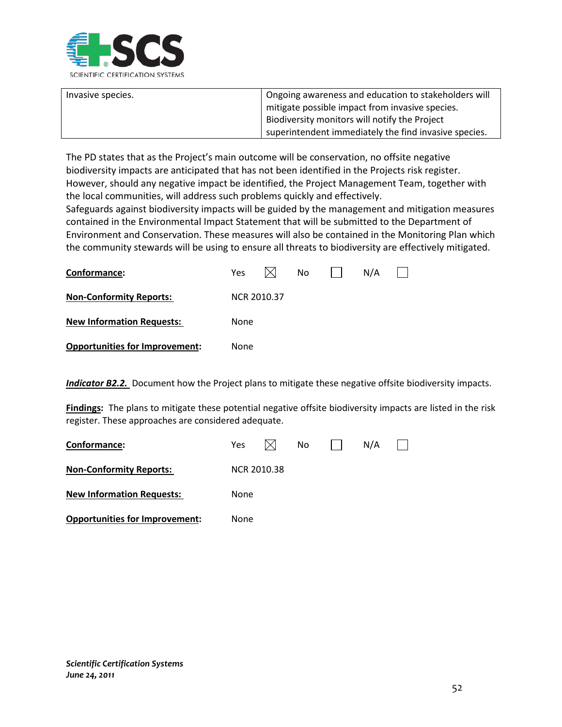

| Invasive species. | <sup>1</sup> Ongoing awareness and education to stakeholders will |
|-------------------|-------------------------------------------------------------------|
|                   | mitigate possible impact from invasive species.                   |
|                   | Biodiversity monitors will notify the Project                     |
|                   | superintendent immediately the find invasive species.             |

The PD states that as the Project's main outcome will be conservation, no offsite negative biodiversity impacts are anticipated that has not been identified in the Projects risk register. However, should any negative impact be identified, the Project Management Team, together with the local communities, will address such problems quickly and effectively.

Safeguards against biodiversity impacts will be guided by the management and mitigation measures contained in the Environmental Impact Statement that will be submitted to the Department of Environment and Conservation. These measures will also be contained in the Monitoring Plan which the community stewards will be using to ensure all threats to biodiversity are effectively mitigated.

| Conformance:                          | Yes  |                    | No. | N/A |  |
|---------------------------------------|------|--------------------|-----|-----|--|
| <b>Non-Conformity Reports:</b>        |      | <b>NCR 2010.37</b> |     |     |  |
| <b>New Information Requests:</b>      | None |                    |     |     |  |
| <b>Opportunities for Improvement:</b> | None |                    |     |     |  |

**Indicator B2.2.** Document how the Project plans to mitigate these negative offsite biodiversity impacts.

**Findings:** The plans to mitigate these potential negative offsite biodiversity impacts are listed in the risk register. These approaches are considered adequate.

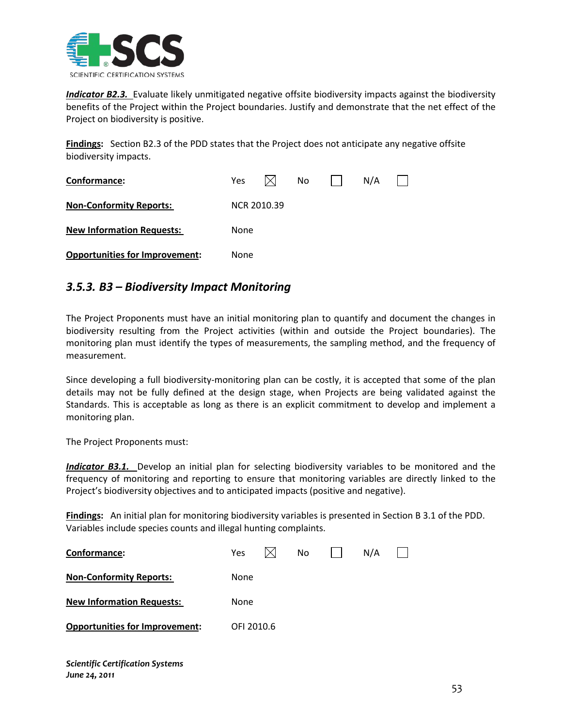

*Indicator B2.3.* Evaluate likely unmitigated negative offsite biodiversity impacts against the biodiversity benefits of the Project within the Project boundaries. Justify and demonstrate that the net effect of the Project on biodiversity is positive.

**Findings:** Section B2.3 of the PDD states that the Project does not anticipate any negative offsite biodiversity impacts.

| Conformance:                          | Yes         |  | No. |  | N/A |  |  |  |
|---------------------------------------|-------------|--|-----|--|-----|--|--|--|
| <b>Non-Conformity Reports:</b>        | NCR 2010.39 |  |     |  |     |  |  |  |
| <b>New Information Requests:</b>      | None        |  |     |  |     |  |  |  |
| <b>Opportunities for Improvement:</b> | None        |  |     |  |     |  |  |  |

# *3.5.3. B3 – Biodiversity Impact Monitoring*

The Project Proponents must have an initial monitoring plan to quantify and document the changes in biodiversity resulting from the Project activities (within and outside the Project boundaries). The monitoring plan must identify the types of measurements, the sampling method, and the frequency of measurement.

Since developing a full biodiversity-monitoring plan can be costly, it is accepted that some of the plan details may not be fully defined at the design stage, when Projects are being validated against the Standards. This is acceptable as long as there is an explicit commitment to develop and implement a monitoring plan.

The Project Proponents must:

*Indicator B3.1.* Develop an initial plan for selecting biodiversity variables to be monitored and the frequency of monitoring and reporting to ensure that monitoring variables are directly linked to the Project's biodiversity objectives and to anticipated impacts (positive and negative).

**Findings :** An initial plan for monitoring biodiversity variables is presented in Section B 3.1 of the PDD. Variables include species counts and illegal hunting complaints.

| Conformance:                          | Yes        |  | No. |  | N/A |  |  |  |  |
|---------------------------------------|------------|--|-----|--|-----|--|--|--|--|
| <b>Non-Conformity Reports:</b>        | None       |  |     |  |     |  |  |  |  |
| <b>New Information Requests:</b>      | None       |  |     |  |     |  |  |  |  |
| <b>Opportunities for Improvement:</b> | OFI 2010.6 |  |     |  |     |  |  |  |  |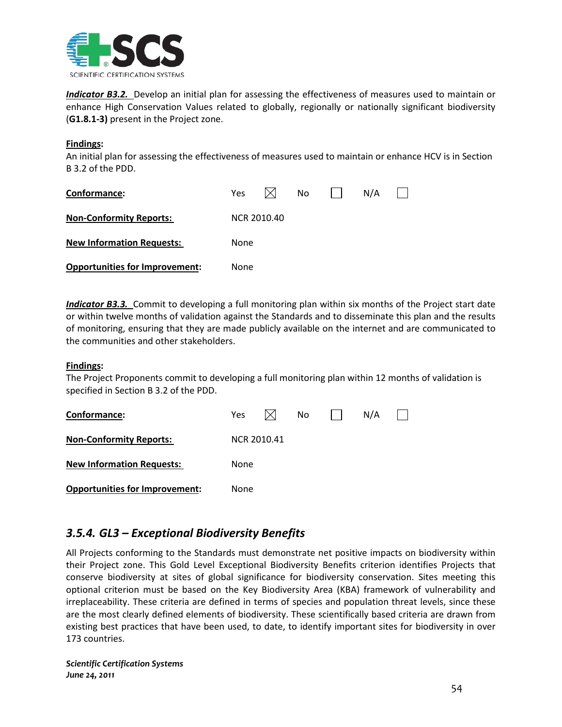

*Indicator B3.2.* Develop an initial plan for assessing the effectiveness of measures used to maintain or enhance High Conservation Values related to globally, regionally or nationally significant biodiversity (**G1.8.1-3)** present in the Project zone.

#### **Findings :**

An initial plan for assessing the effectiveness of measures used to maintain or enhance HCV is in Section B 3.2 of the PDD.

| Conformance:                          | <b>Yes</b>  |  | No |  | N/A |  |  |  |
|---------------------------------------|-------------|--|----|--|-----|--|--|--|
| <b>Non-Conformity Reports:</b>        | NCR 2010.40 |  |    |  |     |  |  |  |
| <b>New Information Requests:</b>      | None        |  |    |  |     |  |  |  |
| <b>Opportunities for Improvement:</b> | None        |  |    |  |     |  |  |  |

*Indicator B3.3.* Commit to developing a full monitoring plan within six months of the Project start date or within twelve months of validation against the Standards and to disseminate this plan and the results of monitoring, ensuring that they are made publicly available on the internet and are communicated to the communities and other stakeholders.

#### **Findings :**

The Project Proponents commit to developing a full monitoring plan within 12 months of validation is specified in Section B 3.2 of the PDD.

| Conformance:                          | <b>Yes</b>  |  | No |  | N/A |  |  |  |  |
|---------------------------------------|-------------|--|----|--|-----|--|--|--|--|
| <b>Non-Conformity Reports:</b>        | NCR 2010.41 |  |    |  |     |  |  |  |  |
| <b>New Information Requests:</b>      | None        |  |    |  |     |  |  |  |  |
| <b>Opportunities for Improvement:</b> | None        |  |    |  |     |  |  |  |  |

# *3.5.4. GL3 – Exceptional Biodiversity Benefits*

All Projects conforming to the Standards must demonstrate net positive impacts on biodiversity within their Project zone. This Gold Level Exceptional Biodiversity Benefits criterion identifies Projects that conserve biodiversity at sites of global significance for biodiversity conservation. Sites meeting this optional criterion must be based on the Key Biodiversity Area (KBA) framework of vulnerability and irreplaceability. These criteria are defined in terms of species and population threat levels, since these are the most clearly defined elements of biodiversity. These scientifically based criteria are drawn from existing best practices that have been used, to date, to identify important sites for biodiversity in over 173 countries.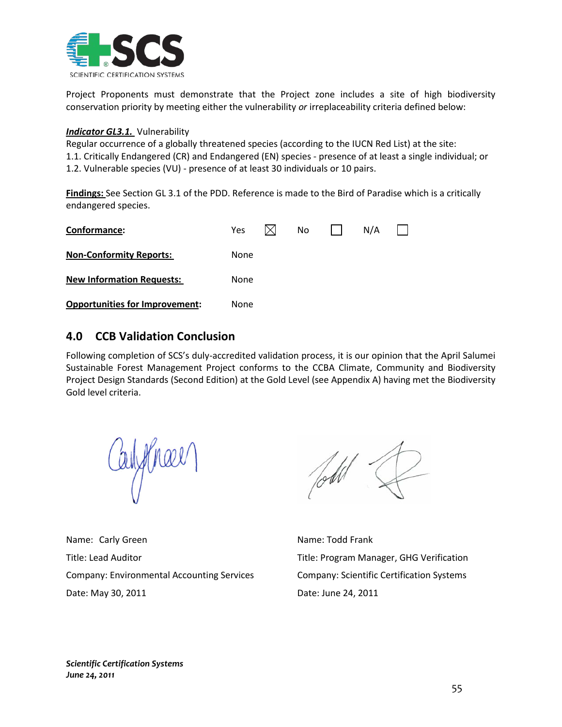

Project Proponents must demonstrate that the Project zone includes a site of high biodiversity conservation priority by meeting either the vulnerability *or* irreplaceability criteria defined below:

### *Indicator GL3.1.*  Vulnerability

Regular occurrence of a globally threatened species (according to the IUCN Red List) at the site: 1.1. Critically Endangered (CR) and Endangered (EN) species - presence of at least a single individual; or 1.2. Vulnerable species (VU) - presence of at least 30 individuals or 10 pairs.

**Findings:** See Section GL 3.1 of the PDD. Reference is made to the Bird of Paradise which is a critically endangered species.

| Conformance:                          | <b>Yes</b> |  | No. |  | N/A |  |
|---------------------------------------|------------|--|-----|--|-----|--|
| <b>Non-Conformity Reports:</b>        | None       |  |     |  |     |  |
| <b>New Information Requests:</b>      | None       |  |     |  |     |  |
| <b>Opportunities for Improvement:</b> | None       |  |     |  |     |  |

# **4.0 CCB Validation Conclusion**

Following completion of SCS's duly-accredited validation process, it is our opinion that the April Salumei Sustainable Forest Management Project conforms to the CCBA Climate, Community and Biodiversity Project Design Standards (Second Edition) at the Gold Level (see Appendix A) having met the Biodiversity Gold level criteria.

ayymael

Name: Carly Green Name: Todd Frank Title: Lead Auditor Title: Program Manager, GHG Verification Company: Environmental Accounting Services Company: Scientific Certification Systems Date: May 30, 2011 Date: June 24, 2011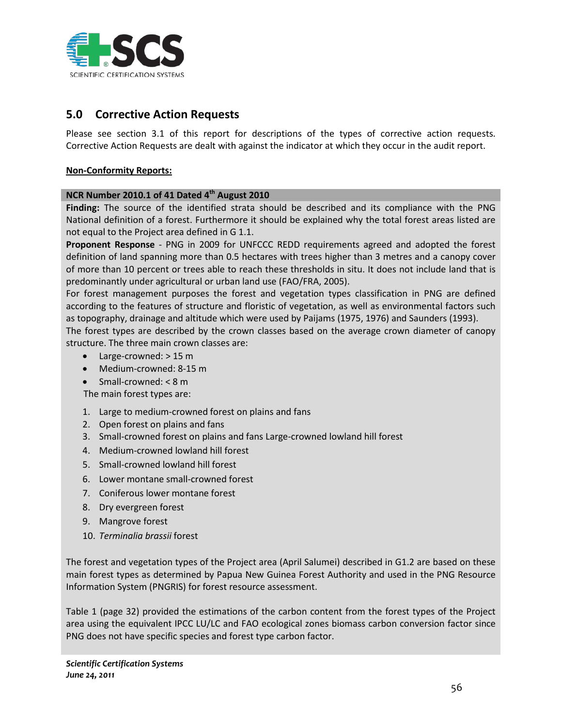

# **5.0 Corrective Action Requests**

Please see section 3.1 of this report for descriptions of the types of corrective action requests. Corrective Action Requests are dealt with against the indicator at which they occur in the audit report.

### **Non-Conformity Reports:**

#### **NCR Number 2010.1 of 41 Dated 4th August 2010**

**Finding:** The source of the identified strata should be described and its compliance with the PNG National definition of a forest. Furthermore it should be explained why the total forest areas listed are not equal to the Project area defined in G 1.1.

**Proponent Response** - PNG in 2009 for UNFCCC REDD requirements agreed and adopted the forest definition of land spanning more than 0.5 hectares with trees higher than 3 metres and a canopy cover of more than 10 percent or trees able to reach these thresholds in situ. It does not include land that is predominantly under agricultural or urban land use (FAO/FRA, 2005).

For forest management purposes the forest and vegetation types classification in PNG are defined according to the features of structure and floristic of vegetation, as well as environmental factors such as topography, drainage and altitude which were used by Paijams (1975, 1976) and Saunders (1993).

The forest types are described by the crown classes based on the average crown diameter of canopy structure. The three main crown classes are:

- Large-crowned: > 15 m
- Medium-crowned: 8-15 m
- Small-crowned: < 8 m

The main forest types are:

- 1. Large to medium-crowned forest on plains and fans
- 2. Open forest on plains and fans
- 3. Small-crowned forest on plains and fans Large-crowned lowland hill forest
- 4. Medium-crowned lowland hill forest
- 5. Small-crowned lowland hill forest
- 6. Lower montane small-crowned forest
- 7. Coniferous lower montane forest
- 8. Dry evergreen forest
- 9. Mangrove forest
- 10. *Terminalia brassii* forest

The forest and vegetation types of the Project area (April Salumei) described in G1.2 are based on these main forest types as determined by Papua New Guinea Forest Authority and used in the PNG Resource Information System (PNGRIS) for forest resource assessment.

Table 1 (page 32) provided the estimations of the carbon content from the forest types of the Project area using the equivalent IPCC LU/LC and FAO ecological zones biomass carbon conversion factor since PNG does not have specific species and forest type carbon factor.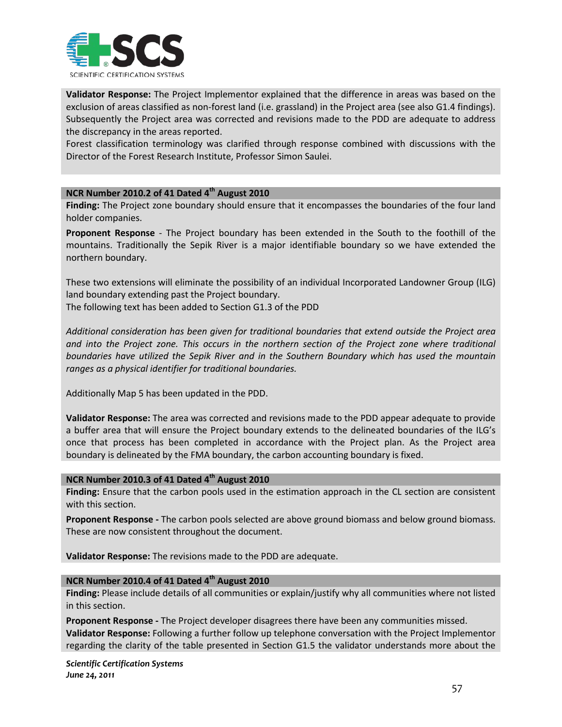

**Validator Response:** The Project Implementor explained that the difference in areas was based on the exclusion of areas classified as non-forest land (i.e. grassland) in the Project area (see also G1.4 findings). Subsequently the Project area was corrected and revisions made to the PDD are adequate to address the discrepancy in the areas reported.

Forest classification terminology was clarified through response combined with discussions with the Director of the Forest Research Institute, Professor Simon Saulei.

#### **NCR Number 2010.2 of 41 Dated 4th August 2010**

**Finding:** The Project zone boundary should ensure that it encompasses the boundaries of the four land holder companies.

**Proponent Response** - The Project boundary has been extended in the South to the foothill of the mountains. Traditionally the Sepik River is a major identifiable boundary so we have extended the northern boundary.

These two extensions will eliminate the possibility of an individual Incorporated Landowner Group (ILG) land boundary extending past the Project boundary.

The following text has been added to Section G1.3 of the PDD

*Additional consideration has been given for traditional boundaries that extend outside the Project area and into the Project zone. This occurs in the northern section of the Project zone where traditional boundaries have utilized the Sepik River and in the Southern Boundary which has used the mountain ranges as a physical identifier for traditional boundaries.* 

Additionally Map 5 has been updated in the PDD.

**Validator Response:** The area was corrected and revisions made to the PDD appear adequate to provide a buffer area that will ensure the Project boundary extends to the delineated boundaries of the ILG's once that process has been completed in accordance with the Project plan. As the Project area boundary is delineated by the FMA boundary, the carbon accounting boundary is fixed.

#### **NCR Number 2010.3 of 41 Dated 4th August 2010**

**Finding:** Ensure that the carbon pools used in the estimation approach in the CL section are consistent with this section.

**Proponent Response -** The carbon pools selected are above ground biomass and below ground biomass. These are now consistent throughout the document.

**Validator Response:** The revisions made to the PDD are adequate.

### **NCR Number 2010.4 of 41 Dated 4th August 2010**

**Finding:** Please include details of all communities or explain/justify why all communities where not listed in this section.

**Proponent Response -** The Project developer disagrees there have been any communities missed. **Validator Response:** Following a further follow up telephone conversation with the Project Implementor regarding the clarity of the table presented in Section G1.5 the validator understands more about the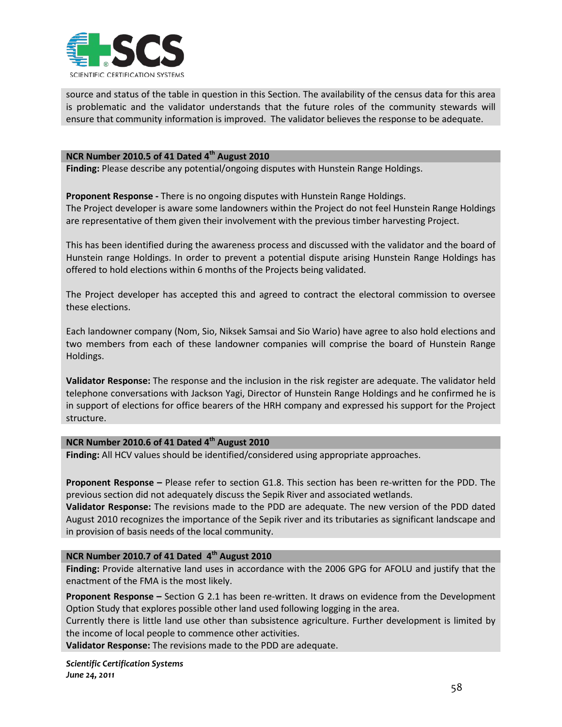

source and status of the table in question in this Section. The availability of the census data for this area is problematic and the validator understands that the future roles of the community stewards will ensure that community information is improved. The validator believes the response to be adequate.

#### **NCR Number 2010.5 of 41 Dated 4th August 2010**

**Finding:** Please describe any potential/ongoing disputes with Hunstein Range Holdings.

**Proponent Response -** There is no ongoing disputes with Hunstein Range Holdings.

The Project developer is aware some landowners within the Project do not feel Hunstein Range Holdings are representative of them given their involvement with the previous timber harvesting Project.

This has been identified during the awareness process and discussed with the validator and the board of Hunstein range Holdings. In order to prevent a potential dispute arising Hunstein Range Holdings has offered to hold elections within 6 months of the Projects being validated.

The Project developer has accepted this and agreed to contract the electoral commission to oversee these elections.

Each landowner company (Nom, Sio, Niksek Samsai and Sio Wario) have agree to also hold elections and two members from each of these landowner companies will comprise the board of Hunstein Range Holdings.

**Validator Response:** The response and the inclusion in the risk register are adequate. The validator held telephone conversations with Jackson Yagi, Director of Hunstein Range Holdings and he confirmed he is in support of elections for office bearers of the HRH company and expressed his support for the Project structure.

#### **NCR Number 2010.6 of 41 Dated 4th August 2010**

**Finding:** All HCV values should be identified/considered using appropriate approaches.

**Proponent Response –** Please refer to section G1.8. This section has been re-written for the PDD. The previous section did not adequately discuss the Sepik River and associated wetlands.

**Validator Response:** The revisions made to the PDD are adequate. The new version of the PDD dated August 2010 recognizes the importance of the Sepik river and its tributaries as significant landscape and in provision of basis needs of the local community.

## **NCR Number 2010.7 of 41 Dated 4th August 2010**

**Finding:** Provide alternative land uses in accordance with the 2006 GPG for AFOLU and justify that the enactment of the FMA is the most likely.

**Proponent Response –** Section G 2.1 has been re-written. It draws on evidence from the Development Option Study that explores possible other land used following logging in the area.

Currently there is little land use other than subsistence agriculture. Further development is limited by the income of local people to commence other activities.

**Validator Response:** The revisions made to the PDD are adequate.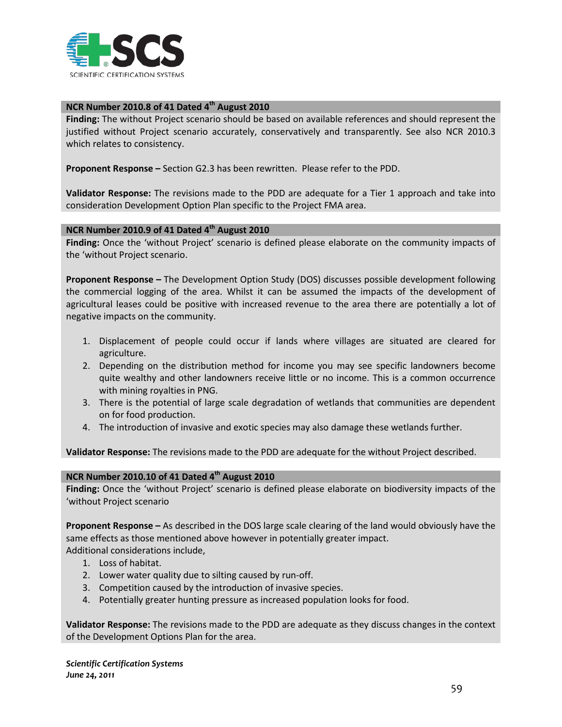

# **NCR Number 2010.8 of 41 Dated 4th August 2010**

**Finding:** The without Project scenario should be based on available references and should represent the justified without Project scenario accurately, conservatively and transparently. See also NCR 2010.3 which relates to consistency.

**Proponent Response –** Section G2.3 has been rewritten. Please refer to the PDD.

**Validator Response:** The revisions made to the PDD are adequate for a Tier 1 approach and take into consideration Development Option Plan specific to the Project FMA area.

### **NCR Number 2010.9 of 41 Dated 4th August 2010**

**Finding:** Once the 'without Project' scenario is defined please elaborate on the community impacts of the 'without Project scenario.

**Proponent Response –** The Development Option Study (DOS) discusses possible development following the commercial logging of the area. Whilst it can be assumed the impacts of the development of agricultural leases could be positive with increased revenue to the area there are potentially a lot of negative impacts on the community.

- 1. Displacement of people could occur if lands where villages are situated are cleared for agriculture.
- 2. Depending on the distribution method for income you may see specific landowners become quite wealthy and other landowners receive little or no income. This is a common occurrence with mining royalties in PNG.
- 3. There is the potential of large scale degradation of wetlands that communities are dependent on for food production.
- 4. The introduction of invasive and exotic species may also damage these wetlands further.

**Validator Response:** The revisions made to the PDD are adequate for the without Project described.

#### **NCR Number 2010.10 of 41 Dated 4th August 2010**

**Finding:** Once the 'without Project' scenario is defined please elaborate on biodiversity impacts of the 'without Project scenario

**Proponent Response –** As described in the DOS large scale clearing of the land would obviously have the same effects as those mentioned above however in potentially greater impact. Additional considerations include,

- 1. Loss of habitat.
- 2. Lower water quality due to silting caused by run-off.
- 3. Competition caused by the introduction of invasive species.
- 4. Potentially greater hunting pressure as increased population looks for food.

**Validator Response:** The revisions made to the PDD are adequate as they discuss changes in the context of the Development Options Plan for the area.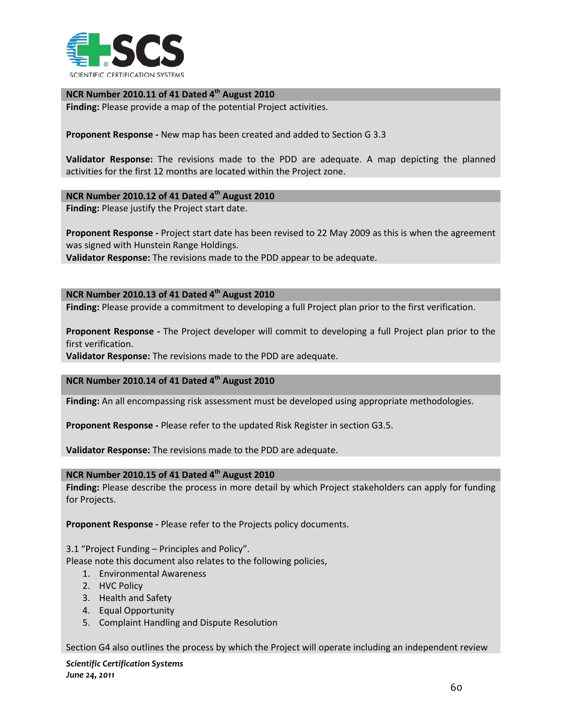

#### **NCR Number 2010.11 of 41 Dated 4th August 2010**

**Finding:** Please provide a map of the potential Project activities.

**Proponent Response -** New map has been created and added to Section G 3.3

**Validator Response:** The revisions made to the PDD are adequate. A map depicting the planned activities for the first 12 months are located within the Project zone.

#### **NCR Number 2010.12 of 41 Dated 4th August 2010**

**Finding:** Please justify the Project start date.

**Proponent Response -** Project start date has been revised to 22 May 2009 as this is when the agreement was signed with Hunstein Range Holdings.

**Validator Response:** The revisions made to the PDD appear to be adequate.

### **NCR Number 2010.13 of 41 Dated 4th August 2010**

**Finding:** Please provide a commitment to developing a full Project plan prior to the first verification.

**Proponent Response -** The Project developer will commit to developing a full Project plan prior to the first verification.

**Validator Response:** The revisions made to the PDD are adequate.

## **NCR Number 2010.14 of 41 Dated 4th August 2010**

**Finding:** An all encompassing risk assessment must be developed using appropriate methodologies.

**Proponent Response -** Please refer to the updated Risk Register in section G3.5.

**Validator Response:** The revisions made to the PDD are adequate.

### **NCR Number 2010.15 of 41 Dated 4th August 2010**

**Finding:** Please describe the process in more detail by which Project stakeholders can apply for funding for Projects.

**Proponent Response -** Please refer to the Projects policy documents.

3.1 "Project Funding – Principles and Policy".

Please note this document also relates to the following policies,

- 1. Environmental Awareness
- 2. HVC Policy
- 3. Health and Safety
- 4. Equal Opportunity
- 5. Complaint Handling and Dispute Resolution

Section G4 also outlines the process by which the Project will operate including an independent review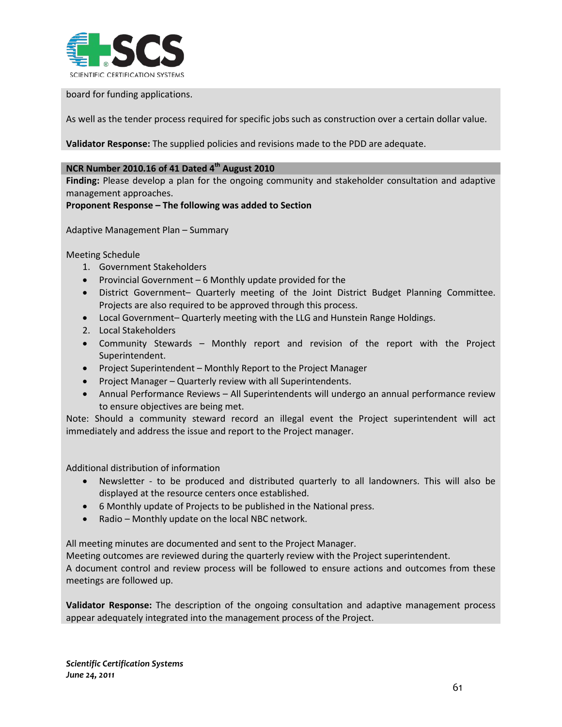

board for funding applications.

As well as the tender process required for specific jobs such as construction over a certain dollar value.

**Validator Response:** The supplied policies and revisions made to the PDD are adequate.

## **NCR Number 2010.16 of 41 Dated 4th August 2010**

**Finding:** Please develop a plan for the ongoing community and stakeholder consultation and adaptive management approaches.

**Proponent Response – The following was added to Section**

Adaptive Management Plan – Summary

Meeting Schedule

- 1. Government Stakeholders
- Provincial Government 6 Monthly update provided for the
- District Government– Quarterly meeting of the Joint District Budget Planning Committee. Projects are also required to be approved through this process.
- Local Government– Quarterly meeting with the LLG and Hunstein Range Holdings.
- 2. Local Stakeholders
- Community Stewards Monthly report and revision of the report with the Project Superintendent.
- Project Superintendent Monthly Report to the Project Manager
- Project Manager Quarterly review with all Superintendents.
- Annual Performance Reviews All Superintendents will undergo an annual performance review to ensure objectives are being met.

Note: Should a community steward record an illegal event the Project superintendent will act immediately and address the issue and report to the Project manager.

Additional distribution of information

- Newsletter to be produced and distributed quarterly to all landowners. This will also be displayed at the resource centers once established.
- 6 Monthly update of Projects to be published in the National press.
- Radio Monthly update on the local NBC network.

All meeting minutes are documented and sent to the Project Manager.

Meeting outcomes are reviewed during the quarterly review with the Project superintendent.

A document control and review process will be followed to ensure actions and outcomes from these meetings are followed up.

**Validator Response:** The description of the ongoing consultation and adaptive management process appear adequately integrated into the management process of the Project.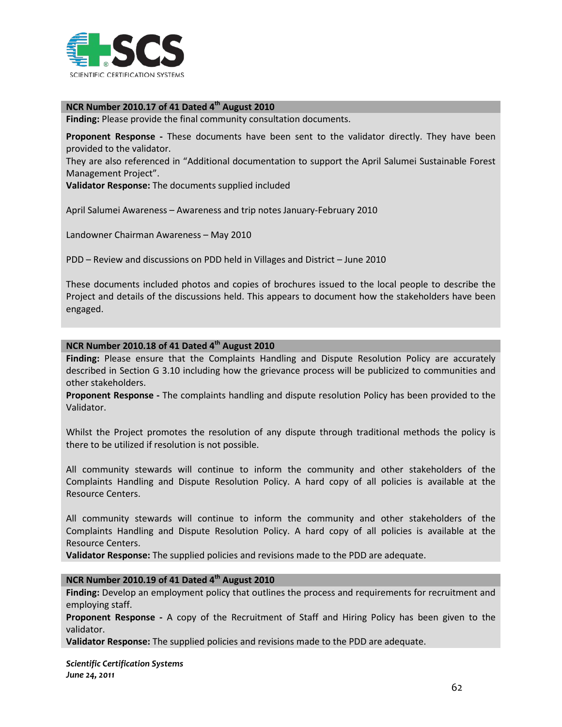

# **NCR Number 2010.17 of 41 Dated 4th August 2010**

**Finding:** Please provide the final community consultation documents.

**Proponent Response -** These documents have been sent to the validator directly. They have been provided to the validator.

They are also referenced in "Additional documentation to support the April Salumei Sustainable Forest Management Project".

**Validator Response:** The documents supplied included

April Salumei Awareness – Awareness and trip notes January-February 2010

Landowner Chairman Awareness – May 2010

PDD – Review and discussions on PDD held in Villages and District – June 2010

These documents included photos and copies of brochures issued to the local people to describe the Project and details of the discussions held. This appears to document how the stakeholders have been engaged.

#### **NCR Number 2010.18 of 41 Dated 4th August 2010**

**Finding:** Please ensure that the Complaints Handling and Dispute Resolution Policy are accurately described in Section G 3.10 including how the grievance process will be publicized to communities and other stakeholders.

**Proponent Response -** The complaints handling and dispute resolution Policy has been provided to the Validator.

Whilst the Project promotes the resolution of any dispute through traditional methods the policy is there to be utilized if resolution is not possible.

All community stewards will continue to inform the community and other stakeholders of the Complaints Handling and Dispute Resolution Policy. A hard copy of all policies is available at the Resource Centers.

All community stewards will continue to inform the community and other stakeholders of the Complaints Handling and Dispute Resolution Policy. A hard copy of all policies is available at the Resource Centers.

**Validator Response:** The supplied policies and revisions made to the PDD are adequate.

#### **NCR Number 2010.19 of 41 Dated 4th August 2010**

**Finding:** Develop an employment policy that outlines the process and requirements for recruitment and employing staff.

**Proponent Response -** A copy of the Recruitment of Staff and Hiring Policy has been given to the validator.

**Validator Response:** The supplied policies and revisions made to the PDD are adequate.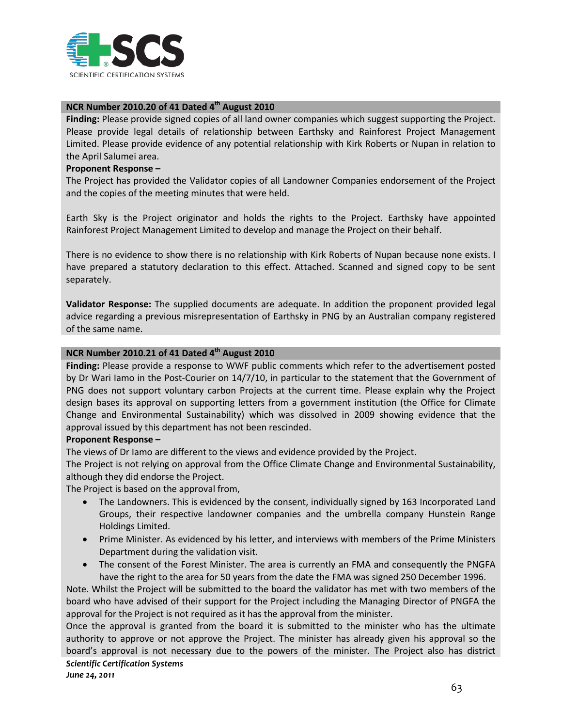

## **NCR Number 2010.20 of 41 Dated 4th August 2010**

**Finding:** Please provide signed copies of all land owner companies which suggest supporting the Project. Please provide legal details of relationship between Earthsky and Rainforest Project Management Limited. Please provide evidence of any potential relationship with Kirk Roberts or Nupan in relation to the April Salumei area.

#### **Proponent Response –**

The Project has provided the Validator copies of all Landowner Companies endorsement of the Project and the copies of the meeting minutes that were held.

Earth Sky is the Project originator and holds the rights to the Project. Earthsky have appointed Rainforest Project Management Limited to develop and manage the Project on their behalf.

There is no evidence to show there is no relationship with Kirk Roberts of Nupan because none exists. I have prepared a statutory declaration to this effect. Attached. Scanned and signed copy to be sent separately.

**Validator Response:** The supplied documents are adequate. In addition the proponent provided legal advice regarding a previous misrepresentation of Earthsky in PNG by an Australian company registered of the same name.

### **NCR Number 2010.21 of 41 Dated 4th August 2010**

**Finding:** Please provide a response to WWF public comments which refer to the advertisement posted by Dr Wari Iamo in the Post-Courier on 14/7/10, in particular to the statement that the Government of PNG does not support voluntary carbon Projects at the current time. Please explain why the Project design bases its approval on supporting letters from a government institution (the Office for Climate Change and Environmental Sustainability) which was dissolved in 2009 showing evidence that the approval issued by this department has not been rescinded.

#### **Proponent Response –**

The views of Dr Iamo are different to the views and evidence provided by the Project.

The Project is not relying on approval from the Office Climate Change and Environmental Sustainability, although they did endorse the Project.

The Project is based on the approval from,

- The Landowners. This is evidenced by the consent, individually signed by 163 Incorporated Land Groups, their respective landowner companies and the umbrella company Hunstein Range Holdings Limited.
- Prime Minister. As evidenced by his letter, and interviews with members of the Prime Ministers Department during the validation visit.
- The consent of the Forest Minister. The area is currently an FMA and consequently the PNGFA have the right to the area for 50 years from the date the FMA was signed 250 December 1996.

Note. Whilst the Project will be submitted to the board the validator has met with two members of the board who have advised of their support for the Project including the Managing Director of PNGFA the approval for the Project is not required as it has the approval from the minister.

*Scientific Certification Systems* Once the approval is granted from the board it is submitted to the minister who has the ultimate authority to approve or not approve the Project. The minister has already given his approval so the board's approval is not necessary due to the powers of the minister. The Project also has district

*June 24, 2011*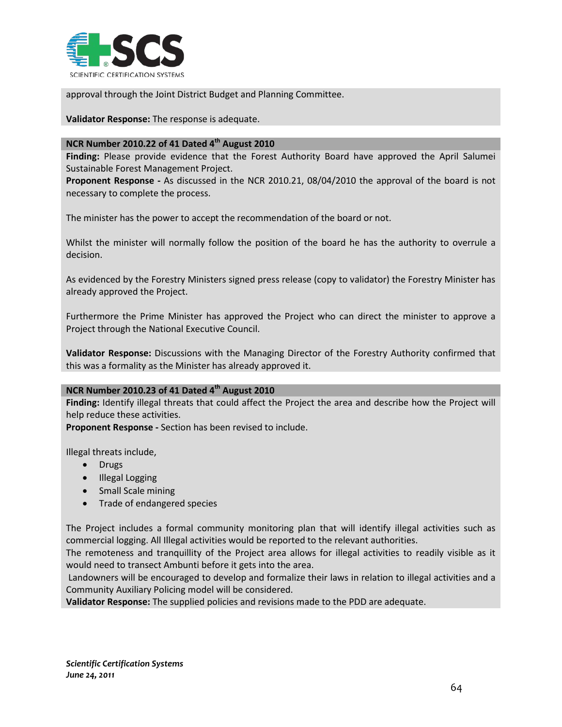

approval through the Joint District Budget and Planning Committee.

**Validator Response:** The response is adequate.

#### **NCR Number 2010.22 of 41 Dated 4th August 2010**

**Finding:** Please provide evidence that the Forest Authority Board have approved the April Salumei Sustainable Forest Management Project.

**Proponent Response -** As discussed in the NCR 2010.21, 08/04/2010 the approval of the board is not necessary to complete the process.

The minister has the power to accept the recommendation of the board or not.

Whilst the minister will normally follow the position of the board he has the authority to overrule a decision.

As evidenced by the Forestry Ministers signed press release (copy to validator) the Forestry Minister has already approved the Project.

Furthermore the Prime Minister has approved the Project who can direct the minister to approve a Project through the National Executive Council.

**Validator Response:** Discussions with the Managing Director of the Forestry Authority confirmed that this was a formality as the Minister has already approved it.

## **NCR Number 2010.23 of 41 Dated 4th August 2010**

**Finding:** Identify illegal threats that could affect the Project the area and describe how the Project will help reduce these activities.

**Proponent Response -** Section has been revised to include.

Illegal threats include,

- Drugs
- Illegal Logging
- Small Scale mining
- Trade of endangered species

The Project includes a formal community monitoring plan that will identify illegal activities such as commercial logging. All Illegal activities would be reported to the relevant authorities.

The remoteness and tranquillity of the Project area allows for illegal activities to readily visible as it would need to transect Ambunti before it gets into the area.

Landowners will be encouraged to develop and formalize their laws in relation to illegal activities and a Community Auxiliary Policing model will be considered.

**Validator Response:** The supplied policies and revisions made to the PDD are adequate.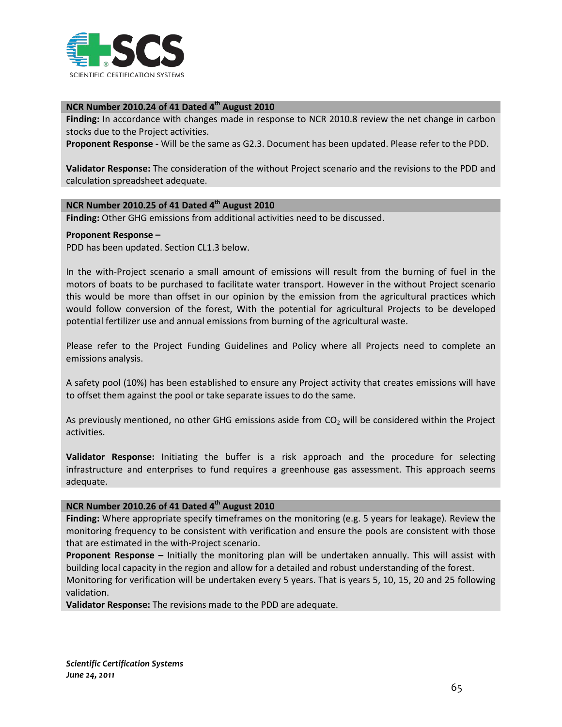

### **NCR Number 2010.24 of 41 Dated 4th August 2010**

**Finding:** In accordance with changes made in response to NCR 2010.8 review the net change in carbon stocks due to the Project activities.

**Proponent Response -** Will be the same as G2.3. Document has been updated. Please refer to the PDD.

**Validator Response:** The consideration of the without Project scenario and the revisions to the PDD and calculation spreadsheet adequate.

### **NCR Number 2010.25 of 41 Dated 4th August 2010**

**Finding:** Other GHG emissions from additional activities need to be discussed.

#### **Proponent Response –**

PDD has been updated. Section CL1.3 below.

In the with-Project scenario a small amount of emissions will result from the burning of fuel in the motors of boats to be purchased to facilitate water transport. However in the without Project scenario this would be more than offset in our opinion by the emission from the agricultural practices which would follow conversion of the forest, With the potential for agricultural Projects to be developed potential fertilizer use and annual emissions from burning of the agricultural waste.

Please refer to the Project Funding Guidelines and Policy where all Projects need to complete an emissions analysis.

A safety pool (10%) has been established to ensure any Project activity that creates emissions will have to offset them against the pool or take separate issues to do the same.

As previously mentioned, no other GHG emissions aside from  $CO<sub>2</sub>$  will be considered within the Project activities.

**Validator Response:** Initiating the buffer is a risk approach and the procedure for selecting infrastructure and enterprises to fund requires a greenhouse gas assessment. This approach seems adequate.

# **NCR Number 2010.26 of 41 Dated 4th August 2010**

**Finding:** Where appropriate specify timeframes on the monitoring (e.g. 5 years for leakage). Review the monitoring frequency to be consistent with verification and ensure the pools are consistent with those that are estimated in the with-Project scenario.

**Proponent Response –** Initially the monitoring plan will be undertaken annually. This will assist with building local capacity in the region and allow for a detailed and robust understanding of the forest.

Monitoring for verification will be undertaken every 5 years. That is years 5, 10, 15, 20 and 25 following validation.

**Validator Response:** The revisions made to the PDD are adequate.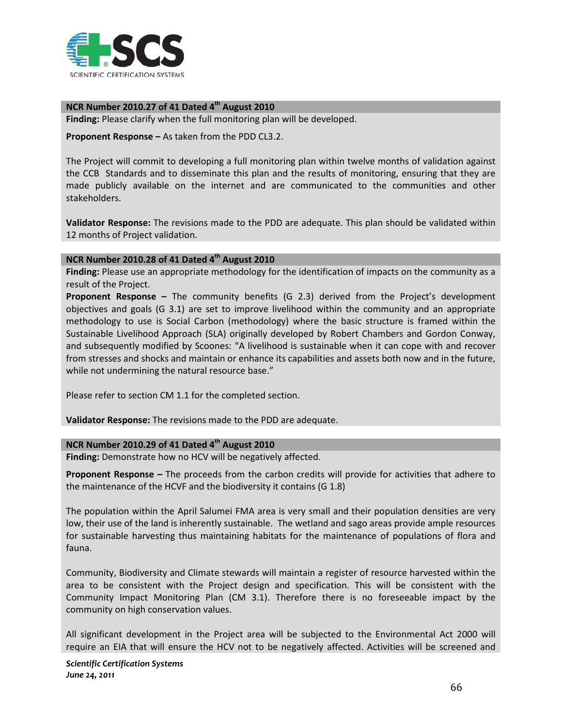

**NCR Number 2010.27 of 41 Dated 4th August 2010**

**Finding:** Please clarify when the full monitoring plan will be developed.

**Proponent Response –** As taken from the PDD CL3.2.

The Project will commit to developing a full monitoring plan within twelve months of validation against the CCB Standards and to disseminate this plan and the results of monitoring, ensuring that they are made publicly available on the internet and are communicated to the communities and other stakeholders.

**Validator Response:** The revisions made to the PDD are adequate. This plan should be validated within 12 months of Project validation.

### **NCR Number 2010.28 of 41 Dated 4th August 2010**

**Finding:** Please use an appropriate methodology for the identification of impacts on the community as a result of the Project.

**Proponent Response –** The community benefits (G 2.3) derived from the Project's development objectives and goals (G 3.1) are set to improve livelihood within the community and an appropriate methodology to use is Social Carbon (methodology) where the basic structure is framed within the Sustainable Livelihood Approach (SLA) originally developed by Robert Chambers and Gordon Conway, and subsequently modified by Scoones: "A livelihood is sustainable when it can cope with and recover from stresses and shocks and maintain or enhance its capabilities and assets both now and in the future, while not undermining the natural resource base."

Please refer to section CM 1.1 for the completed section.

**Validator Response:** The revisions made to the PDD are adequate.

#### **NCR Number 2010.29 of 41 Dated 4th August 2010**

**Finding:** Demonstrate how no HCV will be negatively affected.

**Proponent Response –** The proceeds from the carbon credits will provide for activities that adhere to the maintenance of the HCVF and the biodiversity it contains (G 1.8)

The population within the April Salumei FMA area is very small and their population densities are very low, their use of the land is inherently sustainable. The wetland and sago areas provide ample resources for sustainable harvesting thus maintaining habitats for the maintenance of populations of flora and fauna.

Community, Biodiversity and Climate stewards will maintain a register of resource harvested within the area to be consistent with the Project design and specification. This will be consistent with the Community Impact Monitoring Plan (CM 3.1). Therefore there is no foreseeable impact by the community on high conservation values.

All significant development in the Project area will be subjected to the Environmental Act 2000 will require an EIA that will ensure the HCV not to be negatively affected. Activities will be screened and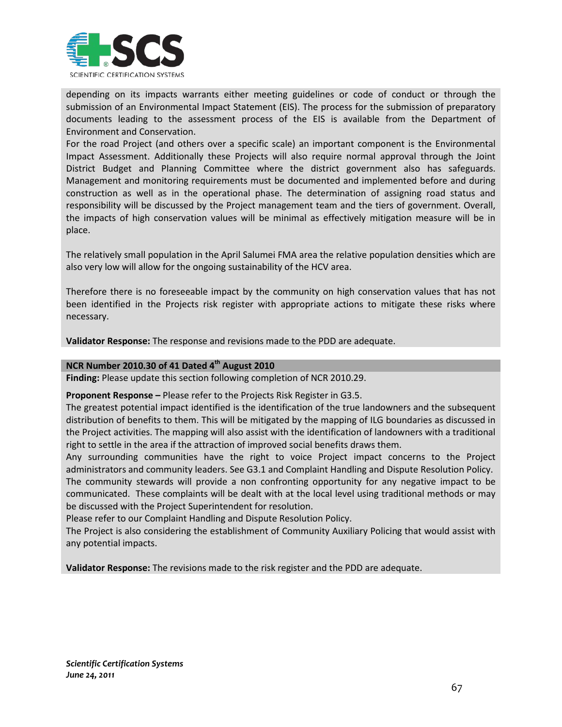

depending on its impacts warrants either meeting guidelines or code of conduct or through the submission of an Environmental Impact Statement (EIS). The process for the submission of preparatory documents leading to the assessment process of the EIS is available from the Department of Environment and Conservation.

For the road Project (and others over a specific scale) an important component is the Environmental Impact Assessment. Additionally these Projects will also require normal approval through the Joint District Budget and Planning Committee where the district government also has safeguards. Management and monitoring requirements must be documented and implemented before and during construction as well as in the operational phase. The determination of assigning road status and responsibility will be discussed by the Project management team and the tiers of government. Overall, the impacts of high conservation values will be minimal as effectively mitigation measure will be in place.

The relatively small population in the April Salumei FMA area the relative population densities which are also very low will allow for the ongoing sustainability of the HCV area.

Therefore there is no foreseeable impact by the community on high conservation values that has not been identified in the Projects risk register with appropriate actions to mitigate these risks where necessary.

**Validator Response:** The response and revisions made to the PDD are adequate.

# **NCR Number 2010.30 of 41 Dated 4th August 2010**

**Finding:** Please update this section following completion of NCR 2010.29.

**Proponent Response –** Please refer to the Projects Risk Register in G3.5.

The greatest potential impact identified is the identification of the true landowners and the subsequent distribution of benefits to them. This will be mitigated by the mapping of ILG boundaries as discussed in the Project activities. The mapping will also assist with the identification of landowners with a traditional right to settle in the area if the attraction of improved social benefits draws them.

Any surrounding communities have the right to voice Project impact concerns to the Project administrators and community leaders. See G3.1 and Complaint Handling and Dispute Resolution Policy. The community stewards will provide a non confronting opportunity for any negative impact to be communicated. These complaints will be dealt with at the local level using traditional methods or may be discussed with the Project Superintendent for resolution.

Please refer to our Complaint Handling and Dispute Resolution Policy.

The Project is also considering the establishment of Community Auxiliary Policing that would assist with any potential impacts.

**Validator Response:** The revisions made to the risk register and the PDD are adequate.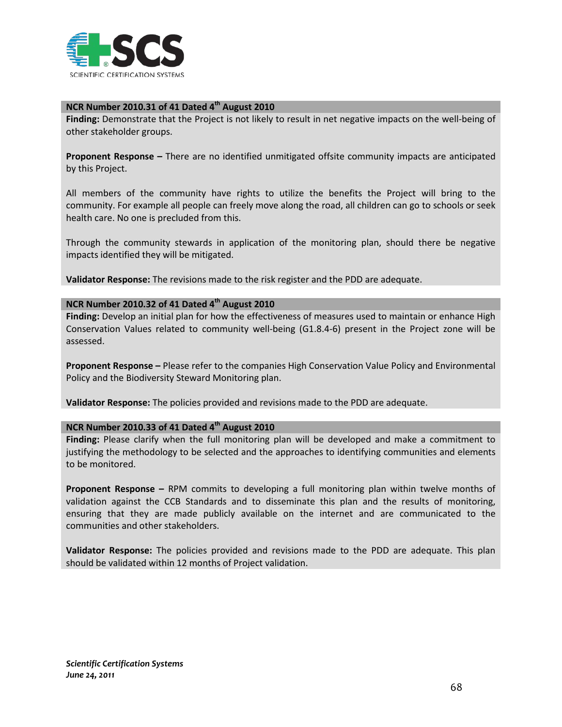

## **NCR Number 2010.31 of 41 Dated 4th August 2010**

**Finding:** Demonstrate that the Project is not likely to result in net negative impacts on the well-being of other stakeholder groups.

**Proponent Response –** There are no identified unmitigated offsite community impacts are anticipated by this Project.

All members of the community have rights to utilize the benefits the Project will bring to the community. For example all people can freely move along the road, all children can go to schools or seek health care. No one is precluded from this.

Through the community stewards in application of the monitoring plan, should there be negative impacts identified they will be mitigated.

**Validator Response:** The revisions made to the risk register and the PDD are adequate.

## **NCR Number 2010.32 of 41 Dated 4th August 2010**

**Finding:** Develop an initial plan for how the effectiveness of measures used to maintain or enhance High Conservation Values related to community well-being (G1.8.4-6) present in the Project zone will be assessed.

**Proponent Response –** Please refer to the companies High Conservation Value Policy and Environmental Policy and the Biodiversity Steward Monitoring plan.

**Validator Response:** The policies provided and revisions made to the PDD are adequate.

#### **NCR Number 2010.33 of 41 Dated 4th August 2010**

**Finding:** Please clarify when the full monitoring plan will be developed and make a commitment to justifying the methodology to be selected and the approaches to identifying communities and elements to be monitored.

**Proponent Response –** RPM commits to developing a full monitoring plan within twelve months of validation against the CCB Standards and to disseminate this plan and the results of monitoring, ensuring that they are made publicly available on the internet and are communicated to the communities and other stakeholders.

**Validator Response:** The policies provided and revisions made to the PDD are adequate. This plan should be validated within 12 months of Project validation.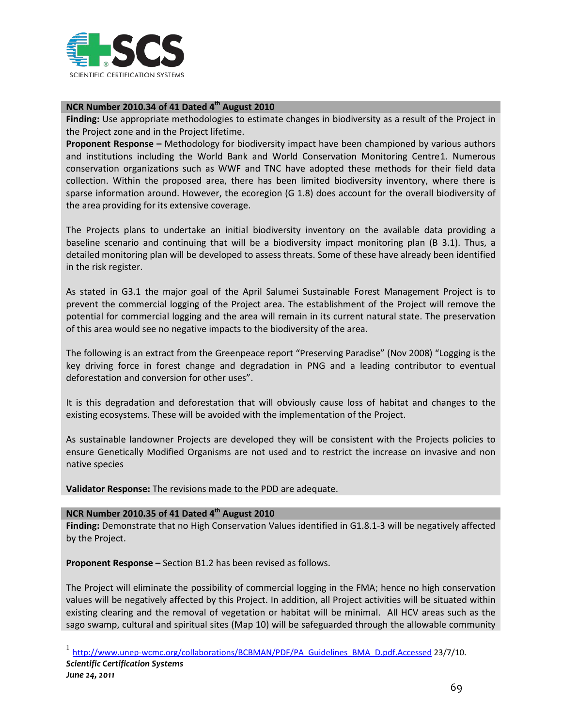

## **NCR Number 2010.34 of 41 Dated 4th August 2010**

**Finding:** Use appropriate methodologies to estimate changes in biodiversity as a result of the Project in the Project zone and in the Project lifetime.

**Proponent Response –** Methodology for biodiversity impact have been championed by various authors and institutions including the World Bank and World Conservation Monitoring Centre[1](#page-69-0). Numerous conservation organizations such as WWF and TNC have adopted these methods for their field data collection. Within the proposed area, there has been limited biodiversity inventory, where there is sparse information around. However, the ecoregion (G 1.8) does account for the overall biodiversity of the area providing for its extensive coverage.

The Projects plans to undertake an initial biodiversity inventory on the available data providing a baseline scenario and continuing that will be a biodiversity impact monitoring plan (B 3.1). Thus, a detailed monitoring plan will be developed to assess threats. Some of these have already been identified in the risk register.

As stated in G3.1 the major goal of the April Salumei Sustainable Forest Management Project is to prevent the commercial logging of the Project area. The establishment of the Project will remove the potential for commercial logging and the area will remain in its current natural state. The preservation of this area would see no negative impacts to the biodiversity of the area.

The following is an extract from the Greenpeace report "Preserving Paradise" (Nov 2008) "Logging is the key driving force in forest change and degradation in PNG and a leading contributor to eventual deforestation and conversion for other uses".

It is this degradation and deforestation that will obviously cause loss of habitat and changes to the existing ecosystems. These will be avoided with the implementation of the Project.

As sustainable landowner Projects are developed they will be consistent with the Projects policies to ensure Genetically Modified Organisms are not used and to restrict the increase on invasive and non native species

**Validator Response:** The revisions made to the PDD are adequate.

### **NCR Number 2010.35 of 41 Dated 4th August 2010**

**Finding:** Demonstrate that no High Conservation Values identified in G1.8.1-3 will be negatively affected by the Project.

**Proponent Response –** Section B1.2 has been revised as follows.

The Project will eliminate the possibility of commercial logging in the FMA; hence no high conservation values will be negatively affected by this Project. In addition, all Project activities will be situated within existing clearing and the removal of vegetation or habitat will be minimal. All HCV areas such as the sago swamp, cultural and spiritual sites (Map 10) will be safeguarded through the allowable community

<span id="page-69-0"></span>*Scientific Certification Systems* <sup>1</sup> [http://www.unep-wcmc.org/collaborations/BCBMAN/PDF/PA\\_Guidelines\\_BMA\\_D.pdf.Accessed](http://www.unep-wcmc.org/collaborations/BCBMAN/PDF/PA_Guidelines_BMA_D.pdf.Accessed) 23/7/10.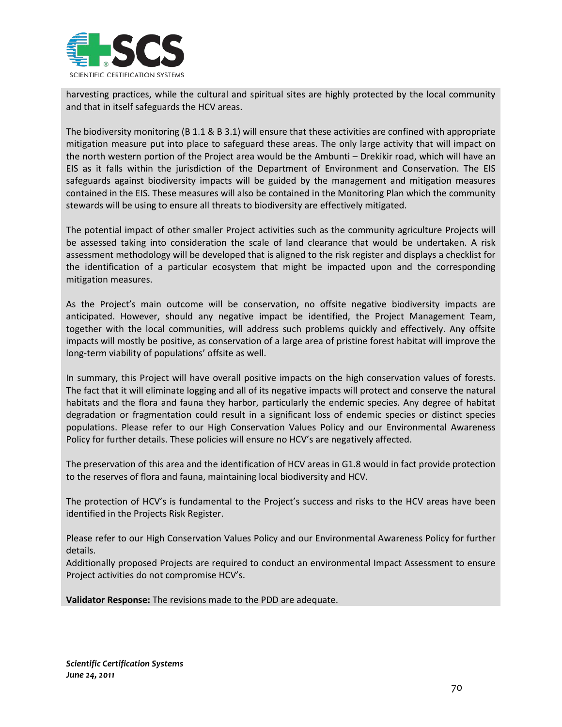

harvesting practices, while the cultural and spiritual sites are highly protected by the local community and that in itself safeguards the HCV areas.

The biodiversity monitoring (B 1.1 & B 3.1) will ensure that these activities are confined with appropriate mitigation measure put into place to safeguard these areas. The only large activity that will impact on the north western portion of the Project area would be the Ambunti – Drekikir road, which will have an EIS as it falls within the jurisdiction of the Department of Environment and Conservation. The EIS safeguards against biodiversity impacts will be guided by the management and mitigation measures contained in the EIS. These measures will also be contained in the Monitoring Plan which the community stewards will be using to ensure all threats to biodiversity are effectively mitigated.

The potential impact of other smaller Project activities such as the community agriculture Projects will be assessed taking into consideration the scale of land clearance that would be undertaken. A risk assessment methodology will be developed that is aligned to the risk register and displays a checklist for the identification of a particular ecosystem that might be impacted upon and the corresponding mitigation measures.

As the Project's main outcome will be conservation, no offsite negative biodiversity impacts are anticipated. However, should any negative impact be identified, the Project Management Team, together with the local communities, will address such problems quickly and effectively. Any offsite impacts will mostly be positive, as conservation of a large area of pristine forest habitat will improve the long-term viability of populations' offsite as well.

In summary, this Project will have overall positive impacts on the high conservation values of forests. The fact that it will eliminate logging and all of its negative impacts will protect and conserve the natural habitats and the flora and fauna they harbor, particularly the endemic species. Any degree of habitat degradation or fragmentation could result in a significant loss of endemic species or distinct species populations. Please refer to our High Conservation Values Policy and our Environmental Awareness Policy for further details. These policies will ensure no HCV's are negatively affected.

The preservation of this area and the identification of HCV areas in G1.8 would in fact provide protection to the reserves of flora and fauna, maintaining local biodiversity and HCV.

The protection of HCV's is fundamental to the Project's success and risks to the HCV areas have been identified in the Projects Risk Register.

Please refer to our High Conservation Values Policy and our Environmental Awareness Policy for further details.

Additionally proposed Projects are required to conduct an environmental Impact Assessment to ensure Project activities do not compromise HCV's.

**Validator Response:** The revisions made to the PDD are adequate.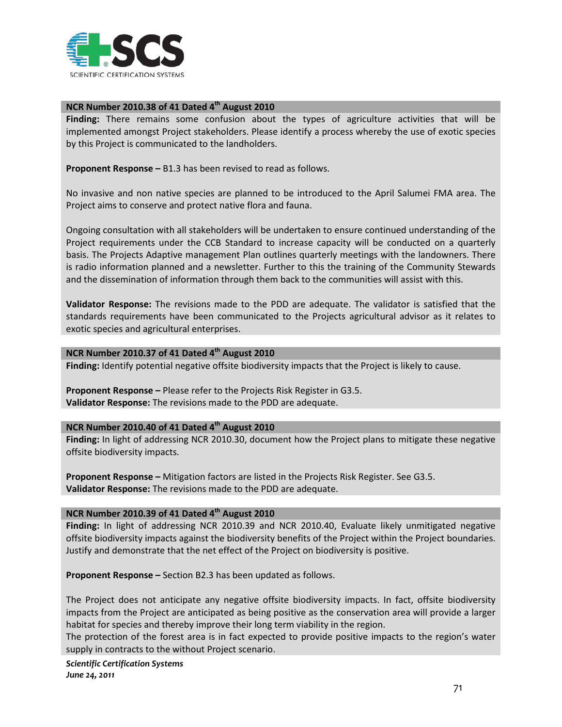

#### **NCR Number 2010.38 of 41 Dated 4th August 2010**

**Finding:** There remains some confusion about the types of agriculture activities that will be implemented amongst Project stakeholders. Please identify a process whereby the use of exotic species by this Project is communicated to the landholders.

**Proponent Response –** B1.3 has been revised to read as follows.

No invasive and non native species are planned to be introduced to the April Salumei FMA area. The Project aims to conserve and protect native flora and fauna.

Ongoing consultation with all stakeholders will be undertaken to ensure continued understanding of the Project requirements under the CCB Standard to increase capacity will be conducted on a quarterly basis. The Projects Adaptive management Plan outlines quarterly meetings with the landowners. There is radio information planned and a newsletter. Further to this the training of the Community Stewards and the dissemination of information through them back to the communities will assist with this.

**Validator Response:** The revisions made to the PDD are adequate. The validator is satisfied that the standards requirements have been communicated to the Projects agricultural advisor as it relates to exotic species and agricultural enterprises.

## **NCR Number 2010.37 of 41 Dated 4th August 2010**

**Finding:** Identify potential negative offsite biodiversity impacts that the Project is likely to cause.

**Proponent Response –** Please refer to the Projects Risk Register in G3.5. **Validator Response:** The revisions made to the PDD are adequate.

#### **NCR Number 2010.40 of 41 Dated 4th August 2010**

**Finding:** In light of addressing NCR 2010.30, document how the Project plans to mitigate these negative offsite biodiversity impacts.

**Proponent Response –** Mitigation factors are listed in the Projects Risk Register. See G3.5. **Validator Response:** The revisions made to the PDD are adequate.

#### **NCR Number 2010.39 of 41 Dated 4th August 2010**

**Finding:** In light of addressing NCR 2010.39 and NCR 2010.40, Evaluate likely unmitigated negative offsite biodiversity impacts against the biodiversity benefits of the Project within the Project boundaries. Justify and demonstrate that the net effect of the Project on biodiversity is positive.

**Proponent Response –** Section B2.3 has been updated as follows.

The Project does not anticipate any negative offsite biodiversity impacts. In fact, offsite biodiversity impacts from the Project are anticipated as being positive as the conservation area will provide a larger habitat for species and thereby improve their long term viability in the region.

The protection of the forest area is in fact expected to provide positive impacts to the region's water supply in contracts to the without Project scenario.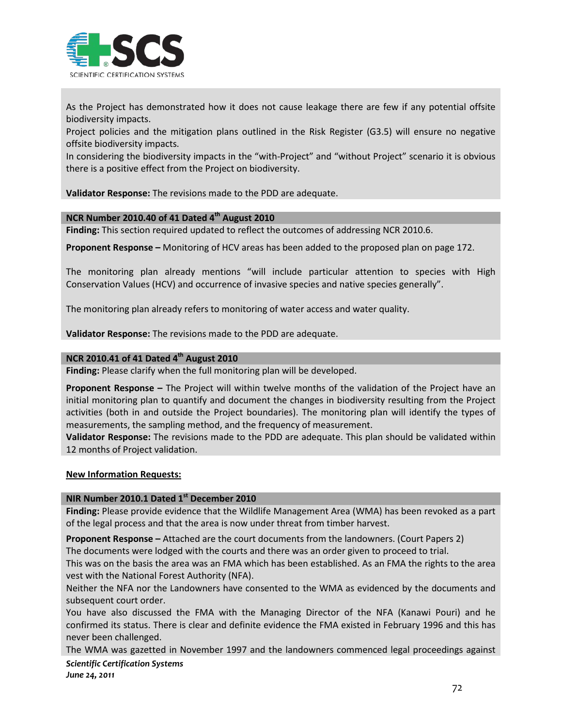

As the Project has demonstrated how it does not cause leakage there are few if any potential offsite biodiversity impacts.

Project policies and the mitigation plans outlined in the Risk Register (G3.5) will ensure no negative offsite biodiversity impacts.

In considering the biodiversity impacts in the "with-Project" and "without Project" scenario it is obvious there is a positive effect from the Project on biodiversity.

**Validator Response:** The revisions made to the PDD are adequate.

## **NCR Number 2010.40 of 41 Dated 4th August 2010**

**Finding:** This section required updated to reflect the outcomes of addressing NCR 2010.6.

**Proponent Response –** Monitoring of HCV areas has been added to the proposed plan on page 172.

The monitoring plan already mentions "will include particular attention to species with High Conservation Values (HCV) and occurrence of invasive species and native species generally".

The monitoring plan already refers to monitoring of water access and water quality.

**Validator Response:** The revisions made to the PDD are adequate.

#### **NCR 2010.41 of 41 Dated 4th August 2010**

**Finding:** Please clarify when the full monitoring plan will be developed.

**Proponent Response –** The Project will within twelve months of the validation of the Project have an initial monitoring plan to quantify and document the changes in biodiversity resulting from the Project activities (both in and outside the Project boundaries). The monitoring plan will identify the types of measurements, the sampling method, and the frequency of measurement.

**Validator Response:** The revisions made to the PDD are adequate. This plan should be validated within 12 months of Project validation.

#### **New Information Requests:**

#### **NIR Number 2010.1 Dated 1st December 2010**

**Finding:** Please provide evidence that the Wildlife Management Area (WMA) has been revoked as a part of the legal process and that the area is now under threat from timber harvest.

**Proponent Response –** Attached are the court documents from the landowners. (Court Papers 2)

The documents were lodged with the courts and there was an order given to proceed to trial.

This was on the basis the area was an FMA which has been established. As an FMA the rights to the area vest with the National Forest Authority (NFA).

Neither the NFA nor the Landowners have consented to the WMA as evidenced by the documents and subsequent court order.

You have also discussed the FMA with the Managing Director of the NFA (Kanawi Pouri) and he confirmed its status. There is clear and definite evidence the FMA existed in February 1996 and this has never been challenged.

The WMA was gazetted in November 1997 and the landowners commenced legal proceedings against

*Scientific Certification Systems June 24, 2011*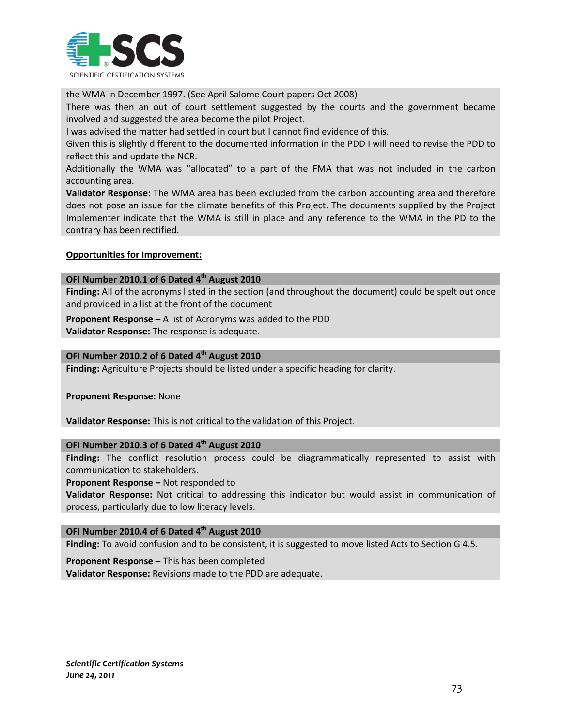

the WMA in December 1997. (See April Salome Court papers Oct 2008)

There was then an out of court settlement suggested by the courts and the government became involved and suggested the area become the pilot Project.

I was advised the matter had settled in court but I cannot find evidence of this.

Given this is slightly different to the documented information in the PDD I will need to revise the PDD to reflect this and update the NCR.

Additionally the WMA was "allocated" to a part of the FMA that was not included in the carbon accounting area.

**Validator Response:** The WMA area has been excluded from the carbon accounting area and therefore does not pose an issue for the climate benefits of this Project. The documents supplied by the Project Implementer indicate that the WMA is still in place and any reference to the WMA in the PD to the contrary has been rectified.

#### **Opportunities for Improvement:**

#### **OFI Number 2010.1 of 6 Dated 4th August 2010**

**Finding:** All of the acronyms listed in the section (and throughout the document) could be spelt out once and provided in a list at the front of the document

**Proponent Response –** A list of Acronyms was added to the PDD **Validator Response:** The response is adequate.

#### **OFI Number 2010.2 of 6 Dated 4th August 2010**

**Finding:** Agriculture Projects should be listed under a specific heading for clarity.

**Proponent Response:** None

**Validator Response:** This is not critical to the validation of this Project.

#### **OFI Number 2010.3 of 6 Dated 4th August 2010**

**Finding:** The conflict resolution process could be diagrammatically represented to assist with communication to stakeholders.

**Proponent Response –** Not responded to

**Validator Response:** Not critical to addressing this indicator but would assist in communication of process, particularly due to low literacy levels.

## **OFI Number 2010.4 of 6 Dated 4th August 2010**

**Finding:** To avoid confusion and to be consistent, it is suggested to move listed Acts to Section G 4.5.

**Proponent Response –** This has been completed

**Validator Response:** Revisions made to the PDD are adequate.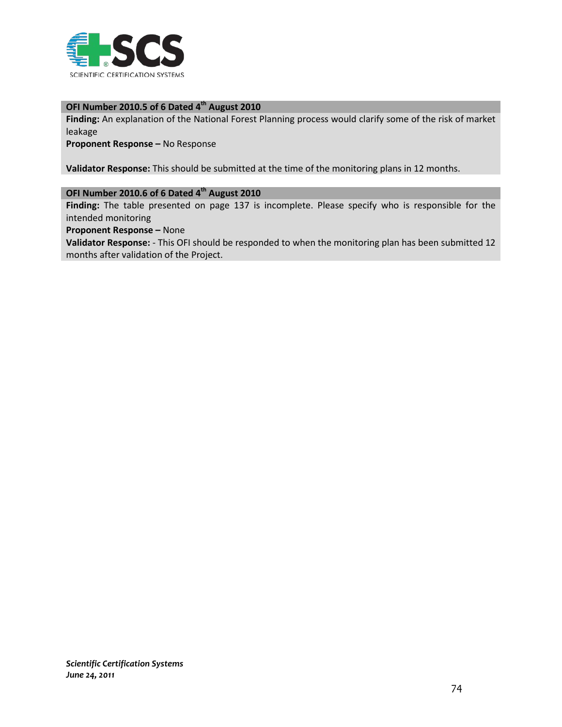

## **OFI Number 2010.5 of 6 Dated 4th August 2010**

**Finding:** An explanation of the National Forest Planning process would clarify some of the risk of market leakage

**Proponent Response –** No Response

**Validator Response:** This should be submitted at the time of the monitoring plans in 12 months.

## **OFI Number 2010.6 of 6 Dated 4th August 2010**

**Finding:** The table presented on page 137 is incomplete. Please specify who is responsible for the intended monitoring

**Proponent Response –** None

**Validator Response:** - This OFI should be responded to when the monitoring plan has been submitted 12 months after validation of the Project.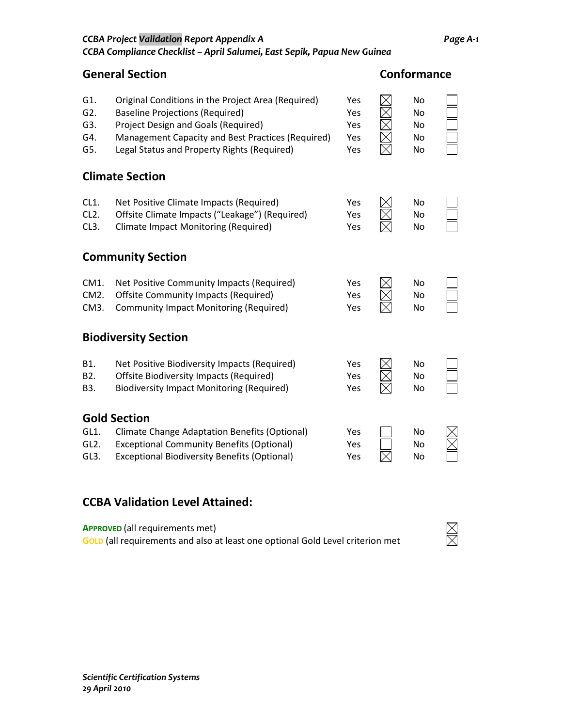|  | <b>CCBA Project Validation Report Appendix A</b>                        | Page A-1 |
|--|-------------------------------------------------------------------------|----------|
|  | CCBA Compliance Checklist – April Salumei, East Sepik, Papua New Guinea |          |

**General Section Conformance**

| G1.<br>G2.<br>G3.<br>G4.<br>G5.                | Original Conditions in the Project Area (Required)<br><b>Baseline Projections (Required)</b><br>Project Design and Goals (Required)<br>Management Capacity and Best Practices (Required)<br>Legal Status and Property Rights (Required) | Yes<br>Yes<br>Yes<br>Yes<br>Yes | No<br>No<br>No<br>No<br>No |  |
|------------------------------------------------|-----------------------------------------------------------------------------------------------------------------------------------------------------------------------------------------------------------------------------------------|---------------------------------|----------------------------|--|
|                                                | <b>Climate Section</b>                                                                                                                                                                                                                  |                                 |                            |  |
| CL1.<br>CL <sub>2</sub> .<br>CL <sub>3</sub> . | Net Positive Climate Impacts (Required)<br>Offsite Climate Impacts ("Leakage") (Required)<br><b>Climate Impact Monitoring (Required)</b>                                                                                                | Yes<br>Yes<br>Yes               | No<br>No<br>No             |  |
|                                                | <b>Community Section</b>                                                                                                                                                                                                                |                                 |                            |  |
| CM1.<br>CM <sub>2</sub> .<br>CM3.              | Net Positive Community Impacts (Required)<br><b>Offsite Community Impacts (Required)</b><br><b>Community Impact Monitoring (Required)</b>                                                                                               | Yes<br>Yes<br>Yes               | No<br>No<br>No             |  |
|                                                | <b>Biodiversity Section</b>                                                                                                                                                                                                             |                                 |                            |  |
| B1.<br>B2.<br>B3.                              | Net Positive Biodiversity Impacts (Required)<br><b>Offsite Biodiversity Impacts (Required)</b><br><b>Biodiversity Impact Monitoring (Required)</b>                                                                                      | Yes<br>Yes<br>Yes               | No<br>No<br>No             |  |
|                                                | <b>Gold Section</b>                                                                                                                                                                                                                     |                                 |                            |  |
| GL1.<br>GL <sub>2</sub> .<br>GL3.              | <b>Climate Change Adaptation Benefits (Optional)</b><br><b>Exceptional Community Benefits (Optional)</b><br><b>Exceptional Biodiversity Benefits (Optional)</b>                                                                         | Yes<br>Yes<br>Yes               | No<br>No<br>No             |  |

## **CCBA Validation Level Attained:**

**APPROVED** (all requirements met) **GOLD** (all requirements and also at least one optional Gold Level criterion met

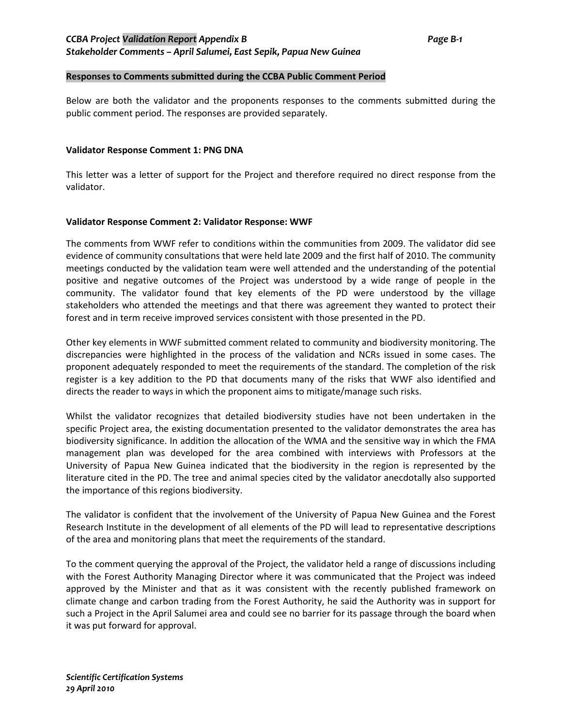#### **Responses to Comments submitted during the CCBA Public Comment Period**

Below are both the validator and the proponents responses to the comments submitted during the public comment period. The responses are provided separately.

#### **Validator Response Comment 1: PNG DNA**

This letter was a letter of support for the Project and therefore required no direct response from the validator.

#### **Validator Response Comment 2: Validator Response: WWF**

The comments from WWF refer to conditions within the communities from 2009. The validator did see evidence of community consultations that were held late 2009 and the first half of 2010. The community meetings conducted by the validation team were well attended and the understanding of the potential positive and negative outcomes of the Project was understood by a wide range of people in the community. The validator found that key elements of the PD were understood by the village stakeholders who attended the meetings and that there was agreement they wanted to protect their forest and in term receive improved services consistent with those presented in the PD.

Other key elements in WWF submitted comment related to community and biodiversity monitoring. The discrepancies were highlighted in the process of the validation and NCRs issued in some cases. The proponent adequately responded to meet the requirements of the standard. The completion of the risk register is a key addition to the PD that documents many of the risks that WWF also identified and directs the reader to ways in which the proponent aims to mitigate/manage such risks.

Whilst the validator recognizes that detailed biodiversity studies have not been undertaken in the specific Project area, the existing documentation presented to the validator demonstrates the area has biodiversity significance. In addition the allocation of the WMA and the sensitive way in which the FMA management plan was developed for the area combined with interviews with Professors at the University of Papua New Guinea indicated that the biodiversity in the region is represented by the literature cited in the PD. The tree and animal species cited by the validator anecdotally also supported the importance of this regions biodiversity.

The validator is confident that the involvement of the University of Papua New Guinea and the Forest Research Institute in the development of all elements of the PD will lead to representative descriptions of the area and monitoring plans that meet the requirements of the standard.

To the comment querying the approval of the Project, the validator held a range of discussions including with the Forest Authority Managing Director where it was communicated that the Project was indeed approved by the Minister and that as it was consistent with the recently published framework on climate change and carbon trading from the Forest Authority, he said the Authority was in support for such a Project in the April Salumei area and could see no barrier for its passage through the board when it was put forward for approval.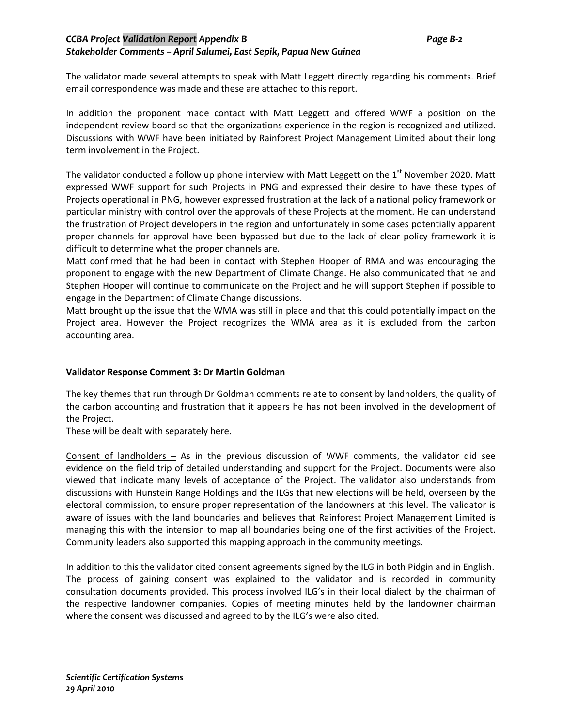## *CCBA Project Validation Report Appendix B Page B-2 Stakeholder Comments – April Salumei, East Sepik, Papua New Guinea*

The validator made several attempts to speak with Matt Leggett directly regarding his comments. Brief email correspondence was made and these are attached to this report.

In addition the proponent made contact with Matt Leggett and offered WWF a position on the independent review board so that the organizations experience in the region is recognized and utilized. Discussions with WWF have been initiated by Rainforest Project Management Limited about their long term involvement in the Project.

The validator conducted a follow up phone interview with Matt Leggett on the  $1<sup>st</sup>$  November 2020. Matt expressed WWF support for such Projects in PNG and expressed their desire to have these types of Projects operational in PNG, however expressed frustration at the lack of a national policy framework or particular ministry with control over the approvals of these Projects at the moment. He can understand the frustration of Project developers in the region and unfortunately in some cases potentially apparent proper channels for approval have been bypassed but due to the lack of clear policy framework it is difficult to determine what the proper channels are.

Matt confirmed that he had been in contact with Stephen Hooper of RMA and was encouraging the proponent to engage with the new Department of Climate Change. He also communicated that he and Stephen Hooper will continue to communicate on the Project and he will support Stephen if possible to engage in the Department of Climate Change discussions.

Matt brought up the issue that the WMA was still in place and that this could potentially impact on the Project area. However the Project recognizes the WMA area as it is excluded from the carbon accounting area.

#### **Validator Response Comment 3: Dr Martin Goldman**

The key themes that run through Dr Goldman comments relate to consent by landholders, the quality of the carbon accounting and frustration that it appears he has not been involved in the development of the Project.

These will be dealt with separately here.

Consent of landholders  $-$  As in the previous discussion of WWF comments, the validator did see evidence on the field trip of detailed understanding and support for the Project. Documents were also viewed that indicate many levels of acceptance of the Project. The validator also understands from discussions with Hunstein Range Holdings and the ILGs that new elections will be held, overseen by the electoral commission, to ensure proper representation of the landowners at this level. The validator is aware of issues with the land boundaries and believes that Rainforest Project Management Limited is managing this with the intension to map all boundaries being one of the first activities of the Project. Community leaders also supported this mapping approach in the community meetings.

In addition to this the validator cited consent agreements signed by the ILG in both Pidgin and in English. The process of gaining consent was explained to the validator and is recorded in community consultation documents provided. This process involved ILG's in their local dialect by the chairman of the respective landowner companies. Copies of meeting minutes held by the landowner chairman where the consent was discussed and agreed to by the ILG's were also cited.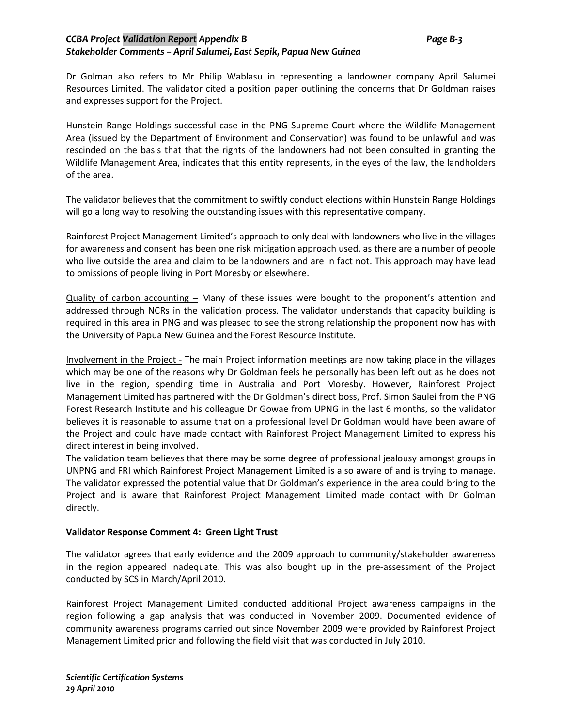## *CCBA Project Validation Report Appendix B Page B-3 Stakeholder Comments – April Salumei, East Sepik, Papua New Guinea*

Dr Golman also refers to Mr Philip Wablasu in representing a landowner company April Salumei Resources Limited. The validator cited a position paper outlining the concerns that Dr Goldman raises and expresses support for the Project.

Hunstein Range Holdings successful case in the PNG Supreme Court where the Wildlife Management Area (issued by the Department of Environment and Conservation) was found to be unlawful and was rescinded on the basis that that the rights of the landowners had not been consulted in granting the Wildlife Management Area, indicates that this entity represents, in the eyes of the law, the landholders of the area.

The validator believes that the commitment to swiftly conduct elections within Hunstein Range Holdings will go a long way to resolving the outstanding issues with this representative company.

Rainforest Project Management Limited's approach to only deal with landowners who live in the villages for awareness and consent has been one risk mitigation approach used, as there are a number of people who live outside the area and claim to be landowners and are in fact not. This approach may have lead to omissions of people living in Port Moresby or elsewhere.

Quality of carbon accounting  $-$  Many of these issues were bought to the proponent's attention and addressed through NCRs in the validation process. The validator understands that capacity building is required in this area in PNG and was pleased to see the strong relationship the proponent now has with the University of Papua New Guinea and the Forest Resource Institute.

Involvement in the Project - The main Project information meetings are now taking place in the villages which may be one of the reasons why Dr Goldman feels he personally has been left out as he does not live in the region, spending time in Australia and Port Moresby. However, Rainforest Project Management Limited has partnered with the Dr Goldman's direct boss, Prof. Simon Saulei from the PNG Forest Research Institute and his colleague Dr Gowae from UPNG in the last 6 months, so the validator believes it is reasonable to assume that on a professional level Dr Goldman would have been aware of the Project and could have made contact with Rainforest Project Management Limited to express his direct interest in being involved.

The validation team believes that there may be some degree of professional jealousy amongst groups in UNPNG and FRI which Rainforest Project Management Limited is also aware of and is trying to manage. The validator expressed the potential value that Dr Goldman's experience in the area could bring to the Project and is aware that Rainforest Project Management Limited made contact with Dr Golman directly.

#### **Validator Response Comment 4: Green Light Trust**

The validator agrees that early evidence and the 2009 approach to community/stakeholder awareness in the region appeared inadequate. This was also bought up in the pre-assessment of the Project conducted by SCS in March/April 2010.

Rainforest Project Management Limited conducted additional Project awareness campaigns in the region following a gap analysis that was conducted in November 2009. Documented evidence of community awareness programs carried out since November 2009 were provided by Rainforest Project Management Limited prior and following the field visit that was conducted in July 2010.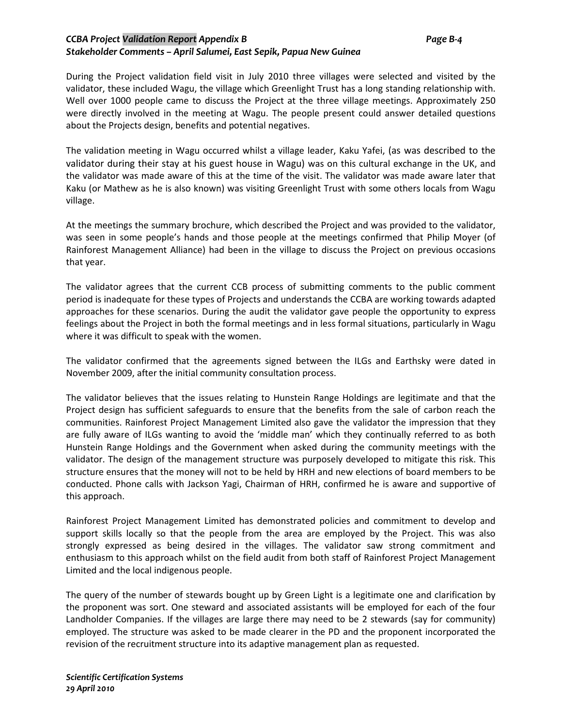## *CCBA Project Validation Report Appendix B Page B-4 Stakeholder Comments – April Salumei, East Sepik, Papua New Guinea*

During the Project validation field visit in July 2010 three villages were selected and visited by the validator, these included Wagu, the village which Greenlight Trust has a long standing relationship with. Well over 1000 people came to discuss the Project at the three village meetings. Approximately 250 were directly involved in the meeting at Wagu. The people present could answer detailed questions about the Projects design, benefits and potential negatives.

The validation meeting in Wagu occurred whilst a village leader, Kaku Yafei, (as was described to the validator during their stay at his guest house in Wagu) was on this cultural exchange in the UK, and the validator was made aware of this at the time of the visit. The validator was made aware later that Kaku (or Mathew as he is also known) was visiting Greenlight Trust with some others locals from Wagu village.

At the meetings the summary brochure, which described the Project and was provided to the validator, was seen in some people's hands and those people at the meetings confirmed that Philip Moyer (of Rainforest Management Alliance) had been in the village to discuss the Project on previous occasions that year.

The validator agrees that the current CCB process of submitting comments to the public comment period is inadequate for these types of Projects and understands the CCBA are working towards adapted approaches for these scenarios. During the audit the validator gave people the opportunity to express feelings about the Project in both the formal meetings and in less formal situations, particularly in Wagu where it was difficult to speak with the women.

The validator confirmed that the agreements signed between the ILGs and Earthsky were dated in November 2009, after the initial community consultation process.

The validator believes that the issues relating to Hunstein Range Holdings are legitimate and that the Project design has sufficient safeguards to ensure that the benefits from the sale of carbon reach the communities. Rainforest Project Management Limited also gave the validator the impression that they are fully aware of ILGs wanting to avoid the 'middle man' which they continually referred to as both Hunstein Range Holdings and the Government when asked during the community meetings with the validator. The design of the management structure was purposely developed to mitigate this risk. This structure ensures that the money will not to be held by HRH and new elections of board members to be conducted. Phone calls with Jackson Yagi, Chairman of HRH, confirmed he is aware and supportive of this approach.

Rainforest Project Management Limited has demonstrated policies and commitment to develop and support skills locally so that the people from the area are employed by the Project. This was also strongly expressed as being desired in the villages. The validator saw strong commitment and enthusiasm to this approach whilst on the field audit from both staff of Rainforest Project Management Limited and the local indigenous people.

The query of the number of stewards bought up by Green Light is a legitimate one and clarification by the proponent was sort. One steward and associated assistants will be employed for each of the four Landholder Companies. If the villages are large there may need to be 2 stewards (say for community) employed. The structure was asked to be made clearer in the PD and the proponent incorporated the revision of the recruitment structure into its adaptive management plan as requested.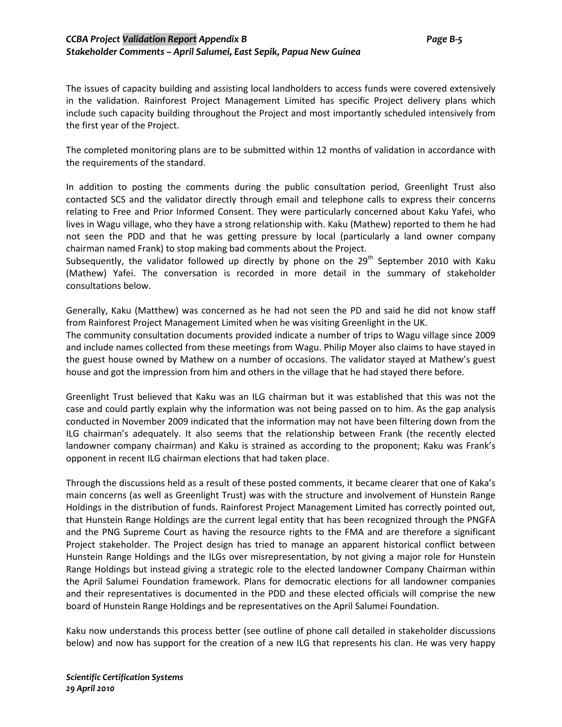#### *CCBA Project Validation Report Appendix B Page B-5 Stakeholder Comments – April Salumei, East Sepik, Papua New Guinea*

The issues of capacity building and assisting local landholders to access funds were covered extensively in the validation. Rainforest Project Management Limited has specific Project delivery plans which include such capacity building throughout the Project and most importantly scheduled intensively from the first year of the Project.

The completed monitoring plans are to be submitted within 12 months of validation in accordance with the requirements of the standard.

In addition to posting the comments during the public consultation period, Greenlight Trust also contacted SCS and the validator directly through email and telephone calls to express their concerns relating to Free and Prior Informed Consent. They were particularly concerned about Kaku Yafei, who lives in Wagu village, who they have a strong relationship with. Kaku (Mathew) reported to them he had not seen the PDD and that he was getting pressure by local (particularly a land owner company chairman named Frank) to stop making bad comments about the Project.

Subsequently, the validator followed up directly by phone on the  $29<sup>th</sup>$  September 2010 with Kaku (Mathew) Yafei. The conversation is recorded in more detail in the summary of stakeholder consultations below.

Generally, Kaku (Matthew) was concerned as he had not seen the PD and said he did not know staff from Rainforest Project Management Limited when he was visiting Greenlight in the UK.

The community consultation documents provided indicate a number of trips to Wagu village since 2009 and include names collected from these meetings from Wagu. Philip Moyer also claims to have stayed in the guest house owned by Mathew on a number of occasions. The validator stayed at Mathew's guest house and got the impression from him and others in the village that he had stayed there before.

Greenlight Trust believed that Kaku was an ILG chairman but it was established that this was not the case and could partly explain why the information was not being passed on to him. As the gap analysis conducted in November 2009 indicated that the information may not have been filtering down from the ILG chairman's adequately. It also seems that the relationship between Frank (the recently elected landowner company chairman) and Kaku is strained as according to the proponent; Kaku was Frank's opponent in recent ILG chairman elections that had taken place.

Through the discussions held as a result of these posted comments, it became clearer that one of Kaka's main concerns (as well as Greenlight Trust) was with the structure and involvement of Hunstein Range Holdings in the distribution of funds. Rainforest Project Management Limited has correctly pointed out, that Hunstein Range Holdings are the current legal entity that has been recognized through the PNGFA and the PNG Supreme Court as having the resource rights to the FMA and are therefore a significant Project stakeholder. The Project design has tried to manage an apparent historical conflict between Hunstein Range Holdings and the ILGs over misrepresentation, by not giving a major role for Hunstein Range Holdings but instead giving a strategic role to the elected landowner Company Chairman within the April Salumei Foundation framework. Plans for democratic elections for all landowner companies and their representatives is documented in the PDD and these elected officials will comprise the new board of Hunstein Range Holdings and be representatives on the April Salumei Foundation.

Kaku now understands this process better (see outline of phone call detailed in stakeholder discussions below) and now has support for the creation of a new ILG that represents his clan. He was very happy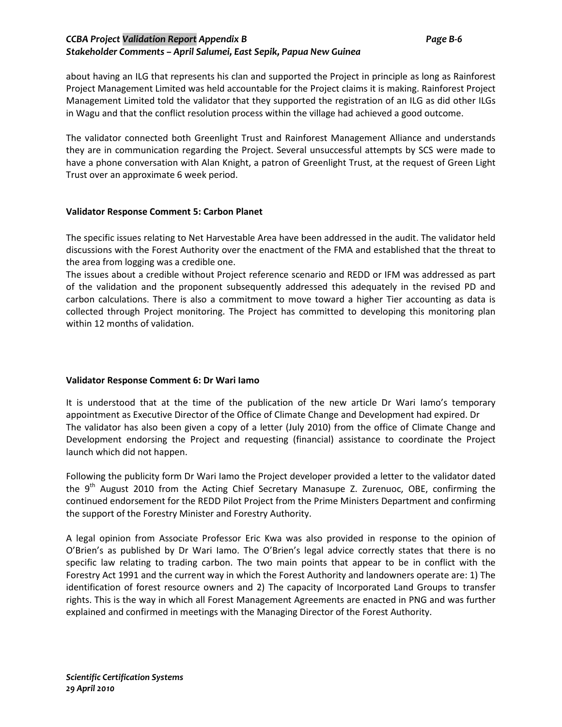## *CCBA Project Validation Report Appendix B Page B-6 Stakeholder Comments – April Salumei, East Sepik, Papua New Guinea*

about having an ILG that represents his clan and supported the Project in principle as long as Rainforest Project Management Limited was held accountable for the Project claims it is making. Rainforest Project Management Limited told the validator that they supported the registration of an ILG as did other ILGs in Wagu and that the conflict resolution process within the village had achieved a good outcome.

The validator connected both Greenlight Trust and Rainforest Management Alliance and understands they are in communication regarding the Project. Several unsuccessful attempts by SCS were made to have a phone conversation with Alan Knight, a patron of Greenlight Trust, at the request of Green Light Trust over an approximate 6 week period.

#### **Validator Response Comment 5: Carbon Planet**

The specific issues relating to Net Harvestable Area have been addressed in the audit. The validator held discussions with the Forest Authority over the enactment of the FMA and established that the threat to the area from logging was a credible one.

The issues about a credible without Project reference scenario and REDD or IFM was addressed as part of the validation and the proponent subsequently addressed this adequately in the revised PD and carbon calculations. There is also a commitment to move toward a higher Tier accounting as data is collected through Project monitoring. The Project has committed to developing this monitoring plan within 12 months of validation.

#### **Validator Response Comment 6: Dr Wari Iamo**

It is understood that at the time of the publication of the new article Dr Wari Iamo's temporary appointment as Executive Director of the Office of Climate Change and Development had expired. Dr The validator has also been given a copy of a letter (July 2010) from the office of Climate Change and Development endorsing the Project and requesting (financial) assistance to coordinate the Project launch which did not happen.

Following the publicity form Dr Wari Iamo the Project developer provided a letter to the validator dated the 9<sup>th</sup> August 2010 from the Acting Chief Secretary Manasupe Z. Zurenuoc, OBE, confirming the continued endorsement for the REDD Pilot Project from the Prime Ministers Department and confirming the support of the Forestry Minister and Forestry Authority.

A legal opinion from Associate Professor Eric Kwa was also provided in response to the opinion of O'Brien's as published by Dr Wari Iamo. The O'Brien's legal advice correctly states that there is no specific law relating to trading carbon. The two main points that appear to be in conflict with the Forestry Act 1991 and the current way in which the Forest Authority and landowners operate are: 1) The identification of forest resource owners and 2) The capacity of Incorporated Land Groups to transfer rights. This is the way in which all Forest Management Agreements are enacted in PNG and was further explained and confirmed in meetings with the Managing Director of the Forest Authority.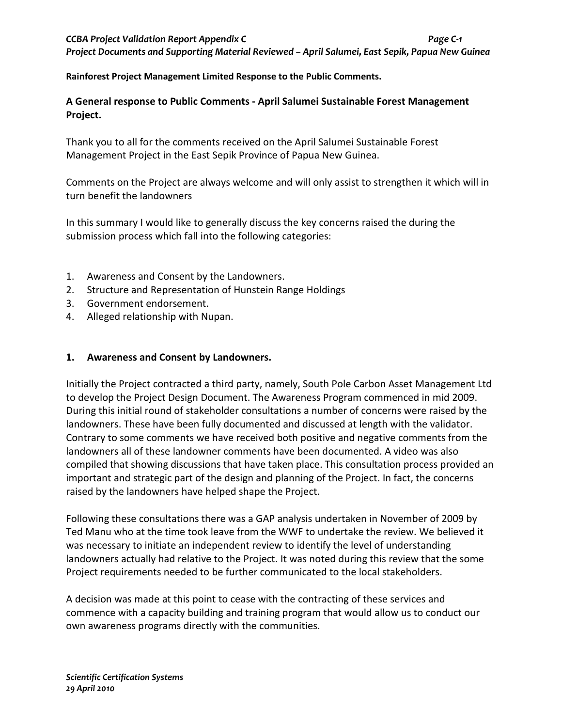## *CCBA Project Validation Report Appendix C Page C-1 Project Documents and Supporting Material Reviewed – April Salumei, East Sepik, Papua New Guinea*

**Rainforest Project Management Limited Response to the Public Comments.**

## **A General response to Public Comments - April Salumei Sustainable Forest Management Project.**

Thank you to all for the comments received on the April Salumei Sustainable Forest Management Project in the East Sepik Province of Papua New Guinea.

Comments on the Project are always welcome and will only assist to strengthen it which will in turn benefit the landowners

In this summary I would like to generally discuss the key concerns raised the during the submission process which fall into the following categories:

- 1. Awareness and Consent by the Landowners.
- 2. Structure and Representation of Hunstein Range Holdings
- 3. Government endorsement.
- 4. Alleged relationship with Nupan.

## **1. Awareness and Consent by Landowners.**

Initially the Project contracted a third party, namely, South Pole Carbon Asset Management Ltd to develop the Project Design Document. The Awareness Program commenced in mid 2009. During this initial round of stakeholder consultations a number of concerns were raised by the landowners. These have been fully documented and discussed at length with the validator. Contrary to some comments we have received both positive and negative comments from the landowners all of these landowner comments have been documented. A video was also compiled that showing discussions that have taken place. This consultation process provided an important and strategic part of the design and planning of the Project. In fact, the concerns raised by the landowners have helped shape the Project.

Following these consultations there was a GAP analysis undertaken in November of 2009 by Ted Manu who at the time took leave from the WWF to undertake the review. We believed it was necessary to initiate an independent review to identify the level of understanding landowners actually had relative to the Project. It was noted during this review that the some Project requirements needed to be further communicated to the local stakeholders.

A decision was made at this point to cease with the contracting of these services and commence with a capacity building and training program that would allow us to conduct our own awareness programs directly with the communities.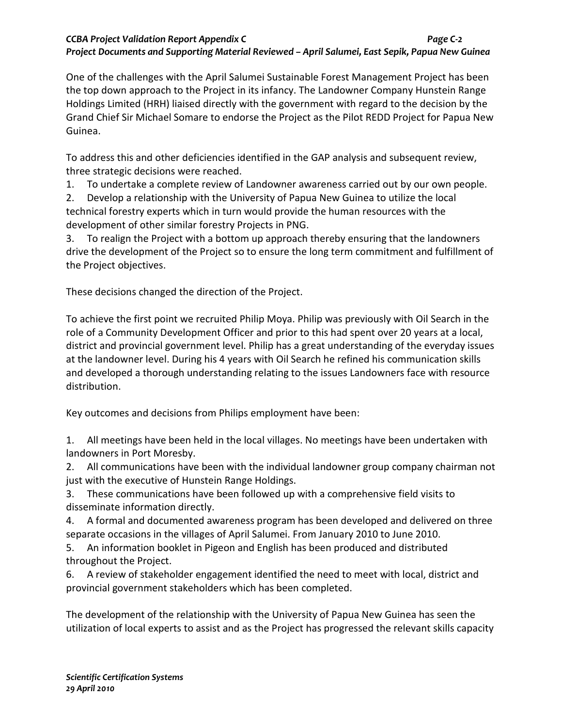One of the challenges with the April Salumei Sustainable Forest Management Project has been the top down approach to the Project in its infancy. The Landowner Company Hunstein Range Holdings Limited (HRH) liaised directly with the government with regard to the decision by the Grand Chief Sir Michael Somare to endorse the Project as the Pilot REDD Project for Papua New Guinea.

To address this and other deficiencies identified in the GAP analysis and subsequent review, three strategic decisions were reached.

1. To undertake a complete review of Landowner awareness carried out by our own people.

2. Develop a relationship with the University of Papua New Guinea to utilize the local technical forestry experts which in turn would provide the human resources with the development of other similar forestry Projects in PNG.

3. To realign the Project with a bottom up approach thereby ensuring that the landowners drive the development of the Project so to ensure the long term commitment and fulfillment of the Project objectives.

These decisions changed the direction of the Project.

To achieve the first point we recruited Philip Moya. Philip was previously with Oil Search in the role of a Community Development Officer and prior to this had spent over 20 years at a local, district and provincial government level. Philip has a great understanding of the everyday issues at the landowner level. During his 4 years with Oil Search he refined his communication skills and developed a thorough understanding relating to the issues Landowners face with resource distribution.

Key outcomes and decisions from Philips employment have been:

1. All meetings have been held in the local villages. No meetings have been undertaken with landowners in Port Moresby.

2. All communications have been with the individual landowner group company chairman not just with the executive of Hunstein Range Holdings.

3. These communications have been followed up with a comprehensive field visits to disseminate information directly.

4. A formal and documented awareness program has been developed and delivered on three separate occasions in the villages of April Salumei. From January 2010 to June 2010.

5. An information booklet in Pigeon and English has been produced and distributed throughout the Project.

6. A review of stakeholder engagement identified the need to meet with local, district and provincial government stakeholders which has been completed.

The development of the relationship with the University of Papua New Guinea has seen the utilization of local experts to assist and as the Project has progressed the relevant skills capacity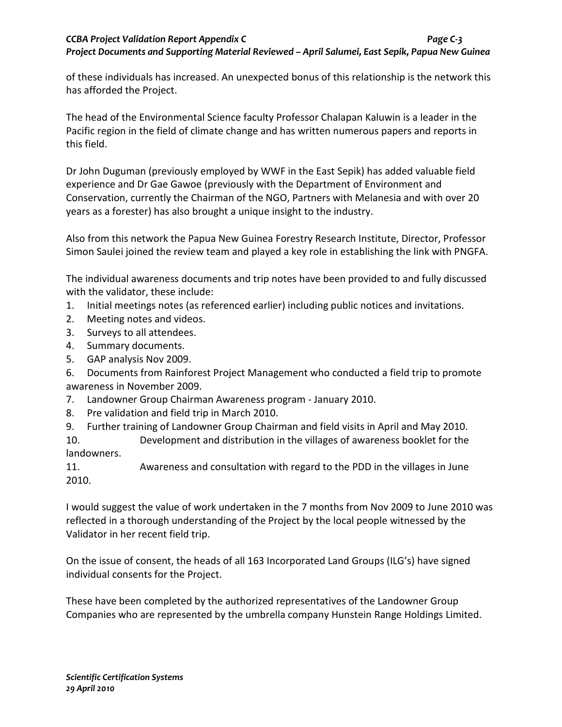of these individuals has increased. An unexpected bonus of this relationship is the network this has afforded the Project.

The head of the Environmental Science faculty Professor Chalapan Kaluwin is a leader in the Pacific region in the field of climate change and has written numerous papers and reports in this field.

Dr John Duguman (previously employed by WWF in the East Sepik) has added valuable field experience and Dr Gae Gawoe (previously with the Department of Environment and Conservation, currently the Chairman of the NGO, Partners with Melanesia and with over 20 years as a forester) has also brought a unique insight to the industry.

Also from this network the Papua New Guinea Forestry Research Institute, Director, Professor Simon Saulei joined the review team and played a key role in establishing the link with PNGFA.

The individual awareness documents and trip notes have been provided to and fully discussed with the validator, these include:

- 1. Initial meetings notes (as referenced earlier) including public notices and invitations.
- 2. Meeting notes and videos.
- 3. Surveys to all attendees.
- 4. Summary documents.
- 5. GAP analysis Nov 2009.

6. Documents from Rainforest Project Management who conducted a field trip to promote awareness in November 2009.

7. Landowner Group Chairman Awareness program - January 2010.

- 8. Pre validation and field trip in March 2010.
- 9. Further training of Landowner Group Chairman and field visits in April and May 2010.

10. Development and distribution in the villages of awareness booklet for the landowners.

11. Awareness and consultation with regard to the PDD in the villages in June 2010.

I would suggest the value of work undertaken in the 7 months from Nov 2009 to June 2010 was reflected in a thorough understanding of the Project by the local people witnessed by the Validator in her recent field trip.

On the issue of consent, the heads of all 163 Incorporated Land Groups (ILG's) have signed individual consents for the Project.

These have been completed by the authorized representatives of the Landowner Group Companies who are represented by the umbrella company Hunstein Range Holdings Limited.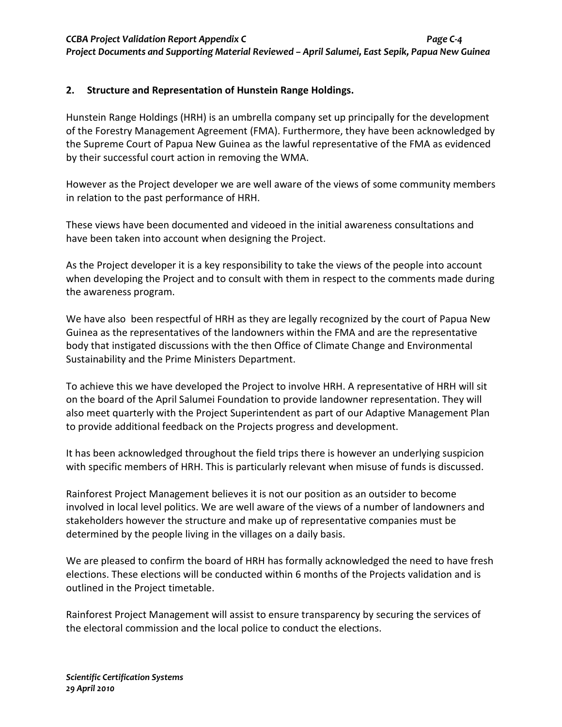## **2. Structure and Representation of Hunstein Range Holdings.**

Hunstein Range Holdings (HRH) is an umbrella company set up principally for the development of the Forestry Management Agreement (FMA). Furthermore, they have been acknowledged by the Supreme Court of Papua New Guinea as the lawful representative of the FMA as evidenced by their successful court action in removing the WMA.

However as the Project developer we are well aware of the views of some community members in relation to the past performance of HRH.

These views have been documented and videoed in the initial awareness consultations and have been taken into account when designing the Project.

As the Project developer it is a key responsibility to take the views of the people into account when developing the Project and to consult with them in respect to the comments made during the awareness program.

We have also been respectful of HRH as they are legally recognized by the court of Papua New Guinea as the representatives of the landowners within the FMA and are the representative body that instigated discussions with the then Office of Climate Change and Environmental Sustainability and the Prime Ministers Department.

To achieve this we have developed the Project to involve HRH. A representative of HRH will sit on the board of the April Salumei Foundation to provide landowner representation. They will also meet quarterly with the Project Superintendent as part of our Adaptive Management Plan to provide additional feedback on the Projects progress and development.

It has been acknowledged throughout the field trips there is however an underlying suspicion with specific members of HRH. This is particularly relevant when misuse of funds is discussed.

Rainforest Project Management believes it is not our position as an outsider to become involved in local level politics. We are well aware of the views of a number of landowners and stakeholders however the structure and make up of representative companies must be determined by the people living in the villages on a daily basis.

We are pleased to confirm the board of HRH has formally acknowledged the need to have fresh elections. These elections will be conducted within 6 months of the Projects validation and is outlined in the Project timetable.

Rainforest Project Management will assist to ensure transparency by securing the services of the electoral commission and the local police to conduct the elections.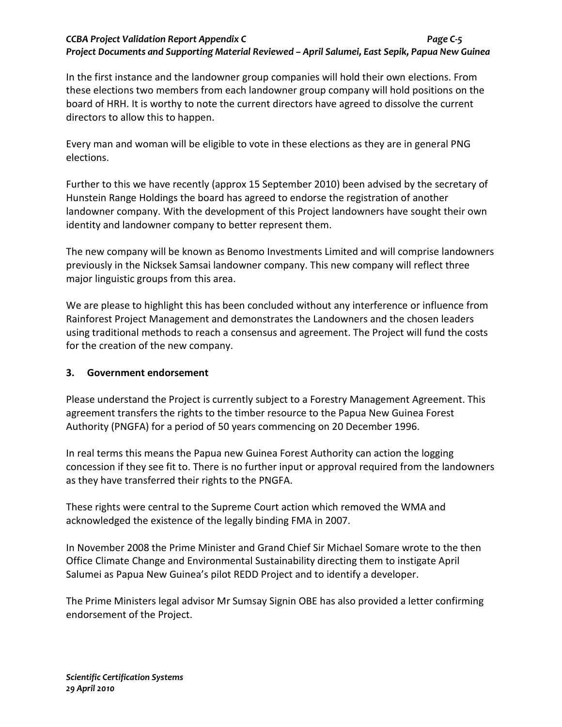## *CCBA Project Validation Report Appendix C Page C-5 Project Documents and Supporting Material Reviewed – April Salumei, East Sepik, Papua New Guinea*

In the first instance and the landowner group companies will hold their own elections. From these elections two members from each landowner group company will hold positions on the board of HRH. It is worthy to note the current directors have agreed to dissolve the current directors to allow this to happen.

Every man and woman will be eligible to vote in these elections as they are in general PNG elections.

Further to this we have recently (approx 15 September 2010) been advised by the secretary of Hunstein Range Holdings the board has agreed to endorse the registration of another landowner company. With the development of this Project landowners have sought their own identity and landowner company to better represent them.

The new company will be known as Benomo Investments Limited and will comprise landowners previously in the Nicksek Samsai landowner company. This new company will reflect three major linguistic groups from this area.

We are please to highlight this has been concluded without any interference or influence from Rainforest Project Management and demonstrates the Landowners and the chosen leaders using traditional methods to reach a consensus and agreement. The Project will fund the costs for the creation of the new company.

## **3. Government endorsement**

Please understand the Project is currently subject to a Forestry Management Agreement. This agreement transfers the rights to the timber resource to the Papua New Guinea Forest Authority (PNGFA) for a period of 50 years commencing on 20 December 1996.

In real terms this means the Papua new Guinea Forest Authority can action the logging concession if they see fit to. There is no further input or approval required from the landowners as they have transferred their rights to the PNGFA.

These rights were central to the Supreme Court action which removed the WMA and acknowledged the existence of the legally binding FMA in 2007.

In November 2008 the Prime Minister and Grand Chief Sir Michael Somare wrote to the then Office Climate Change and Environmental Sustainability directing them to instigate April Salumei as Papua New Guinea's pilot REDD Project and to identify a developer.

The Prime Ministers legal advisor Mr Sumsay Signin OBE has also provided a letter confirming endorsement of the Project.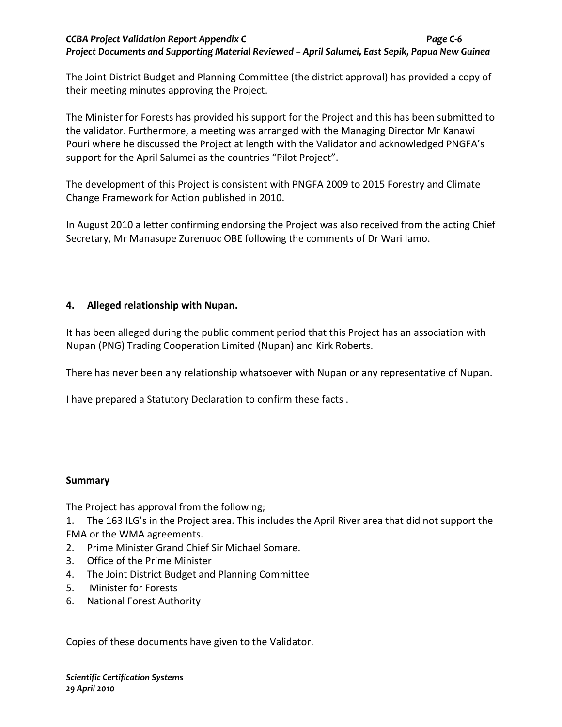## *CCBA Project Validation Report Appendix C Page C-6 Project Documents and Supporting Material Reviewed – April Salumei, East Sepik, Papua New Guinea*

The Joint District Budget and Planning Committee (the district approval) has provided a copy of their meeting minutes approving the Project.

The Minister for Forests has provided his support for the Project and this has been submitted to the validator. Furthermore, a meeting was arranged with the Managing Director Mr Kanawi Pouri where he discussed the Project at length with the Validator and acknowledged PNGFA's support for the April Salumei as the countries "Pilot Project".

The development of this Project is consistent with PNGFA 2009 to 2015 Forestry and Climate Change Framework for Action published in 2010.

In August 2010 a letter confirming endorsing the Project was also received from the acting Chief Secretary, Mr Manasupe Zurenuoc OBE following the comments of Dr Wari Iamo.

## **4. Alleged relationship with Nupan.**

It has been alleged during the public comment period that this Project has an association with Nupan (PNG) Trading Cooperation Limited (Nupan) and Kirk Roberts.

There has never been any relationship whatsoever with Nupan or any representative of Nupan.

I have prepared a Statutory Declaration to confirm these facts .

## **Summary**

The Project has approval from the following;

1. The 163 ILG's in the Project area. This includes the April River area that did not support the FMA or the WMA agreements.

- 2. Prime Minister Grand Chief Sir Michael Somare.
- 3. Office of the Prime Minister
- 4. The Joint District Budget and Planning Committee
- 5. Minister for Forests
- 6. National Forest Authority

Copies of these documents have given to the Validator.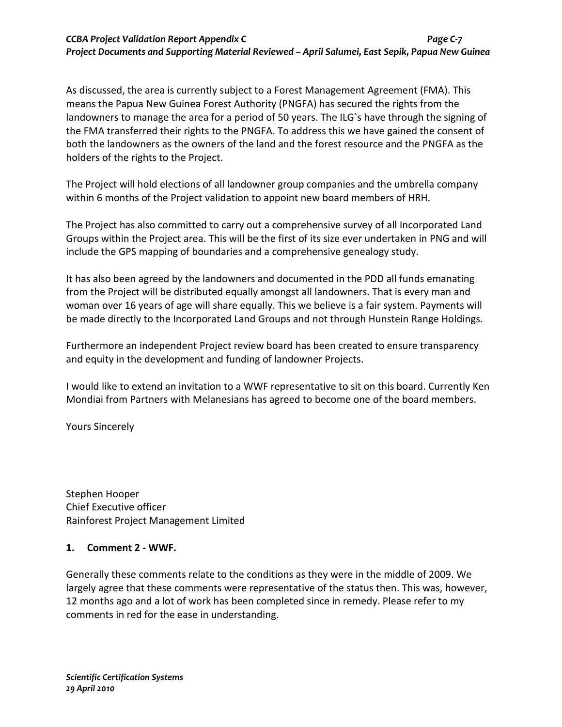## *CCBA Project Validation Report Appendix C Page C-7 Project Documents and Supporting Material Reviewed – April Salumei, East Sepik, Papua New Guinea*

As discussed, the area is currently subject to a Forest Management Agreement (FMA). This means the Papua New Guinea Forest Authority (PNGFA) has secured the rights from the landowners to manage the area for a period of 50 years. The ILG`s have through the signing of the FMA transferred their rights to the PNGFA. To address this we have gained the consent of both the landowners as the owners of the land and the forest resource and the PNGFA as the holders of the rights to the Project.

The Project will hold elections of all landowner group companies and the umbrella company within 6 months of the Project validation to appoint new board members of HRH.

The Project has also committed to carry out a comprehensive survey of all Incorporated Land Groups within the Project area. This will be the first of its size ever undertaken in PNG and will include the GPS mapping of boundaries and a comprehensive genealogy study.

It has also been agreed by the landowners and documented in the PDD all funds emanating from the Project will be distributed equally amongst all landowners. That is every man and woman over 16 years of age will share equally. This we believe is a fair system. Payments will be made directly to the Incorporated Land Groups and not through Hunstein Range Holdings.

Furthermore an independent Project review board has been created to ensure transparency and equity in the development and funding of landowner Projects.

I would like to extend an invitation to a WWF representative to sit on this board. Currently Ken Mondiai from Partners with Melanesians has agreed to become one of the board members.

Yours Sincerely

Stephen Hooper Chief Executive officer Rainforest Project Management Limited

## **1. Comment 2 - WWF.**

Generally these comments relate to the conditions as they were in the middle of 2009. We largely agree that these comments were representative of the status then. This was, however, 12 months ago and a lot of work has been completed since in remedy. Please refer to my comments in red for the ease in understanding.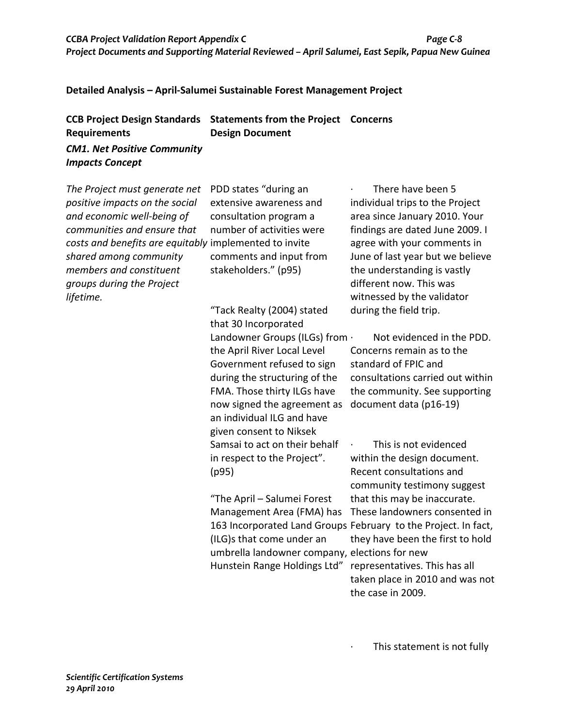## **Detailed Analysis – April-Salumei Sustainable Forest Management Project**

| <b>CCB Project Design Standards</b> | <b>Statements from the Project Concerns</b> |  |
|-------------------------------------|---------------------------------------------|--|
| <b>Requirements</b>                 | <b>Design Document</b>                      |  |
| <b>CM1. Net Positive Community</b>  |                                             |  |

*Impacts Concept* 

| The Project must generate net                          | PDD states "during an                         | There have been 5                                              |
|--------------------------------------------------------|-----------------------------------------------|----------------------------------------------------------------|
| positive impacts on the social                         | extensive awareness and                       | individual trips to the Project                                |
| and economic well-being of                             | consultation program a                        | area since January 2010. Your                                  |
| communities and ensure that                            | number of activities were                     | findings are dated June 2009. I                                |
| costs and benefits are equitably implemented to invite |                                               | agree with your comments in                                    |
| shared among community                                 | comments and input from                       | June of last year but we believe                               |
| members and constituent                                | stakeholders." (p95)                          | the understanding is vastly                                    |
| groups during the Project                              |                                               | different now. This was                                        |
| lifetime.                                              |                                               | witnessed by the validator                                     |
|                                                        | "Tack Realty (2004) stated                    | during the field trip.                                         |
|                                                        | that 30 Incorporated                          |                                                                |
|                                                        | Landowner Groups (ILGs) from .                | Not evidenced in the PDD.                                      |
|                                                        | the April River Local Level                   | Concerns remain as to the                                      |
|                                                        | Government refused to sign                    | standard of FPIC and                                           |
|                                                        | during the structuring of the                 | consultations carried out within                               |
|                                                        | FMA. Those thirty ILGs have                   | the community. See supporting                                  |
|                                                        | now signed the agreement as                   | document data (p16-19)                                         |
|                                                        | an individual ILG and have                    |                                                                |
|                                                        | given consent to Niksek                       |                                                                |
|                                                        | Samsai to act on their behalf                 | This is not evidenced                                          |
|                                                        | in respect to the Project".                   | within the design document.                                    |
|                                                        | (p95)                                         | Recent consultations and                                       |
|                                                        |                                               | community testimony suggest                                    |
|                                                        | "The April - Salumei Forest                   | that this may be inaccurate.                                   |
|                                                        | Management Area (FMA) has                     | These landowners consented in                                  |
|                                                        |                                               | 163 Incorporated Land Groups February to the Project. In fact, |
|                                                        | (ILG)s that come under an                     | they have been the first to hold                               |
|                                                        | umbrella landowner company, elections for new |                                                                |
|                                                        | Hunstein Range Holdings Ltd"                  | representatives. This has all                                  |
|                                                        |                                               | taken place in 2010 and was not                                |

· This statement is not fully

the case in 2009.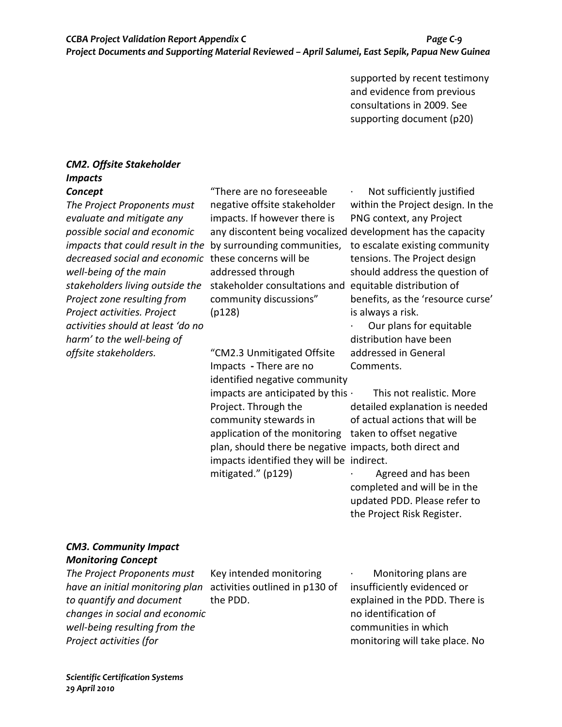supported by recent testimony and evidence from previous consultations in 2009. See supporting document (p20)

## *CM2. Offsite Stakeholder Impacts Concept*

*The Project Proponents must evaluate and mitigate any possible social and economic impacts that could result in the*  by surrounding communities, *decreased social and economic*  these concerns will be *well-being of the main*  stakeholders living outside the stakeholder consultations and equitable distribution of *Project zone resulting from Project activities. Project activities should at least 'do no harm' to the well-being of offsite stakeholders.* 

"There are no foreseeable negative offsite stakeholder impacts. If however there is addressed through community discussions" (p128)

"CM2.3 Unmitigated Offsite Impacts **-** There are no identified negative community impacts are anticipated by this  $\cdot$ Project. Through the community stewards in application of the monitoring taken to offset negative plan, should there be negative impacts, both direct and impacts identified they will be indirect. mitigated." (p129)

any discontent being vocalized development has the capacity Not sufficiently justified within the Project design. In the PNG context, any Project to escalate existing community tensions. The Project design should address the question of benefits, as the 'resource curse' is always a risk.

> Our plans for equitable distribution have been addressed in General Comments.

This not realistic. More detailed explanation is needed of actual actions that will be

· Agreed and has been completed and will be in the updated PDD. Please refer to the Project Risk Register.

# *CM3. Community Impact*

*Monitoring Concept* 

*The Project Proponents must have an initial monitoring plan*  activities outlined in p130 of *to quantify and document changes in social and economic well-being resulting from the Project activities (for* 

Key intended monitoring the PDD.

· Monitoring plans are insufficiently evidenced or explained in the PDD. There is no identification of communities in which monitoring will take place. No

*Scientific Certification Systems 29 April 2010*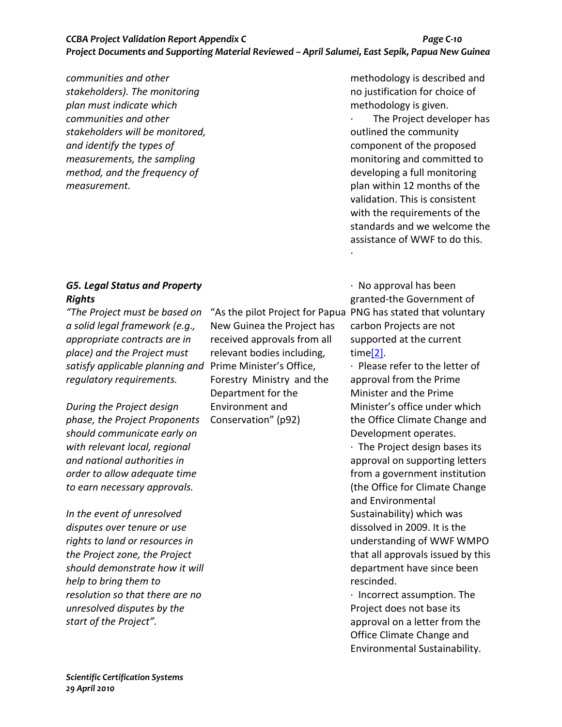## *CCBA Project Validation Report Appendix C Page C-10 Project Documents and Supporting Material Reviewed – April Salumei, East Sepik, Papua New Guinea*

*communities and other stakeholders). The monitoring plan must indicate which communities and other stakeholders will be monitored, and identify the types of measurements, the sampling method, and the frequency of measurement.* 

## *G5. Legal Status and Property Rights*

*"The Project must be based on a solid legal framework (e.g., appropriate contracts are in place) and the Project must satisfy applicable planning and*  Prime Minister's Office, *regulatory requirements.* 

*During the Project design phase, the Project Proponents should communicate early on with relevant local, regional and national authorities in order to allow adequate time to earn necessary approvals.* 

*In the event of unresolved disputes over tenure or use rights to land or resources in the Project zone, the Project should demonstrate how it will help to bring them to resolution so that there are no unresolved disputes by the start of the Project".* 

New Guinea the Project has received approvals from all relevant bodies including, Forestry Ministry and the Department for the Environment and Conservation" (p92)

methodology is described and no justification for choice of methodology is given.

The Project developer has outlined the community component of the proposed monitoring and committed to developing a full monitoring plan within 12 months of the validation. This is consistent with the requirements of the standards and we welcome the assistance of WWF to do this. ·

"As the pilot Project for Papua PNG has stated that voluntary · No approval has been granted-the Government of carbon Projects are not supported at the current time[2].

> · Please refer to the letter of approval from the Prime Minister and the Prime Minister's office under which the Office Climate Change and Development operates.

· The Project design bases its approval on supporting letters from a government institution (the Office for Climate Change and Environmental Sustainability) which was dissolved in 2009. It is the understanding of WWF WMPO that all approvals issued by this department have since been rescinded.

· Incorrect assumption. The Project does not base its approval on a letter from the Office Climate Change and Environmental Sustainability.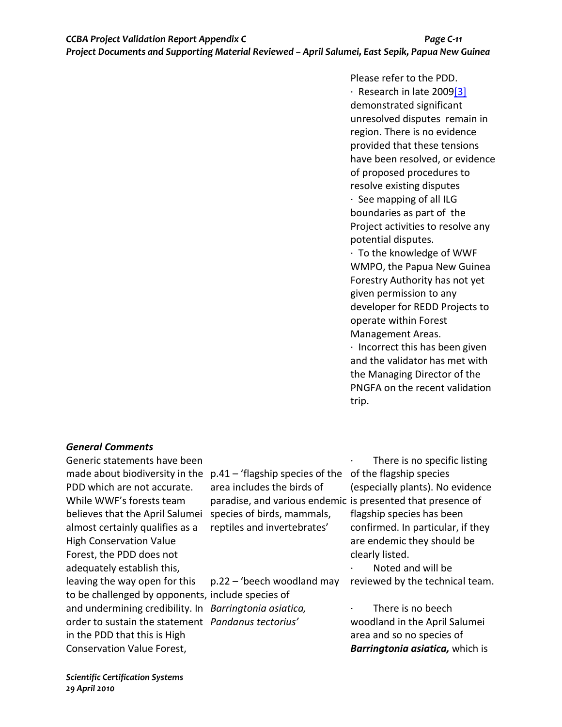Please refer to the PDD. · Research in late 2009[3] demonstrated significant unresolved disputes remain in region. There is no evidence provided that these tensions have been resolved, or evidence of proposed procedures to resolve existing disputes · See mapping of all ILG boundaries as part of the Project activities to resolve any potential disputes. · To the knowledge of WWF WMPO, the Papua New Guinea Forestry Authority has not yet given permission to any developer for REDD Projects to operate within Forest Management Areas. · Incorrect this has been given

and the validator has met with the Managing Director of the PNGFA on the recent validation trip.

## *General Comments*

Generic statements have been PDD which are not accurate. While WWF's forests team believes that the April Salumei species of birds, mammals, almost certainly qualifies as a High Conservation Value Forest, the PDD does not adequately establish this, leaving the way open for this to be challenged by opponents, include species of and undermining credibility. In *Barringtonia asiatica,*  order to sustain the statement *Pandanus tectorius'* in the PDD that this is High Conservation Value Forest,

made about biodiversity in the p.41 - 'flagship species of the of the flagship species area includes the birds of paradise, and various endemic is presented that presence of reptiles and invertebrates'

p.22 – 'beech woodland may

There is no specific listing (especially plants). No evidence flagship species has been confirmed. In particular, if they are endemic they should be clearly listed.

· Noted and will be reviewed by the technical team.

There is no beech woodland in the April Salumei area and so no species of *Barringtonia asiatica,* which is

*Scientific Certification Systems 29 April 2010*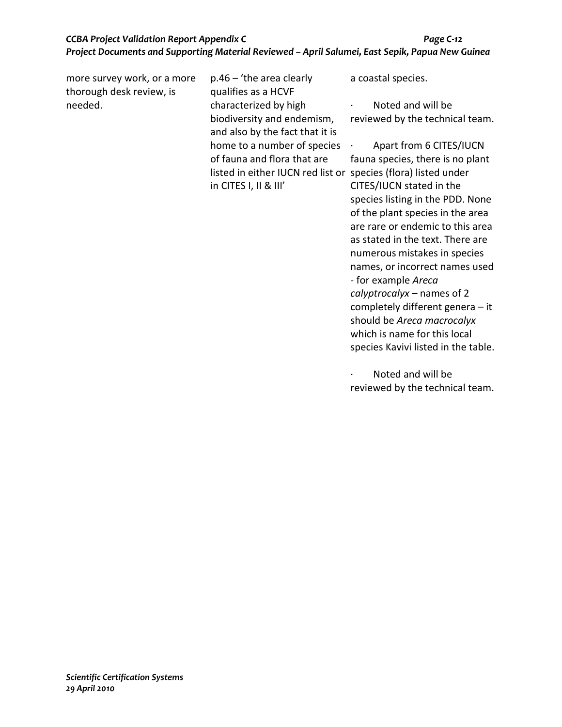| more survey work, or a more<br>thorough desk review, is | $p.46 - 'the area clearly$<br>qualifies as a HCVF                                      | a coastal species.                                                |
|---------------------------------------------------------|----------------------------------------------------------------------------------------|-------------------------------------------------------------------|
| needed.                                                 | characterized by high<br>biodiversity and endemism,<br>and also by the fact that it is | Noted and will be<br>$\bullet$<br>reviewed by the technical team. |
|                                                         | home to a number of species                                                            | Apart from 6 CITES/IUCN                                           |
|                                                         | of fauna and flora that are                                                            | fauna species, there is no plant                                  |
|                                                         | listed in either IUCN red list or                                                      | species (flora) listed under                                      |
|                                                         | in CITES I, II & III'                                                                  | CITES/IUCN stated in the                                          |
|                                                         |                                                                                        | species listing in the PDD. None                                  |
|                                                         |                                                                                        | of the plant species in the area                                  |
|                                                         |                                                                                        | are rare or endemic to this area                                  |
|                                                         |                                                                                        | as stated in the text. There are                                  |
|                                                         |                                                                                        | numerous mistakes in species                                      |
|                                                         |                                                                                        | names, or incorrect names used                                    |
|                                                         |                                                                                        | - for example Areca                                               |
|                                                         |                                                                                        | calyptrocalyx – names of 2                                        |
|                                                         |                                                                                        | completely different genera $-$ it                                |
|                                                         |                                                                                        | should be Areca macrocalyx                                        |

· Noted and will be reviewed by the technical team.

species Kavivi listed in the table.

which is name for this local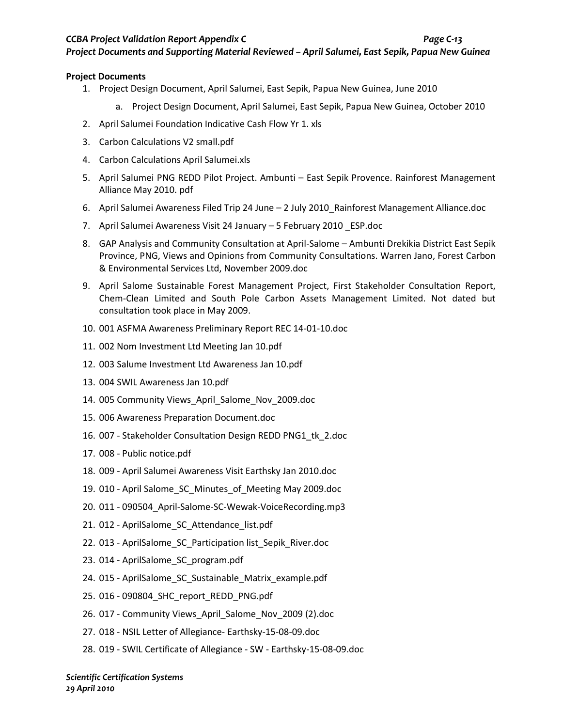*Project Documents and Supporting Material Reviewed – April Salumei, East Sepik, Papua New Guinea*

#### **Project Documents**

- 1. Project Design Document, April Salumei, East Sepik, Papua New Guinea, June 2010
	- a. Project Design Document, April Salumei, East Sepik, Papua New Guinea, October 2010
- 2. April Salumei Foundation Indicative Cash Flow Yr 1. xls
- 3. Carbon Calculations V2 small.pdf
- 4. Carbon Calculations April Salumei.xls
- 5. April Salumei PNG REDD Pilot Project. Ambunti East Sepik Provence. Rainforest Management Alliance May 2010. pdf
- 6. April Salumei Awareness Filed Trip 24 June 2 July 2010\_Rainforest Management Alliance.doc
- 7. April Salumei Awareness Visit 24 January 5 February 2010 \_ESP.doc
- 8. GAP Analysis and Community Consultation at April-Salome Ambunti Drekikia District East Sepik Province, PNG, Views and Opinions from Community Consultations. Warren Jano, Forest Carbon & Environmental Services Ltd, November 2009.doc
- 9. April Salome Sustainable Forest Management Project, First Stakeholder Consultation Report, Chem-Clean Limited and South Pole Carbon Assets Management Limited. Not dated but consultation took place in May 2009.
- 10. 001 ASFMA Awareness Preliminary Report REC 14-01-10.doc
- 11. 002 Nom Investment Ltd Meeting Jan 10.pdf
- 12. 003 Salume Investment Ltd Awareness Jan 10.pdf
- 13. 004 SWIL Awareness Jan 10.pdf
- 14. 005 Community Views\_April\_Salome\_Nov\_2009.doc
- 15. 006 Awareness Preparation Document.doc
- 16. 007 Stakeholder Consultation Design REDD PNG1\_tk\_2.doc
- 17. 008 Public notice.pdf
- 18. 009 April Salumei Awareness Visit Earthsky Jan 2010.doc
- 19. 010 April Salome\_SC\_Minutes\_of\_Meeting May 2009.doc
- 20. 011 090504\_April-Salome-SC-Wewak-VoiceRecording.mp3
- 21. 012 AprilSalome\_SC\_Attendance\_list.pdf
- 22. 013 AprilSalome\_SC\_Participation list\_Sepik\_River.doc
- 23. 014 AprilSalome\_SC\_program.pdf
- 24. 015 AprilSalome\_SC\_Sustainable\_Matrix\_example.pdf
- 25. 016 090804\_SHC\_report\_REDD\_PNG.pdf
- 26. 017 Community Views\_April\_Salome\_Nov\_2009 (2).doc
- 27. 018 NSIL Letter of Allegiance- Earthsky-15-08-09.doc
- 28. 019 SWIL Certificate of Allegiance SW Earthsky-15-08-09.doc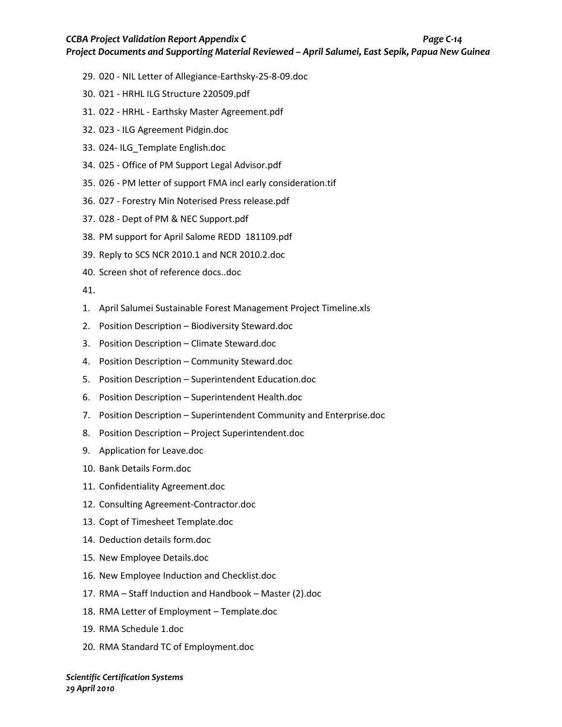*Project Documents and Supporting Material Reviewed – April Salumei, East Sepik, Papua New Guinea*

- 29. 020 NIL Letter of Allegiance-Earthsky-25-8-09.doc
- 30. 021 HRHL ILG Structure 220509.pdf
- 31. 022 HRHL Earthsky Master Agreement.pdf
- 32. 023 ILG Agreement Pidgin.doc
- 33. 024- ILG\_Template English.doc
- 34. 025 Office of PM Support Legal Advisor.pdf
- 35. 026 PM letter of support FMA incl early consideration.tif
- 36. 027 Forestry Min Noterised Press release.pdf
- 37. 028 Dept of PM & NEC Support.pdf
- 38. PM support for April Salome REDD 181109.pdf
- 39. Reply to SCS NCR 2010.1 and NCR 2010.2.doc
- 40. Screen shot of reference docs..doc

41.

- 1. April Salumei Sustainable Forest Management Project Timeline.xls
- 2. Position Description Biodiversity Steward.doc
- 3. Position Description Climate Steward.doc
- 4. Position Description Community Steward.doc
- 5. Position Description Superintendent Education.doc
- 6. Position Description Superintendent Health.doc
- 7. Position Description Superintendent Community and Enterprise.doc
- 8. Position Description Project Superintendent.doc
- 9. Application for Leave.doc
- 10. Bank Details Form.doc
- 11. Confidentiality Agreement.doc
- 12. Consulting Agreement-Contractor.doc
- 13. Copt of Timesheet Template.doc
- 14. Deduction details form.doc
- 15. New Employee Details.doc
- 16. New Employee Induction and Checklist.doc
- 17. RMA Staff Induction and Handbook Master (2).doc
- 18. RMA Letter of Employment Template.doc
- 19. RMA Schedule 1.doc
- 20. RMA Standard TC of Employment.doc

*Scientific Certification Systems 29 April 2010*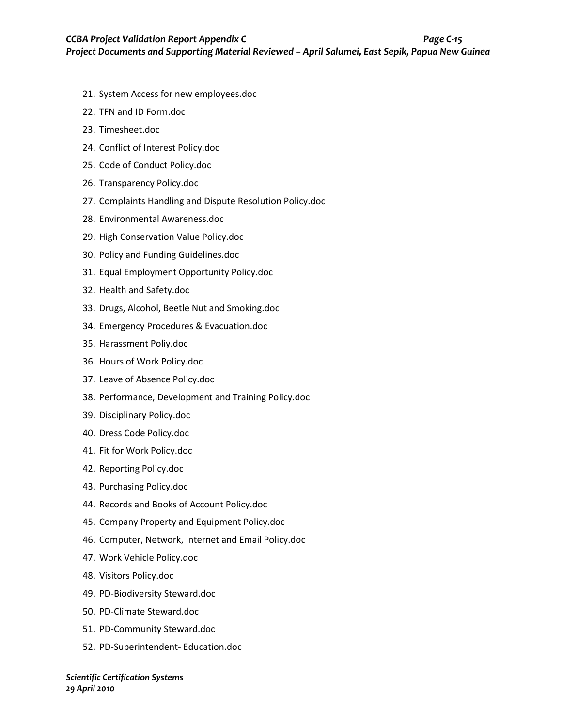- 21. System Access for new employees.doc
- 22. TFN and ID Form.doc
- 23. Timesheet.doc
- 24. Conflict of Interest Policy.doc
- 25. Code of Conduct Policy.doc
- 26. Transparency Policy.doc
- 27. Complaints Handling and Dispute Resolution Policy.doc
- 28. Environmental Awareness.doc
- 29. High Conservation Value Policy.doc
- 30. Policy and Funding Guidelines.doc
- 31. Equal Employment Opportunity Policy.doc
- 32. Health and Safety.doc
- 33. Drugs, Alcohol, Beetle Nut and Smoking.doc
- 34. Emergency Procedures & Evacuation.doc
- 35. Harassment Poliy.doc
- 36. Hours of Work Policy.doc
- 37. Leave of Absence Policy.doc
- 38. Performance, Development and Training Policy.doc
- 39. Disciplinary Policy.doc
- 40. Dress Code Policy.doc
- 41. Fit for Work Policy.doc
- 42. Reporting Policy.doc
- 43. Purchasing Policy.doc
- 44. Records and Books of Account Policy.doc
- 45. Company Property and Equipment Policy.doc
- 46. Computer, Network, Internet and Email Policy.doc
- 47. Work Vehicle Policy.doc
- 48. Visitors Policy.doc
- 49. PD-Biodiversity Steward.doc
- 50. PD-Climate Steward.doc
- 51. PD-Community Steward.doc
- 52. PD-Superintendent- Education.doc

*Scientific Certification Systems 29 April 2010*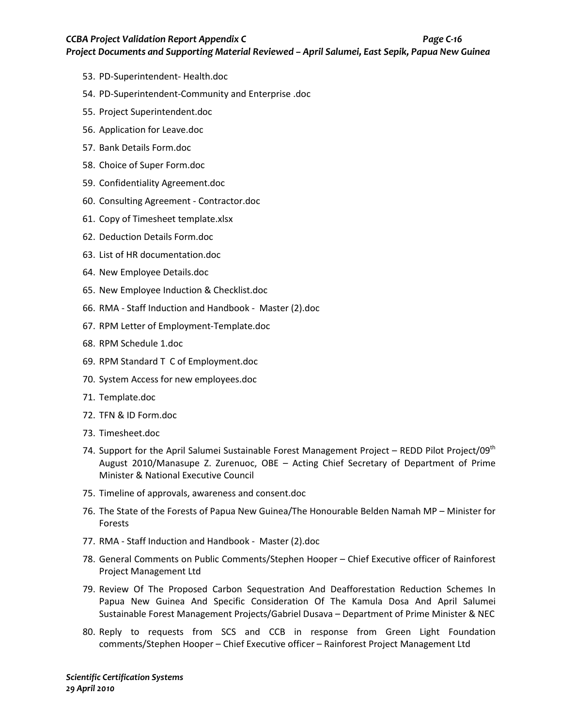*Project Documents and Supporting Material Reviewed – April Salumei, East Sepik, Papua New Guinea*

- 53. PD-Superintendent- Health.doc
- 54. PD-Superintendent-Community and Enterprise .doc
- 55. Project Superintendent.doc
- 56. Application for Leave.doc
- 57. Bank Details Form.doc
- 58. Choice of Super Form.doc
- 59. Confidentiality Agreement.doc
- 60. Consulting Agreement Contractor.doc
- 61. Copy of Timesheet template.xlsx
- 62. Deduction Details Form.doc
- 63. List of HR documentation.doc
- 64. New Employee Details.doc
- 65. New Employee Induction & Checklist.doc
- 66. RMA Staff Induction and Handbook Master (2).doc
- 67. RPM Letter of Employment-Template.doc
- 68. RPM Schedule 1.doc
- 69. RPM Standard T C of Employment.doc
- 70. System Access for new employees.doc
- 71. Template.doc
- 72. TFN & ID Form.doc
- 73. Timesheet.doc
- 74. Support for the April Salumei Sustainable Forest Management Project REDD Pilot Project/09<sup>th</sup> August 2010/Manasupe Z. Zurenuoc, OBE – Acting Chief Secretary of Department of Prime Minister & National Executive Council
- 75. Timeline of approvals, awareness and consent.doc
- 76. The State of the Forests of Papua New Guinea/The Honourable Belden Namah MP Minister for Forests
- 77. RMA Staff Induction and Handbook Master (2).doc
- 78. General Comments on Public Comments/Stephen Hooper Chief Executive officer of Rainforest Project Management Ltd
- 79. Review Of The Proposed Carbon Sequestration And Deafforestation Reduction Schemes In Papua New Guinea And Specific Consideration Of The Kamula Dosa And April Salumei Sustainable Forest Management Projects/Gabriel Dusava – Department of Prime Minister & NEC
- 80. Reply to requests from SCS and CCB in response from Green Light Foundation comments/Stephen Hooper – Chief Executive officer – Rainforest Project Management Ltd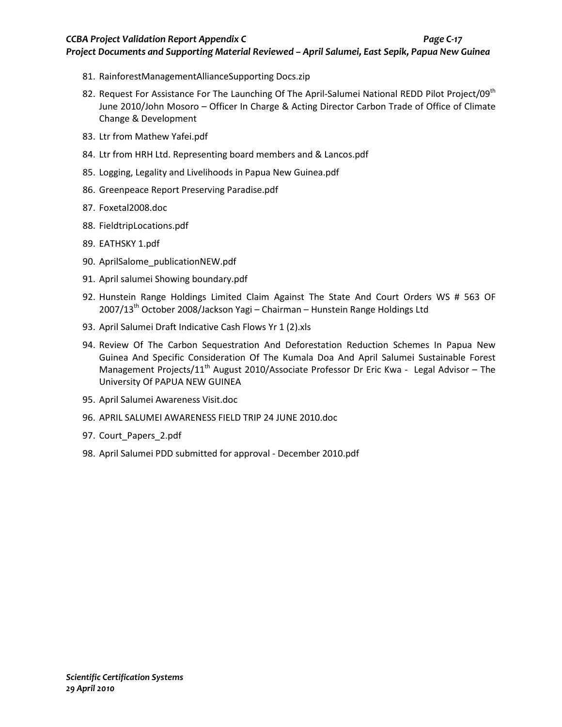#### *CCBA Project Validation Report Appendix C Page C-17*

*Project Documents and Supporting Material Reviewed – April Salumei, East Sepik, Papua New Guinea*

- 81. RainforestManagementAllianceSupporting Docs.zip
- 82. Request For Assistance For The Launching Of The April-Salumei National REDD Pilot Project/09<sup>th</sup> June 2010/John Mosoro – Officer In Charge & Acting Director Carbon Trade of Office of Climate Change & Development
- 83. Ltr from Mathew Yafei.pdf
- 84. Ltr from HRH Ltd. Representing board members and & Lancos.pdf
- 85. Logging, Legality and Livelihoods in Papua New Guinea.pdf
- 86. Greenpeace Report Preserving Paradise.pdf
- 87. Foxetal2008.doc
- 88. FieldtripLocations.pdf
- 89. EATHSKY 1.pdf
- 90. AprilSalome\_publicationNEW.pdf
- 91. April salumei Showing boundary.pdf
- 92. Hunstein Range Holdings Limited Claim Against The State And Court Orders WS # 563 OF 2007/13<sup>th</sup> October 2008/Jackson Yagi – Chairman – Hunstein Range Holdings Ltd
- 93. April Salumei Draft Indicative Cash Flows Yr 1 (2).xls
- 94. Review Of The Carbon Sequestration And Deforestation Reduction Schemes In Papua New Guinea And Specific Consideration Of The Kumala Doa And April Salumei Sustainable Forest Management Projects/11<sup>th</sup> August 2010/Associate Professor Dr Eric Kwa - Legal Advisor – The University Of PAPUA NEW GUINEA
- 95. April Salumei Awareness Visit.doc
- 96. APRIL SALUMEI AWARENESS FIELD TRIP 24 JUNE 2010.doc
- 97. Court Papers 2.pdf
- 98. April Salumei PDD submitted for approval December 2010.pdf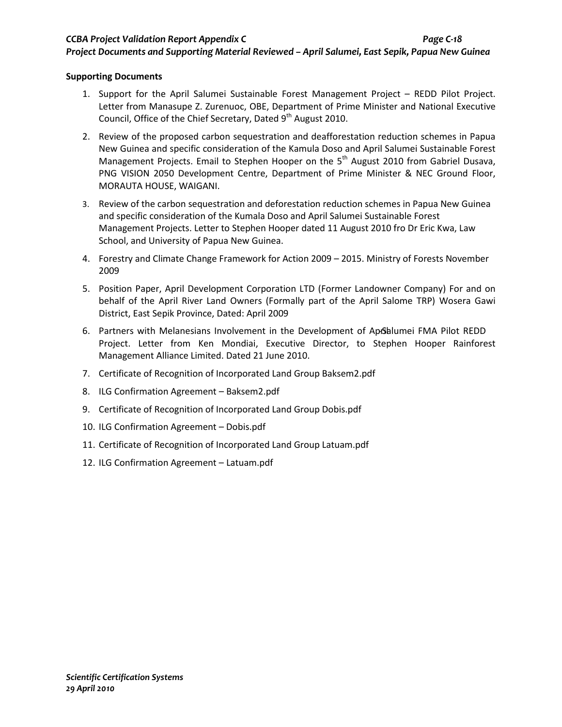*Project Documents and Supporting Material Reviewed – April Salumei, East Sepik, Papua New Guinea*

## **Supporting Documents**

- 1. Support for the April Salumei Sustainable Forest Management Project REDD Pilot Project. Letter from Manasupe Z. Zurenuoc, OBE, Department of Prime Minister and National Executive Council, Office of the Chief Secretary, Dated 9<sup>th</sup> August 2010.
- 2. Review of the proposed carbon sequestration and deafforestation reduction schemes in Papua New Guinea and specific consideration of the Kamula Doso and April Salumei Sustainable Forest Management Projects. Email to Stephen Hooper on the  $5<sup>th</sup>$  August 2010 from Gabriel Dusava, PNG VISION 2050 Development Centre, Department of Prime Minister & NEC Ground Floor, MORAUTA HOUSE, WAIGANI.
- 3. Review of the carbon sequestration and deforestation reduction schemes in Papua New Guinea and specific consideration of the Kumala Doso and April Salumei Sustainable Forest Management Projects. Letter to Stephen Hooper dated 11 August 2010 fro Dr Eric Kwa, Law School, and University of Papua New Guinea.
- 4. Forestry and Climate Change Framework for Action 2009 2015. Ministry of Forests November 2009
- 5. Position Paper, April Development Corporation LTD (Former Landowner Company) For and on behalf of the April River Land Owners (Formally part of the April Salome TRP) Wosera Gawi District, East Sepik Province, Dated: April 2009
- 6. Partners with Melanesians Involvement in the Development of Aprolationei FMA Pilot REDD Project. Letter from Ken Mondiai, Executive Director, to Stephen Hooper Rainforest Management Alliance Limited. Dated 21 June 2010.
- 7. Certificate of Recognition of Incorporated Land Group Baksem2.pdf
- 8. ILG Confirmation Agreement Baksem2.pdf
- 9. Certificate of Recognition of Incorporated Land Group Dobis.pdf
- 10. ILG Confirmation Agreement Dobis.pdf
- 11. Certificate of Recognition of Incorporated Land Group Latuam.pdf
- 12. ILG Confirmation Agreement Latuam.pdf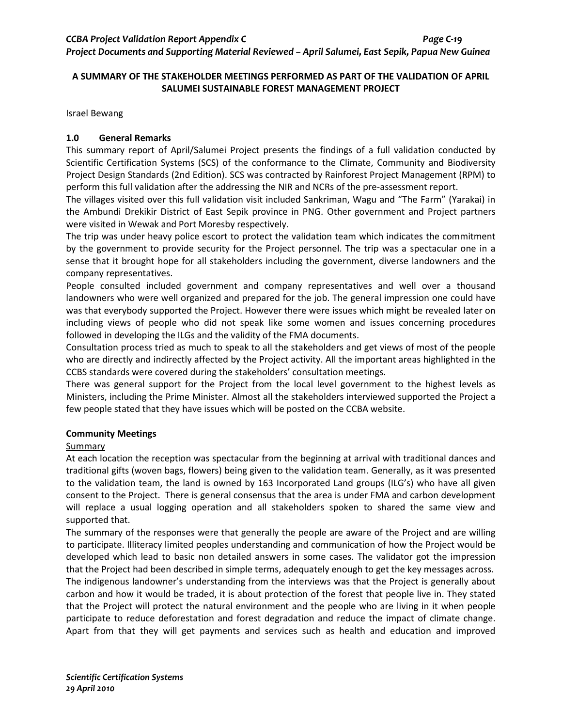## **A SUMMARY OF THE STAKEHOLDER MEETINGS PERFORMED AS PART OF THE VALIDATION OF APRIL SALUMEI SUSTAINABLE FOREST MANAGEMENT PROJECT**

Israel Bewang

## **1.0 General Remarks**

This summary report of April/Salumei Project presents the findings of a full validation conducted by Scientific Certification Systems (SCS) of the conformance to the Climate, Community and Biodiversity Project Design Standards (2nd Edition). SCS was contracted by Rainforest Project Management (RPM) to perform this full validation after the addressing the NIR and NCRs of the pre-assessment report.

The villages visited over this full validation visit included Sankriman, Wagu and "The Farm" (Yarakai) in the Ambundi Drekikir District of East Sepik province in PNG. Other government and Project partners were visited in Wewak and Port Moresby respectively.

The trip was under heavy police escort to protect the validation team which indicates the commitment by the government to provide security for the Project personnel. The trip was a spectacular one in a sense that it brought hope for all stakeholders including the government, diverse landowners and the company representatives.

People consulted included government and company representatives and well over a thousand landowners who were well organized and prepared for the job. The general impression one could have was that everybody supported the Project. However there were issues which might be revealed later on including views of people who did not speak like some women and issues concerning procedures followed in developing the ILGs and the validity of the FMA documents.

Consultation process tried as much to speak to all the stakeholders and get views of most of the people who are directly and indirectly affected by the Project activity. All the important areas highlighted in the CCBS standards were covered during the stakeholders' consultation meetings.

There was general support for the Project from the local level government to the highest levels as Ministers, including the Prime Minister. Almost all the stakeholders interviewed supported the Project a few people stated that they have issues which will be posted on the CCBA website.

## **Community Meetings**

#### Summary

At each location the reception was spectacular from the beginning at arrival with traditional dances and traditional gifts (woven bags, flowers) being given to the validation team. Generally, as it was presented to the validation team, the land is owned by 163 Incorporated Land groups (ILG's) who have all given consent to the Project. There is general consensus that the area is under FMA and carbon development will replace a usual logging operation and all stakeholders spoken to shared the same view and supported that.

The summary of the responses were that generally the people are aware of the Project and are willing to participate. Illiteracy limited peoples understanding and communication of how the Project would be developed which lead to basic non detailed answers in some cases. The validator got the impression that the Project had been described in simple terms, adequately enough to get the key messages across. The indigenous landowner's understanding from the interviews was that the Project is generally about carbon and how it would be traded, it is about protection of the forest that people live in. They stated that the Project will protect the natural environment and the people who are living in it when people participate to reduce deforestation and forest degradation and reduce the impact of climate change. Apart from that they will get payments and services such as health and education and improved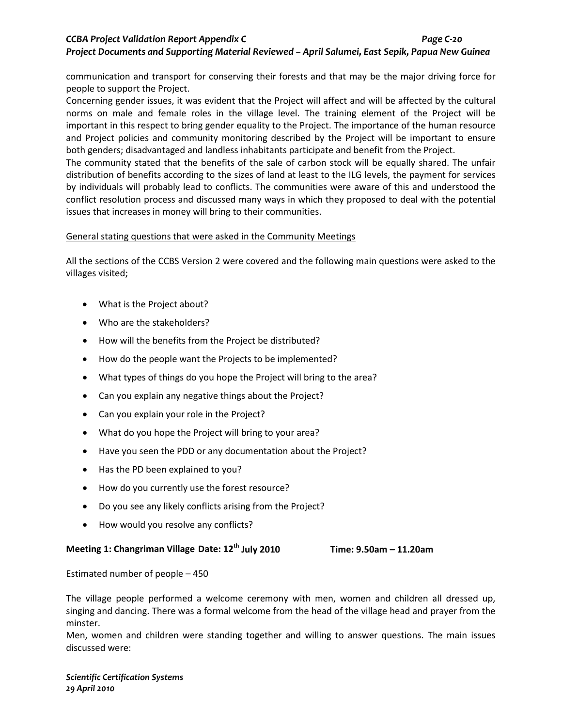communication and transport for conserving their forests and that may be the major driving force for people to support the Project.

Concerning gender issues, it was evident that the Project will affect and will be affected by the cultural norms on male and female roles in the village level. The training element of the Project will be important in this respect to bring gender equality to the Project. The importance of the human resource and Project policies and community monitoring described by the Project will be important to ensure both genders; disadvantaged and landless inhabitants participate and benefit from the Project.

The community stated that the benefits of the sale of carbon stock will be equally shared. The unfair distribution of benefits according to the sizes of land at least to the ILG levels, the payment for services by individuals will probably lead to conflicts. The communities were aware of this and understood the conflict resolution process and discussed many ways in which they proposed to deal with the potential issues that increases in money will bring to their communities.

## General stating questions that were asked in the Community Meetings

All the sections of the CCBS Version 2 were covered and the following main questions were asked to the villages visited;

- What is the Project about?
- Who are the stakeholders?
- How will the benefits from the Project be distributed?
- How do the people want the Projects to be implemented?
- What types of things do you hope the Project will bring to the area?
- Can you explain any negative things about the Project?
- Can you explain your role in the Project?
- What do you hope the Project will bring to your area?
- Have you seen the PDD or any documentation about the Project?
- Has the PD been explained to you?
- How do you currently use the forest resource?
- Do you see any likely conflicts arising from the Project?
- How would you resolve any conflicts?

## **Meeting 1: Changriman Village Date: 12th July 2010 Time: 9.50am – 11.20am**

Estimated number of people – 450

The village people performed a welcome ceremony with men, women and children all dressed up, singing and dancing. There was a formal welcome from the head of the village head and prayer from the minster.

Men, women and children were standing together and willing to answer questions. The main issues discussed were:

*Scientific Certification Systems 29 April 2010*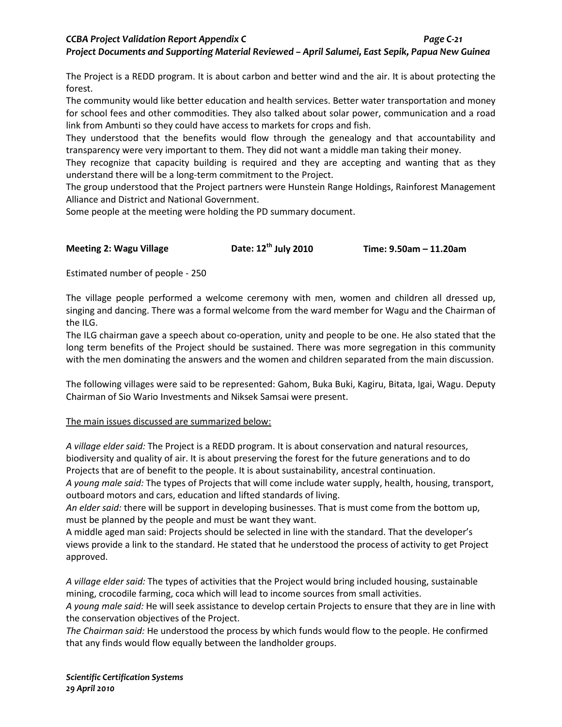## *CCBA Project Validation Report Appendix C Page C-21 Project Documents and Supporting Material Reviewed – April Salumei, East Sepik, Papua New Guinea*

The Project is a REDD program. It is about carbon and better wind and the air. It is about protecting the forest.

The community would like better education and health services. Better water transportation and money for school fees and other commodities. They also talked about solar power, communication and a road link from Ambunti so they could have access to markets for crops and fish.

They understood that the benefits would flow through the genealogy and that accountability and transparency were very important to them. They did not want a middle man taking their money.

They recognize that capacity building is required and they are accepting and wanting that as they understand there will be a long-term commitment to the Project.

The group understood that the Project partners were Hunstein Range Holdings, Rainforest Management Alliance and District and National Government.

Some people at the meeting were holding the PD summary document.

**Meeting 2: Wagu Village Date: 12th July 2010 Time: 9.50am – 11.20am**

Estimated number of people - 250

The village people performed a welcome ceremony with men, women and children all dressed up, singing and dancing. There was a formal welcome from the ward member for Wagu and the Chairman of the ILG.

The ILG chairman gave a speech about co-operation, unity and people to be one. He also stated that the long term benefits of the Project should be sustained. There was more segregation in this community with the men dominating the answers and the women and children separated from the main discussion.

The following villages were said to be represented: Gahom, Buka Buki, Kagiru, Bitata, Igai, Wagu. Deputy Chairman of Sio Wario Investments and Niksek Samsai were present.

## The main issues discussed are summarized below:

*A village elder said:* The Project is a REDD program. It is about conservation and natural resources, biodiversity and quality of air. It is about preserving the forest for the future generations and to do Projects that are of benefit to the people. It is about sustainability, ancestral continuation.

*A young male said:* The types of Projects that will come include water supply, health, housing, transport, outboard motors and cars, education and lifted standards of living.

*An elder said:* there will be support in developing businesses. That is must come from the bottom up, must be planned by the people and must be want they want.

A middle aged man said: Projects should be selected in line with the standard. That the developer's views provide a link to the standard. He stated that he understood the process of activity to get Project approved.

*A village elder said:* The types of activities that the Project would bring included housing, sustainable mining, crocodile farming, coca which will lead to income sources from small activities.

*A young male said:* He will seek assistance to develop certain Projects to ensure that they are in line with the conservation objectives of the Project.

*The Chairman said:* He understood the process by which funds would flow to the people. He confirmed that any finds would flow equally between the landholder groups.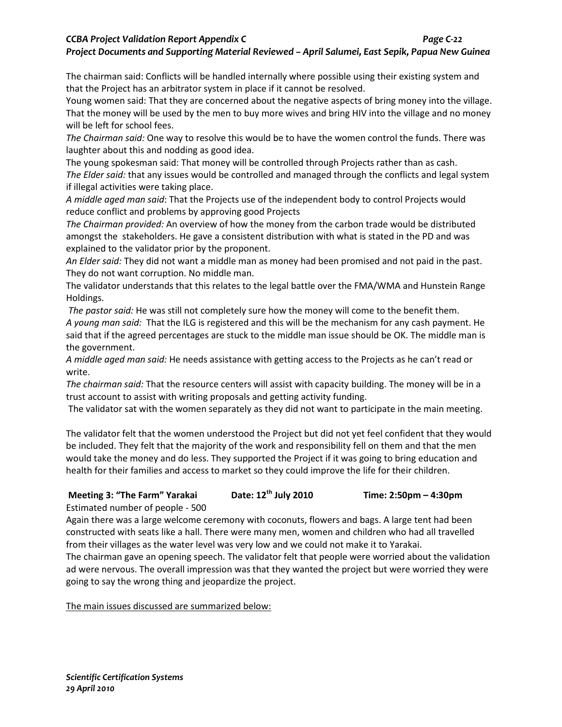## *CCBA Project Validation Report Appendix C Page C-22*

#### *Project Documents and Supporting Material Reviewed – April Salumei, East Sepik, Papua New Guinea*

The chairman said: Conflicts will be handled internally where possible using their existing system and that the Project has an arbitrator system in place if it cannot be resolved.

Young women said: That they are concerned about the negative aspects of bring money into the village. That the money will be used by the men to buy more wives and bring HIV into the village and no money will be left for school fees.

*The Chairman said:* One way to resolve this would be to have the women control the funds. There was laughter about this and nodding as good idea.

The young spokesman said: That money will be controlled through Projects rather than as cash. *The Elder said:* that any issues would be controlled and managed through the conflicts and legal system if illegal activities were taking place.

*A middle aged man said*: That the Projects use of the independent body to control Projects would reduce conflict and problems by approving good Projects

*The Chairman provided:* An overview of how the money from the carbon trade would be distributed amongst the stakeholders. He gave a consistent distribution with what is stated in the PD and was explained to the validator prior by the proponent.

*An Elder said:* They did not want a middle man as money had been promised and not paid in the past. They do not want corruption. No middle man.

The validator understands that this relates to the legal battle over the FMA/WMA and Hunstein Range Holdings.

*The pastor said:* He was still not completely sure how the money will come to the benefit them. *A young man said:* That the ILG is registered and this will be the mechanism for any cash payment. He said that if the agreed percentages are stuck to the middle man issue should be OK. The middle man is the government.

*A middle aged man said:* He needs assistance with getting access to the Projects as he can't read or write.

*The chairman said:* That the resource centers will assist with capacity building. The money will be in a trust account to assist with writing proposals and getting activity funding.

The validator sat with the women separately as they did not want to participate in the main meeting.

The validator felt that the women understood the Project but did not yet feel confident that they would be included. They felt that the majority of the work and responsibility fell on them and that the men would take the money and do less. They supported the Project if it was going to bring education and health for their families and access to market so they could improve the life for their children.

## **Meeting 3: "The Farm" Yarakai Date: 12th July 2010 Time: 2:50pm – 4:30pm**

Estimated number of people - 500

Again there was a large welcome ceremony with coconuts, flowers and bags. A large tent had been constructed with seats like a hall. There were many men, women and children who had all travelled from their villages as the water level was very low and we could not make it to Yarakai.

The chairman gave an opening speech. The validator felt that people were worried about the validation ad were nervous. The overall impression was that they wanted the project but were worried they were going to say the wrong thing and jeopardize the project.

The main issues discussed are summarized below: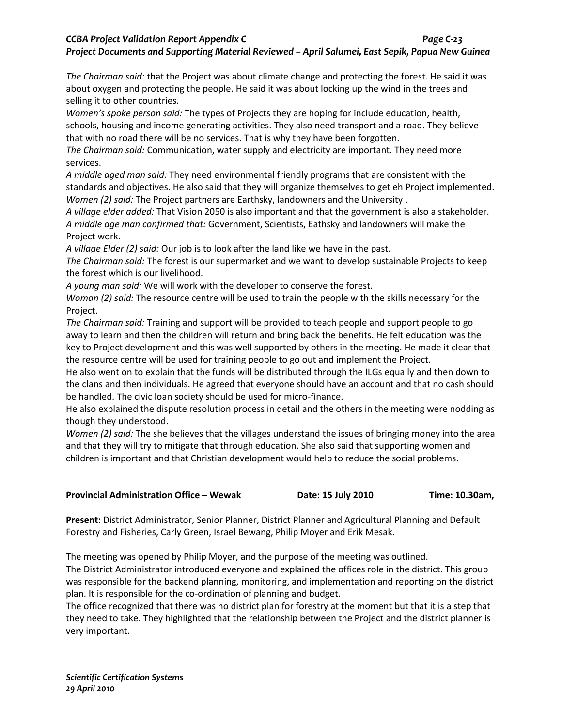## *CCBA Project Validation Report Appendix C Page C-23 Project Documents and Supporting Material Reviewed – April Salumei, East Sepik, Papua New Guinea*

*The Chairman said:* that the Project was about climate change and protecting the forest. He said it was about oxygen and protecting the people. He said it was about locking up the wind in the trees and selling it to other countries.

*Women's spoke person said:* The types of Projects they are hoping for include education, health, schools, housing and income generating activities. They also need transport and a road. They believe that with no road there will be no services. That is why they have been forgotten.

*The Chairman said:* Communication, water supply and electricity are important. They need more services.

*A middle aged man said:* They need environmental friendly programs that are consistent with the standards and objectives. He also said that they will organize themselves to get eh Project implemented. *Women (2) said:* The Project partners are Earthsky, landowners and the University .

*A village elder added:* That Vision 2050 is also important and that the government is also a stakeholder. *A middle age man confirmed that:* Government, Scientists, Eathsky and landowners will make the Project work.

*A village Elder (2) said:* Our job is to look after the land like we have in the past.

*The Chairman said:* The forest is our supermarket and we want to develop sustainable Projects to keep the forest which is our livelihood.

*A young man said:* We will work with the developer to conserve the forest.

*Woman (2) said:* The resource centre will be used to train the people with the skills necessary for the Project.

*The Chairman said:* Training and support will be provided to teach people and support people to go away to learn and then the children will return and bring back the benefits. He felt education was the key to Project development and this was well supported by others in the meeting. He made it clear that the resource centre will be used for training people to go out and implement the Project.

He also went on to explain that the funds will be distributed through the ILGs equally and then down to the clans and then individuals. He agreed that everyone should have an account and that no cash should be handled. The civic loan society should be used for micro-finance.

He also explained the dispute resolution process in detail and the others in the meeting were nodding as though they understood.

*Women (2) said:* The she believes that the villages understand the issues of bringing money into the area and that they will try to mitigate that through education. She also said that supporting women and children is important and that Christian development would help to reduce the social problems.

| Provincial Administration Office – Wewak | Date: 15 July 2010 | Time: 10.30am, |
|------------------------------------------|--------------------|----------------|
|------------------------------------------|--------------------|----------------|

**Present:** District Administrator, Senior Planner, District Planner and Agricultural Planning and Default Forestry and Fisheries, Carly Green, Israel Bewang, Philip Moyer and Erik Mesak.

The meeting was opened by Philip Moyer, and the purpose of the meeting was outlined.

The District Administrator introduced everyone and explained the offices role in the district. This group was responsible for the backend planning, monitoring, and implementation and reporting on the district plan. It is responsible for the co-ordination of planning and budget.

The office recognized that there was no district plan for forestry at the moment but that it is a step that they need to take. They highlighted that the relationship between the Project and the district planner is very important.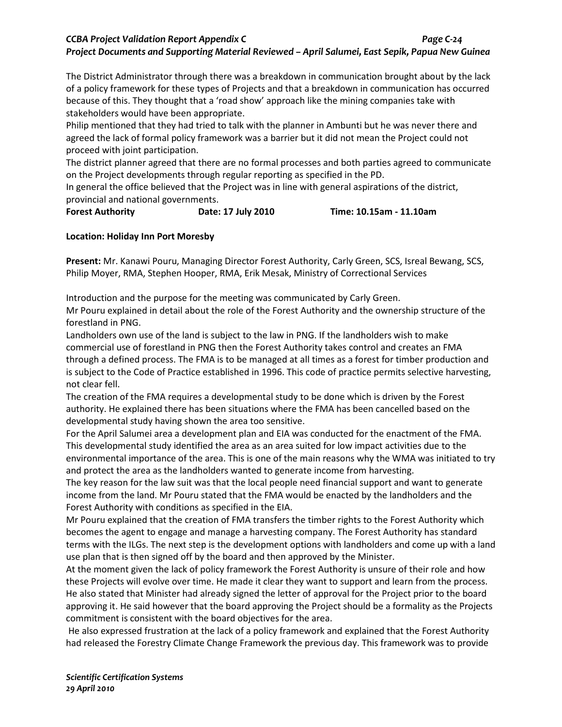## *CCBA Project Validation Report Appendix C Page C-24 Project Documents and Supporting Material Reviewed – April Salumei, East Sepik, Papua New Guinea*

The District Administrator through there was a breakdown in communication brought about by the lack of a policy framework for these types of Projects and that a breakdown in communication has occurred because of this. They thought that a 'road show' approach like the mining companies take with stakeholders would have been appropriate.

Philip mentioned that they had tried to talk with the planner in Ambunti but he was never there and agreed the lack of formal policy framework was a barrier but it did not mean the Project could not proceed with joint participation.

The district planner agreed that there are no formal processes and both parties agreed to communicate on the Project developments through regular reporting as specified in the PD.

In general the office believed that the Project was in line with general aspirations of the district, provincial and national governments.

**Forest Authority Date: 17 July 2010 Time: 10.15am - 11.10am**

## **Location: Holiday Inn Port Moresby**

**Present:** Mr. Kanawi Pouru, Managing Director Forest Authority, Carly Green, SCS, Isreal Bewang, SCS, Philip Moyer, RMA, Stephen Hooper, RMA, Erik Mesak, Ministry of Correctional Services

Introduction and the purpose for the meeting was communicated by Carly Green.

Mr Pouru explained in detail about the role of the Forest Authority and the ownership structure of the forestland in PNG.

Landholders own use of the land is subject to the law in PNG. If the landholders wish to make commercial use of forestland in PNG then the Forest Authority takes control and creates an FMA through a defined process. The FMA is to be managed at all times as a forest for timber production and is subject to the Code of Practice established in 1996. This code of practice permits selective harvesting, not clear fell.

The creation of the FMA requires a developmental study to be done which is driven by the Forest authority. He explained there has been situations where the FMA has been cancelled based on the developmental study having shown the area too sensitive.

For the April Salumei area a development plan and EIA was conducted for the enactment of the FMA. This developmental study identified the area as an area suited for low impact activities due to the environmental importance of the area. This is one of the main reasons why the WMA was initiated to try and protect the area as the landholders wanted to generate income from harvesting.

The key reason for the law suit was that the local people need financial support and want to generate income from the land. Mr Pouru stated that the FMA would be enacted by the landholders and the Forest Authority with conditions as specified in the EIA.

Mr Pouru explained that the creation of FMA transfers the timber rights to the Forest Authority which becomes the agent to engage and manage a harvesting company. The Forest Authority has standard terms with the ILGs. The next step is the development options with landholders and come up with a land use plan that is then signed off by the board and then approved by the Minister.

At the moment given the lack of policy framework the Forest Authority is unsure of their role and how these Projects will evolve over time. He made it clear they want to support and learn from the process. He also stated that Minister had already signed the letter of approval for the Project prior to the board approving it. He said however that the board approving the Project should be a formality as the Projects commitment is consistent with the board objectives for the area.

He also expressed frustration at the lack of a policy framework and explained that the Forest Authority had released the Forestry Climate Change Framework the previous day. This framework was to provide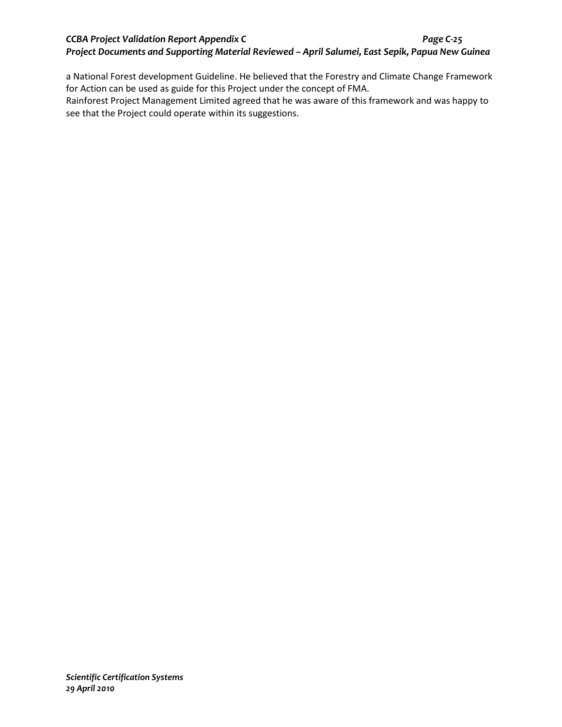## *CCBA Project Validation Report Appendix C Page C-25 Project Documents and Supporting Material Reviewed – April Salumei, East Sepik, Papua New Guinea*

a National Forest development Guideline. He believed that the Forestry and Climate Change Framework for Action can be used as guide for this Project under the concept of FMA.

Rainforest Project Management Limited agreed that he was aware of this framework and was happy to see that the Project could operate within its suggestions.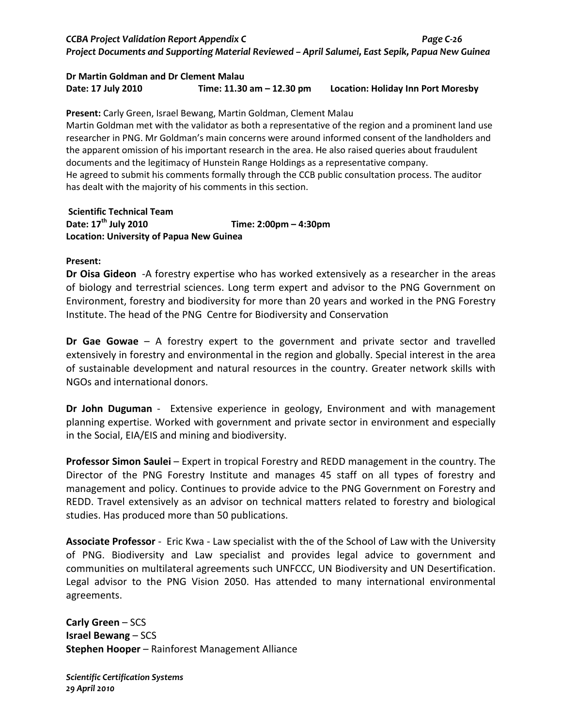## *CCBA Project Validation Report Appendix C Page C-26 Project Documents and Supporting Material Reviewed – April Salumei, East Sepik, Papua New Guinea*

#### **Dr Martin Goldman and Dr Clement Malau Date: 17 July 2010 Time: 11.30 am – 12.30 pm Location: Holiday Inn Port Moresby**

**Present:** Carly Green, Israel Bewang, Martin Goldman, Clement Malau Martin Goldman met with the validator as both a representative of the region and a prominent land use researcher in PNG. Mr Goldman's main concerns were around informed consent of the landholders and the apparent omission of his important research in the area. He also raised queries about fraudulent documents and the legitimacy of Hunstein Range Holdings as a representative company. He agreed to submit his comments formally through the CCB public consultation process. The auditor has dealt with the majority of his comments in this section.

**Scientific Technical Team Date: 17th July 2010 Time: 2:00pm – 4:30pm Location: University of Papua New Guinea**

#### **Present:**

**Dr Oisa Gideon** -A forestry expertise who has worked extensively as a researcher in the areas of biology and terrestrial sciences. Long term expert and advisor to the PNG Government on Environment, forestry and biodiversity for more than 20 years and worked in the PNG Forestry Institute. The head of the PNG Centre for Biodiversity and Conservation

**Dr Gae Gowae** – A forestry expert to the government and private sector and travelled extensively in forestry and environmental in the region and globally. Special interest in the area of sustainable development and natural resources in the country. Greater network skills with NGOs and international donors.

**Dr John Duguman** - Extensive experience in geology, Environment and with management planning expertise. Worked with government and private sector in environment and especially in the Social, EIA/EIS and mining and biodiversity.

**Professor Simon Saulei** – Expert in tropical Forestry and REDD management in the country. The Director of the PNG Forestry Institute and manages 45 staff on all types of forestry and management and policy. Continues to provide advice to the PNG Government on Forestry and REDD. Travel extensively as an advisor on technical matters related to forestry and biological studies. Has produced more than 50 publications.

**Associate Professor** - Eric Kwa - Law specialist with the of the School of Law with the University of PNG. Biodiversity and Law specialist and provides legal advice to government and communities on multilateral agreements such UNFCCC, UN Biodiversity and UN Desertification. Legal advisor to the PNG Vision 2050. Has attended to many international environmental agreements.

**Carly Green** – SCS **Israel Bewang** – SCS **Stephen Hooper** – Rainforest Management Alliance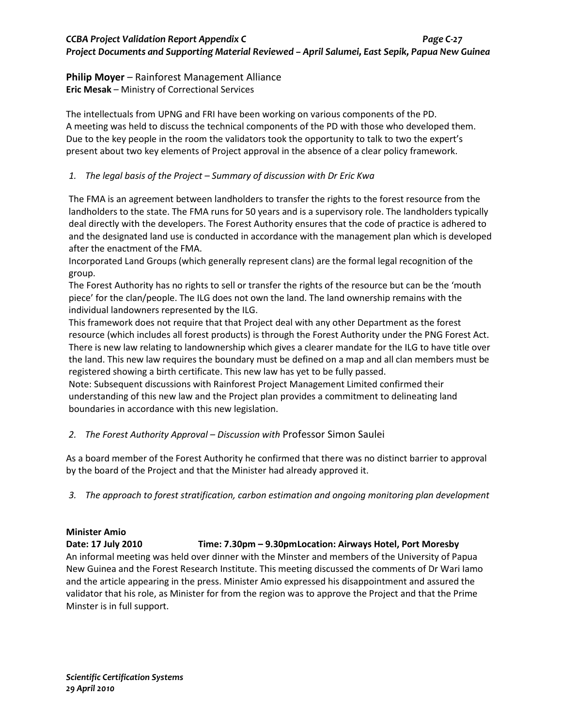#### **Philip Moyer** – Rainforest Management Alliance **Eric Mesak** – Ministry of Correctional Services

The intellectuals from UPNG and FRI have been working on various components of the PD. A meeting was held to discuss the technical components of the PD with those who developed them. Due to the key people in the room the validators took the opportunity to talk to two the expert's present about two key elements of Project approval in the absence of a clear policy framework.

### *1. The legal basis of the Project – Summary of discussion with Dr Eric Kwa*

The FMA is an agreement between landholders to transfer the rights to the forest resource from the landholders to the state. The FMA runs for 50 years and is a supervisory role. The landholders typically deal directly with the developers. The Forest Authority ensures that the code of practice is adhered to and the designated land use is conducted in accordance with the management plan which is developed after the enactment of the FMA.

Incorporated Land Groups (which generally represent clans) are the formal legal recognition of the group.

The Forest Authority has no rights to sell or transfer the rights of the resource but can be the 'mouth piece' for the clan/people. The ILG does not own the land. The land ownership remains with the individual landowners represented by the ILG.

This framework does not require that that Project deal with any other Department as the forest resource (which includes all forest products) is through the Forest Authority under the PNG Forest Act. There is new law relating to landownership which gives a clearer mandate for the ILG to have title over the land. This new law requires the boundary must be defined on a map and all clan members must be registered showing a birth certificate. This new law has yet to be fully passed.

Note: Subsequent discussions with Rainforest Project Management Limited confirmed their understanding of this new law and the Project plan provides a commitment to delineating land boundaries in accordance with this new legislation.

### *2. The Forest Authority Approval – Discussion with* Professor Simon Saulei

As a board member of the Forest Authority he confirmed that there was no distinct barrier to approval by the board of the Project and that the Minister had already approved it.

*3. The approach to forest stratification, carbon estimation and ongoing monitoring plan development*

### **Minister Amio**

#### **Date: 17 July 2010 Time: 7.30pm – 9.30pmLocation: Airways Hotel, Port Moresby**

An informal meeting was held over dinner with the Minster and members of the University of Papua New Guinea and the Forest Research Institute. This meeting discussed the comments of Dr Wari Iamo and the article appearing in the press. Minister Amio expressed his disappointment and assured the validator that his role, as Minister for from the region was to approve the Project and that the Prime Minster is in full support.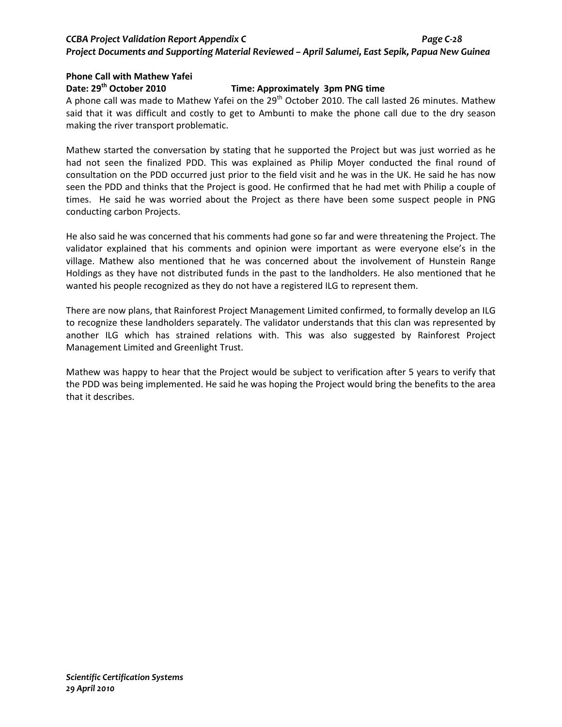# *CCBA Project Validation Report Appendix C Page C-28 Project Documents and Supporting Material Reviewed – April Salumei, East Sepik, Papua New Guinea*

# **Phone Call with Mathew Yafei**

## **Date: 29th October 2010 Time: Approximately 3pm PNG time**

A phone call was made to Mathew Yafei on the 29<sup>th</sup> October 2010. The call lasted 26 minutes. Mathew said that it was difficult and costly to get to Ambunti to make the phone call due to the dry season making the river transport problematic.

Mathew started the conversation by stating that he supported the Project but was just worried as he had not seen the finalized PDD. This was explained as Philip Moyer conducted the final round of consultation on the PDD occurred just prior to the field visit and he was in the UK. He said he has now seen the PDD and thinks that the Project is good. He confirmed that he had met with Philip a couple of times. He said he was worried about the Project as there have been some suspect people in PNG conducting carbon Projects.

He also said he was concerned that his comments had gone so far and were threatening the Project. The validator explained that his comments and opinion were important as were everyone else's in the village. Mathew also mentioned that he was concerned about the involvement of Hunstein Range Holdings as they have not distributed funds in the past to the landholders. He also mentioned that he wanted his people recognized as they do not have a registered ILG to represent them.

There are now plans, that Rainforest Project Management Limited confirmed, to formally develop an ILG to recognize these landholders separately. The validator understands that this clan was represented by another ILG which has strained relations with. This was also suggested by Rainforest Project Management Limited and Greenlight Trust.

Mathew was happy to hear that the Project would be subject to verification after 5 years to verify that the PDD was being implemented. He said he was hoping the Project would bring the benefits to the area that it describes.